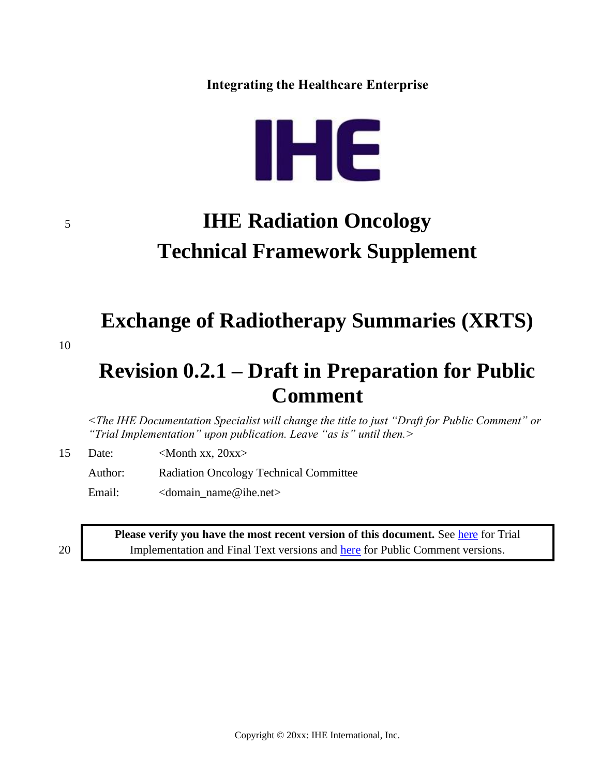**Integrating the Healthcare Enterprise**



# <sup>5</sup> **IHE Radiation Oncology Technical Framework Supplement**

**Exchange of Radiotherapy Summaries (XRTS)**

10

# **Revision 0.2.1 – Draft in Preparation for Public Comment**

*<The IHE Documentation Specialist will change the title to just "Draft for Public Comment" or "Trial Implementation" upon publication. Leave "as is" until then.>*

15 Date:  $\langle \text{Month xx. } 20 \text{xx} \rangle$ 

Author: Radiation Oncology Technical Committee

Email: <domain\_name@ihe.net>

**Please verify you have the most recent version of this document. See [here](http://ihe.net/Technical_Frameworks/) for Trial** 20 Implementation and Final Text versions and [here](http://ihe.net/Public_Comment/) for Public Comment versions.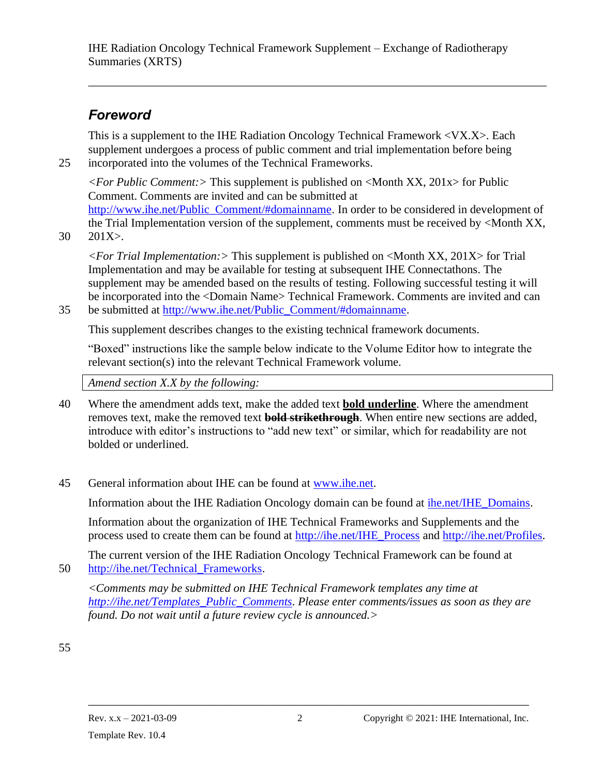\_\_\_\_\_\_\_\_\_\_\_\_\_\_\_\_\_\_\_\_\_\_\_\_\_\_\_\_\_\_\_\_\_\_\_\_\_\_\_\_\_\_\_\_\_\_\_\_\_\_\_\_\_\_\_\_\_\_\_\_\_\_\_\_\_\_\_\_\_\_\_\_\_\_\_\_\_\_

# *Foreword*

This is a supplement to the IHE Radiation Oncology Technical Framework <VX.X>. Each supplement undergoes a process of public comment and trial implementation before being 25 incorporated into the volumes of the Technical Frameworks.

*<For Public Comment:>* This supplement is published on <Month XX, 201x> for Public Comment. Comments are invited and can be submitted at [http://www.ihe.net/Public\\_Comment/#domainname.](http://www.ihe.net/Public_Comment/#domainname) In order to be considered in development of the Trial Implementation version of the supplement, comments must be received by <Month XX,

30 201X>.

*<For Trial Implementation:>* This supplement is published on <Month XX, 201X> for Trial Implementation and may be available for testing at subsequent IHE Connectathons. The supplement may be amended based on the results of testing. Following successful testing it will be incorporated into the <Domain Name> Technical Framework. Comments are invited and can 35 be submitted at [http://www.ihe.net/Public\\_Comment/#domainname.](http://www.ihe.net/Public_Comment/#domainname)

This supplement describes changes to the existing technical framework documents.

"Boxed" instructions like the sample below indicate to the Volume Editor how to integrate the relevant section(s) into the relevant Technical Framework volume.

*Amend section X.X by the following:*

- 40 Where the amendment adds text, make the added text **bold underline**. Where the amendment removes text, make the removed text **bold strikethrough**. When entire new sections are added, introduce with editor's instructions to "add new text" or similar, which for readability are not bolded or underlined.
- 45 General information about IHE can be found at [www.ihe.net.](http://www.ihe.net/)

Information about the IHE Radiation Oncology domain can be found at [ihe.net/IHE\\_Domains.](file:///D:/Google%20Drive/01_IHE/AppData/Roaming/Microsoft/Word/ihe.net/IHE_Domains/)

Information about the organization of IHE Technical Frameworks and Supplements and the process used to create them can be found at [http://ihe.net/IHE\\_Process](http://ihe.net/IHE_Process/) and [http://ihe.net/Profiles.](http://ihe.net/Profiles/)

The current version of the IHE Radiation Oncology Technical Framework can be found at 50 [http://ihe.net/Technical\\_Frameworks.](http://ihe.net/Technical_Frameworks/)

*<Comments may be submitted on IHE Technical Framework templates any time at [http://ihe.net/Templates\\_Public\\_Comments.](http://ihe.net/Templates_Public_Comments/) Please enter comments/issues as soon as they are found. Do not wait until a future review cycle is announced.>*

55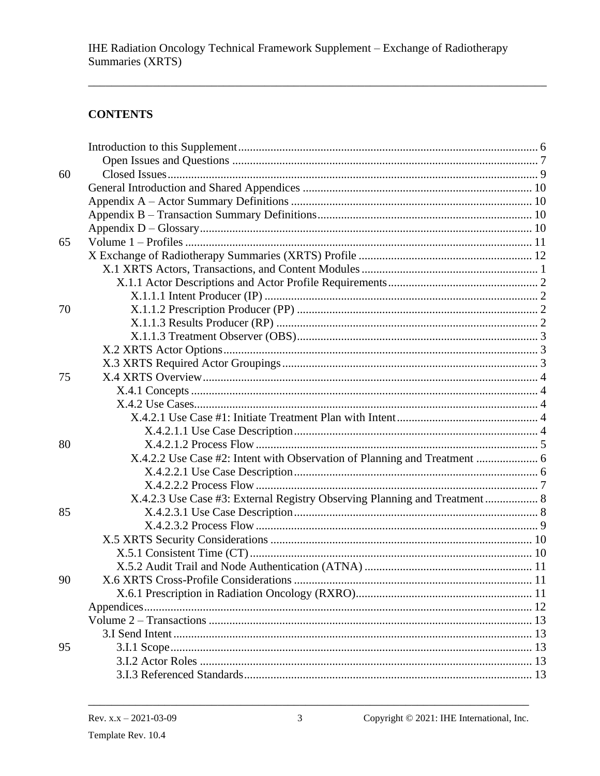#### **CONTENTS**

| 60 |                                                                            |  |
|----|----------------------------------------------------------------------------|--|
|    |                                                                            |  |
|    |                                                                            |  |
|    |                                                                            |  |
|    |                                                                            |  |
| 65 |                                                                            |  |
|    |                                                                            |  |
|    |                                                                            |  |
|    |                                                                            |  |
|    |                                                                            |  |
| 70 |                                                                            |  |
|    |                                                                            |  |
|    |                                                                            |  |
|    |                                                                            |  |
|    |                                                                            |  |
| 75 |                                                                            |  |
|    |                                                                            |  |
|    |                                                                            |  |
|    |                                                                            |  |
|    |                                                                            |  |
| 80 |                                                                            |  |
|    |                                                                            |  |
|    |                                                                            |  |
|    |                                                                            |  |
|    | X.4.2.3 Use Case #3: External Registry Observing Planning and Treatment  8 |  |
| 85 |                                                                            |  |
|    |                                                                            |  |
|    |                                                                            |  |
|    |                                                                            |  |
|    |                                                                            |  |
| 90 | X.6 XRTS Cross-Profile Considerations.                                     |  |
|    |                                                                            |  |
|    |                                                                            |  |
|    |                                                                            |  |
|    |                                                                            |  |
| 95 |                                                                            |  |
|    |                                                                            |  |
|    |                                                                            |  |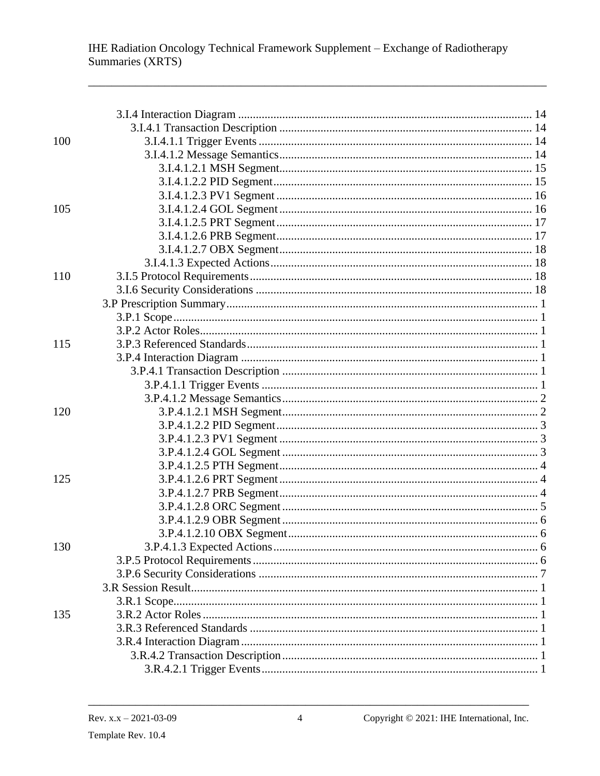| 100 |  |
|-----|--|
|     |  |
|     |  |
|     |  |
|     |  |
| 105 |  |
|     |  |
|     |  |
|     |  |
|     |  |
| 110 |  |
|     |  |
|     |  |
|     |  |
|     |  |
| 115 |  |
|     |  |
|     |  |
|     |  |
|     |  |
| 120 |  |
|     |  |
|     |  |
|     |  |
|     |  |
| 125 |  |
|     |  |
|     |  |
|     |  |
|     |  |
| 130 |  |
|     |  |
|     |  |
|     |  |
|     |  |
| 135 |  |
|     |  |
|     |  |
|     |  |
|     |  |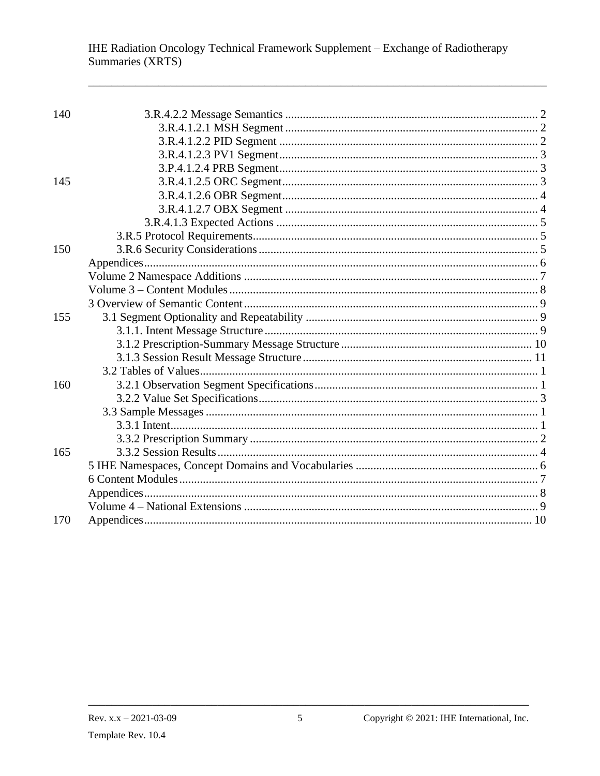| 140 |  |
|-----|--|
|     |  |
|     |  |
|     |  |
|     |  |
| 145 |  |
|     |  |
|     |  |
|     |  |
|     |  |
| 150 |  |
|     |  |
|     |  |
|     |  |
|     |  |
| 155 |  |
|     |  |
|     |  |
|     |  |
|     |  |
| 160 |  |
|     |  |
|     |  |
|     |  |
|     |  |
| 165 |  |
|     |  |
|     |  |
|     |  |
|     |  |
| 170 |  |
|     |  |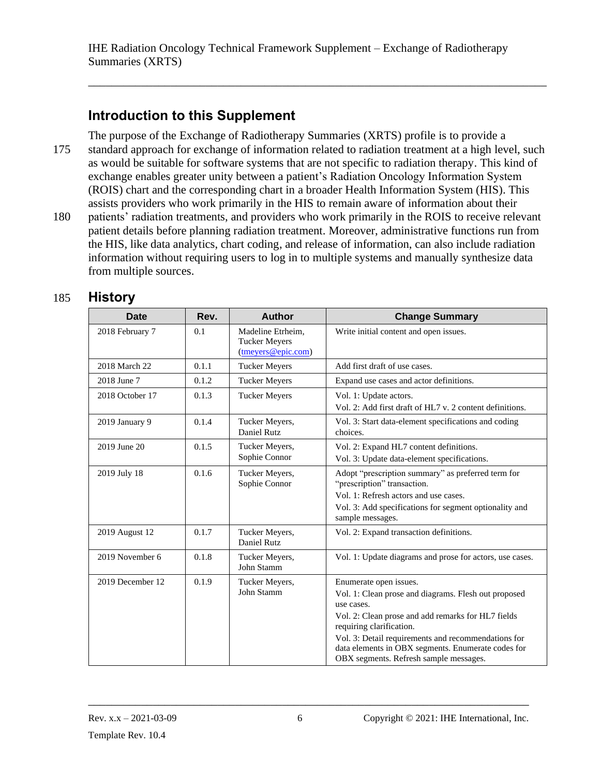\_\_\_\_\_\_\_\_\_\_\_\_\_\_\_\_\_\_\_\_\_\_\_\_\_\_\_\_\_\_\_\_\_\_\_\_\_\_\_\_\_\_\_\_\_\_\_\_\_\_\_\_\_\_\_\_\_\_\_\_\_\_\_\_\_\_\_\_\_\_\_\_\_\_\_\_\_\_

# <span id="page-5-0"></span>**Introduction to this Supplement**

The purpose of the Exchange of Radiotherapy Summaries (XRTS) profile is to provide a 175 standard approach for exchange of information related to radiation treatment at a high level, such as would be suitable for software systems that are not specific to radiation therapy. This kind of exchange enables greater unity between a patient's Radiation Oncology Information System (ROIS) chart and the corresponding chart in a broader Health Information System (HIS). This assists providers who work primarily in the HIS to remain aware of information about their 180 patients' radiation treatments, and providers who work primarily in the ROIS to receive relevant patient details before planning radiation treatment. Moreover, administrative functions run from the HIS, like data analytics, chart coding, and release of information, can also include radiation information without requiring users to log in to multiple systems and manually synthesize data from multiple sources.

| 185 | <b>History</b> |
|-----|----------------|
|-----|----------------|

| <b>Date</b>      | Rev.  | <b>Author</b>                                                                     | <b>Change Summary</b>                                                                                                                                                                                                                                                                                                                 |
|------------------|-------|-----------------------------------------------------------------------------------|---------------------------------------------------------------------------------------------------------------------------------------------------------------------------------------------------------------------------------------------------------------------------------------------------------------------------------------|
| 2018 February 7  | 0.1   | Madeline Etrheim,<br><b>Tucker Meyers</b><br>$(\text{tmevers} @ \text{epic.com})$ | Write initial content and open issues.                                                                                                                                                                                                                                                                                                |
| 2018 March 22    | 0.1.1 | <b>Tucker Meyers</b>                                                              | Add first draft of use cases.                                                                                                                                                                                                                                                                                                         |
| 2018 June 7      | 0.1.2 | <b>Tucker Meyers</b>                                                              | Expand use cases and actor definitions.                                                                                                                                                                                                                                                                                               |
| 2018 October 17  | 0.1.3 | <b>Tucker Meyers</b>                                                              | Vol. 1: Update actors.<br>Vol. 2: Add first draft of HL7 v. 2 content definitions.                                                                                                                                                                                                                                                    |
| 2019 January 9   | 0.1.4 | Tucker Meyers,<br>Daniel Rutz                                                     | Vol. 3: Start data-element specifications and coding<br>choices.                                                                                                                                                                                                                                                                      |
| 2019 June 20     | 0.1.5 | Tucker Meyers,<br>Sophie Connor                                                   | Vol. 2: Expand HL7 content definitions.<br>Vol. 3: Update data-element specifications.                                                                                                                                                                                                                                                |
| 2019 July 18     | 0.1.6 | Tucker Meyers,<br>Sophie Connor                                                   | Adopt "prescription summary" as preferred term for<br>"prescription" transaction.<br>Vol. 1: Refresh actors and use cases.<br>Vol. 3: Add specifications for segment optionality and<br>sample messages.                                                                                                                              |
| 2019 August 12   | 0.1.7 | Tucker Meyers,<br>Daniel Rutz                                                     | Vol. 2: Expand transaction definitions.                                                                                                                                                                                                                                                                                               |
| 2019 November 6  | 0.1.8 | Tucker Meyers,<br>John Stamm                                                      | Vol. 1: Update diagrams and prose for actors, use cases.                                                                                                                                                                                                                                                                              |
| 2019 December 12 | 0.1.9 | Tucker Meyers,<br>John Stamm                                                      | Enumerate open issues.<br>Vol. 1: Clean prose and diagrams. Flesh out proposed<br>use cases.<br>Vol. 2: Clean prose and add remarks for HL7 fields<br>requiring clarification.<br>Vol. 3: Detail requirements and recommendations for<br>data elements in OBX segments. Enumerate codes for<br>OBX segments. Refresh sample messages. |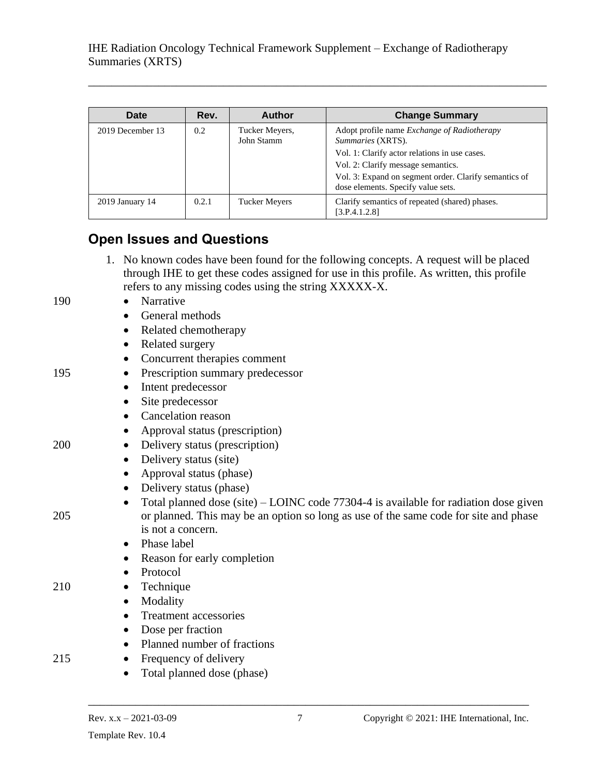| Date             | Rev.          | Author                       | <b>Change Summary</b>                                                                                                                                                                                                                                  |
|------------------|---------------|------------------------------|--------------------------------------------------------------------------------------------------------------------------------------------------------------------------------------------------------------------------------------------------------|
| 2019 December 13 | $0.2^{\circ}$ | Tucker Meyers,<br>John Stamm | Adopt profile name Exchange of Radiotherapy<br>Summaries (XRTS).<br>Vol. 1: Clarify actor relations in use cases.<br>Vol. 2: Clarify message semantics.<br>Vol. 3: Expand on segment order. Clarify semantics of<br>dose elements. Specify value sets. |
| 2019 January 14  | 0.2.1         | Tucker Meyers                | Clarify semantics of repeated (shared) phases.<br>[3.P.4.1.2.8]                                                                                                                                                                                        |

\_\_\_\_\_\_\_\_\_\_\_\_\_\_\_\_\_\_\_\_\_\_\_\_\_\_\_\_\_\_\_\_\_\_\_\_\_\_\_\_\_\_\_\_\_\_\_\_\_\_\_\_\_\_\_\_\_\_\_\_\_\_\_\_\_\_\_\_\_\_\_\_\_\_\_\_\_\_

# <span id="page-6-0"></span>**Open Issues and Questions**

1. No known codes have been found for the following concepts. A request will be placed through IHE to get these codes assigned for use in this profile. As written, this profile refers to any missing codes using the string XXXXX-X.

#### 190 • Narrative

- General methods
- Related chemotherapy
- Related surgery
- Concurrent therapies comment
- 195 Prescription summary predecessor
	- Intent predecessor
	- Site predecessor
	- Cancelation reason
	- Approval status (prescription)
- 200 Delivery status (prescription)
	- Delivery status (site)
	- Approval status (phase)
	- Delivery status (phase)
- Total planned dose (site) LOINC code 77304-4 is available for radiation dose given 205 or planned. This may be an option so long as use of the same code for site and phase is not a concern.
	- Phase label
	- Reason for early completion
	- Protocol
- 210 Technique
	- Modality
	- Treatment accessories
	- Dose per fraction
	- Planned number of fractions
- 215 Frequency of delivery
	- Total planned dose (phase)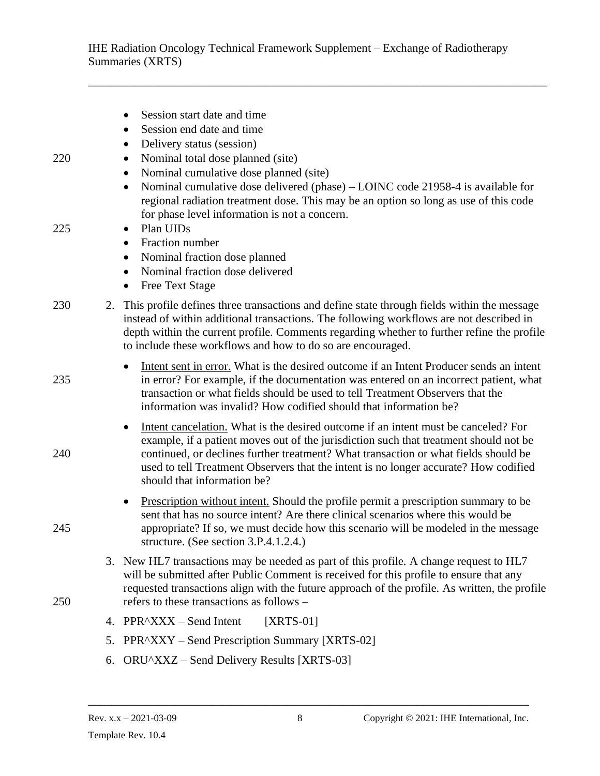\_\_\_\_\_\_\_\_\_\_\_\_\_\_\_\_\_\_\_\_\_\_\_\_\_\_\_\_\_\_\_\_\_\_\_\_\_\_\_\_\_\_\_\_\_\_\_\_\_\_\_\_\_\_\_\_\_\_\_\_\_\_\_\_\_\_\_\_\_\_\_\_\_\_\_\_\_\_

|     |    | Session start date and time<br>$\bullet$<br>Session end date and time                                                                                                                                                                                                                                                                                                                                  |
|-----|----|--------------------------------------------------------------------------------------------------------------------------------------------------------------------------------------------------------------------------------------------------------------------------------------------------------------------------------------------------------------------------------------------------------|
| 220 |    | Delivery status (session)<br>$\bullet$<br>Nominal total dose planned (site)<br>$\bullet$<br>Nominal cumulative dose planned (site)<br>$\bullet$<br>Nominal cumulative dose delivered (phase) - LOINC code 21958-4 is available for<br>$\bullet$<br>regional radiation treatment dose. This may be an option so long as use of this code<br>for phase level information is not a concern.               |
| 225 |    | Plan UIDs<br>$\bullet$<br>Fraction number<br>$\bullet$<br>Nominal fraction dose planned<br>$\bullet$<br>Nominal fraction dose delivered<br>$\bullet$<br><b>Free Text Stage</b><br>$\bullet$                                                                                                                                                                                                            |
| 230 | 2. | This profile defines three transactions and define state through fields within the message<br>instead of within additional transactions. The following workflows are not described in<br>depth within the current profile. Comments regarding whether to further refine the profile<br>to include these workflows and how to do so are encouraged.                                                     |
| 235 |    | Intent sent in error. What is the desired outcome if an Intent Producer sends an intent<br>in error? For example, if the documentation was entered on an incorrect patient, what<br>transaction or what fields should be used to tell Treatment Observers that the<br>information was invalid? How codified should that information be?                                                                |
| 240 |    | Intent cancelation. What is the desired outcome if an intent must be canceled? For<br>$\bullet$<br>example, if a patient moves out of the jurisdiction such that treatment should not be<br>continued, or declines further treatment? What transaction or what fields should be<br>used to tell Treatment Observers that the intent is no longer accurate? How codified<br>should that information be? |
| 245 |    | Prescription without intent. Should the profile permit a prescription summary to be<br>$\bullet$<br>sent that has no source intent? Are there clinical scenarios where this would be<br>appropriate? If so, we must decide how this scenario will be modeled in the message<br>structure. (See section 3.P.4.1.2.4.)                                                                                   |
| 250 |    | 3. New HL7 transactions may be needed as part of this profile. A change request to HL7<br>will be submitted after Public Comment is received for this profile to ensure that any<br>requested transactions align with the future approach of the profile. As written, the profile<br>refers to these transactions as follows –                                                                         |
|     |    | 4. PPR^XXX – Send Intent<br>$[XRTS-01]$                                                                                                                                                                                                                                                                                                                                                                |
|     | 5. | PPR^XXY – Send Prescription Summary [XRTS-02]                                                                                                                                                                                                                                                                                                                                                          |
|     | 6. | ORU^XXZ – Send Delivery Results [XRTS-03]                                                                                                                                                                                                                                                                                                                                                              |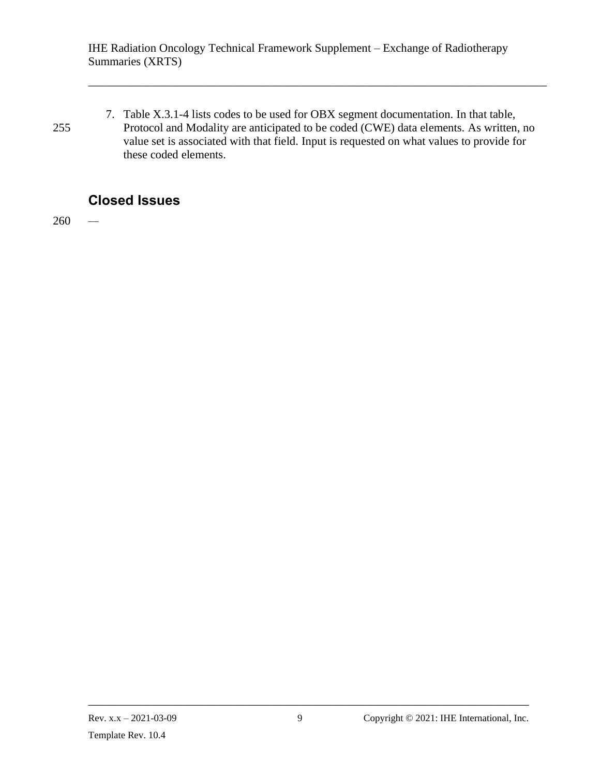7. Table X.3.1-4 lists codes to be used for OBX segment documentation. In that table, 255 Protocol and Modality are anticipated to be coded (CWE) data elements. As written, no value set is associated with that field. Input is requested on what values to provide for these coded elements.

\_\_\_\_\_\_\_\_\_\_\_\_\_\_\_\_\_\_\_\_\_\_\_\_\_\_\_\_\_\_\_\_\_\_\_\_\_\_\_\_\_\_\_\_\_\_\_\_\_\_\_\_\_\_\_\_\_\_\_\_\_\_\_\_\_\_\_\_\_\_\_\_\_\_\_\_\_\_

# <span id="page-8-0"></span>**Closed Issues**

260 *—*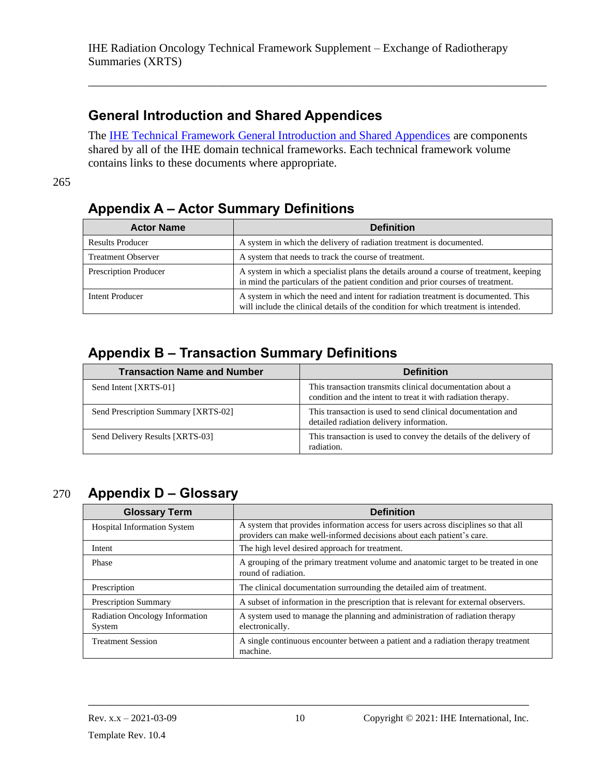# <span id="page-9-0"></span>**General Introduction and Shared Appendices**

The **IHE Technical Framework General Introduction and Shared Appendices** are components shared by all of the IHE domain technical frameworks. Each technical framework volume contains links to these documents where appropriate.

\_\_\_\_\_\_\_\_\_\_\_\_\_\_\_\_\_\_\_\_\_\_\_\_\_\_\_\_\_\_\_\_\_\_\_\_\_\_\_\_\_\_\_\_\_\_\_\_\_\_\_\_\_\_\_\_\_\_\_\_\_\_\_\_\_\_\_\_\_\_\_\_\_\_\_\_\_\_

265

# <span id="page-9-1"></span>**Appendix A – Actor Summary Definitions**

| <b>Actor Name</b>         | <b>Definition</b>                                                                                                                                                          |  |
|---------------------------|----------------------------------------------------------------------------------------------------------------------------------------------------------------------------|--|
| <b>Results Producer</b>   | A system in which the delivery of radiation treatment is documented.                                                                                                       |  |
| <b>Treatment Observer</b> | A system that needs to track the course of treatment.                                                                                                                      |  |
| Prescription Producer     | A system in which a specialist plans the details around a course of treatment, keeping<br>in mind the particulars of the patient condition and prior courses of treatment. |  |
| Intent Producer           | A system in which the need and intent for radiation treatment is documented. This<br>will include the clinical details of the condition for which treatment is intended.   |  |

# <span id="page-9-2"></span>**Appendix B – Transaction Summary Definitions**

| <b>Transaction Name and Number</b>  | <b>Definition</b>                                                                                                         |
|-------------------------------------|---------------------------------------------------------------------------------------------------------------------------|
| Send Intent [XRTS-01]               | This transaction transmits clinical documentation about a<br>condition and the intent to treat it with radiation therapy. |
| Send Prescription Summary [XRTS-02] | This transaction is used to send clinical documentation and<br>detailed radiation delivery information.                   |
| Send Delivery Results [XRTS-03]     | This transaction is used to convey the details of the delivery of<br>radiation.                                           |

# 270 **Appendix D – Glossary**

<span id="page-9-3"></span>

| <b>Glossary Term</b>                            | <b>Definition</b>                                                                                                                                           |  |
|-------------------------------------------------|-------------------------------------------------------------------------------------------------------------------------------------------------------------|--|
| <b>Hospital Information System</b>              | A system that provides information access for users across disciplines so that all<br>providers can make well-informed decisions about each patient's care. |  |
| Intent                                          | The high level desired approach for treatment.                                                                                                              |  |
| Phase                                           | A grouping of the primary treatment volume and anatomic target to be treated in one<br>round of radiation.                                                  |  |
| Prescription                                    | The clinical documentation surrounding the detailed aim of treatment.                                                                                       |  |
| <b>Prescription Summary</b>                     | A subset of information in the prescription that is relevant for external observers.                                                                        |  |
| <b>Radiation Oncology Information</b><br>System | A system used to manage the planning and administration of radiation therapy<br>electronically.                                                             |  |
| <b>Treatment Session</b>                        | A single continuous encounter between a patient and a radiation therapy treatment<br>machine.                                                               |  |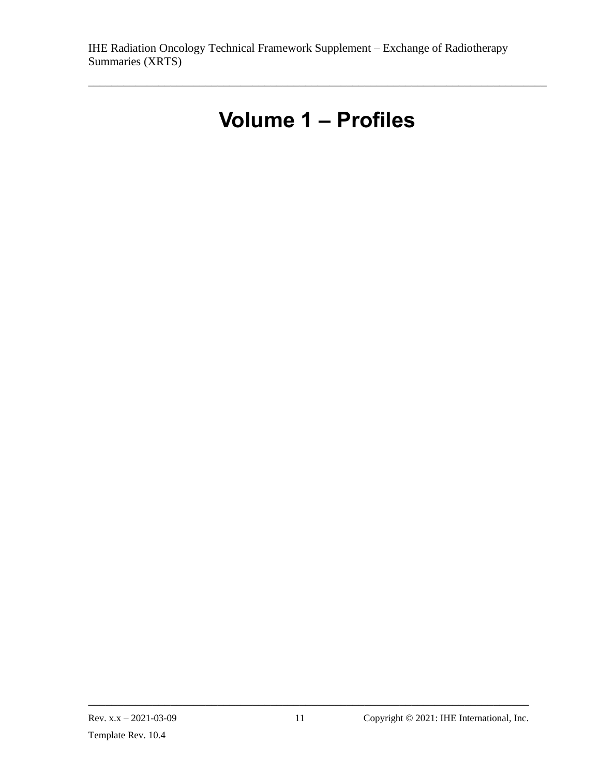# **Volume 1 – Profiles**

<span id="page-10-0"></span>\_\_\_\_\_\_\_\_\_\_\_\_\_\_\_\_\_\_\_\_\_\_\_\_\_\_\_\_\_\_\_\_\_\_\_\_\_\_\_\_\_\_\_\_\_\_\_\_\_\_\_\_\_\_\_\_\_\_\_\_\_\_\_\_\_\_\_\_\_\_\_\_\_\_\_\_\_\_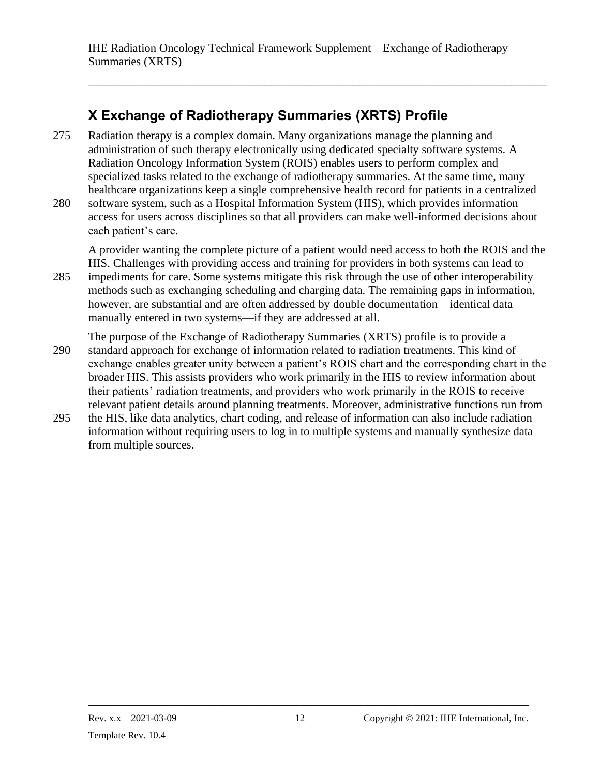\_\_\_\_\_\_\_\_\_\_\_\_\_\_\_\_\_\_\_\_\_\_\_\_\_\_\_\_\_\_\_\_\_\_\_\_\_\_\_\_\_\_\_\_\_\_\_\_\_\_\_\_\_\_\_\_\_\_\_\_\_\_\_\_\_\_\_\_\_\_\_\_\_\_\_\_\_\_

# <span id="page-11-0"></span>**X Exchange of Radiotherapy Summaries (XRTS) Profile**

- 275 Radiation therapy is a complex domain. Many organizations manage the planning and administration of such therapy electronically using dedicated specialty software systems. A Radiation Oncology Information System (ROIS) enables users to perform complex and specialized tasks related to the exchange of radiotherapy summaries. At the same time, many healthcare organizations keep a single comprehensive health record for patients in a centralized
- 280 software system, such as a Hospital Information System (HIS), which provides information access for users across disciplines so that all providers can make well-informed decisions about each patient's care.

A provider wanting the complete picture of a patient would need access to both the ROIS and the HIS. Challenges with providing access and training for providers in both systems can lead to

- 285 impediments for care. Some systems mitigate this risk through the use of other interoperability methods such as exchanging scheduling and charging data. The remaining gaps in information, however, are substantial and are often addressed by double documentation—identical data manually entered in two systems—if they are addressed at all.
- The purpose of the Exchange of Radiotherapy Summaries (XRTS) profile is to provide a 290 standard approach for exchange of information related to radiation treatments. This kind of exchange enables greater unity between a patient's ROIS chart and the corresponding chart in the broader HIS. This assists providers who work primarily in the HIS to review information about their patients' radiation treatments, and providers who work primarily in the ROIS to receive relevant patient details around planning treatments. Moreover, administrative functions run from
- 295 the HIS, like data analytics, chart coding, and release of information can also include radiation information without requiring users to log in to multiple systems and manually synthesize data from multiple sources.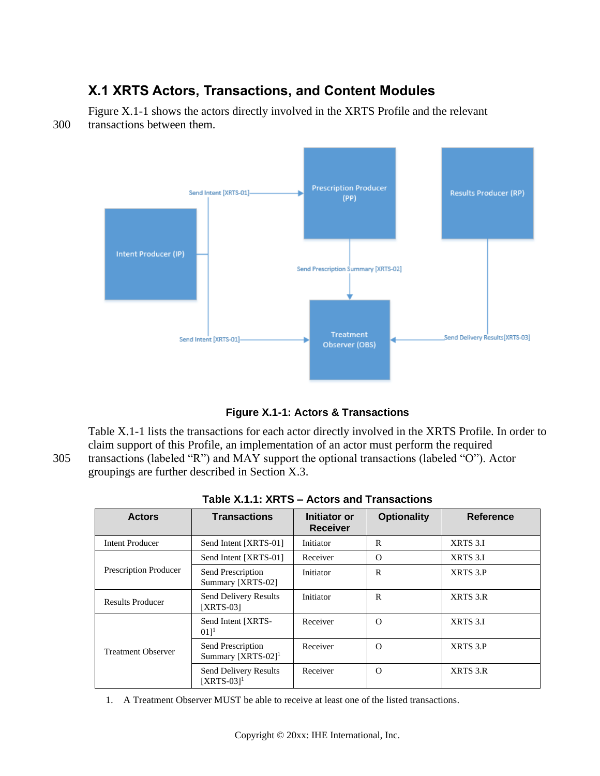# <span id="page-12-0"></span>**X.1 XRTS Actors, Transactions, and Content Modules**

Figure X.1-1 shows the actors directly involved in the XRTS Profile and the relevant 300 transactions between them.





Table X.1-1 lists the transactions for each actor directly involved in the XRTS Profile. In order to claim support of this Profile, an implementation of an actor must perform the required 305 transactions (labeled "R") and MAY support the optional transactions (labeled "O"). Actor groupings are further described in Section X.3.

| <b>Actors</b>           | <b>Transactions</b>                                 | Initiator or<br><b>Receiver</b> | <b>Optionality</b> | <b>Reference</b> |
|-------------------------|-----------------------------------------------------|---------------------------------|--------------------|------------------|
| <b>Intent Producer</b>  | Send Intent [XRTS-01]                               | Initiator                       | R                  | XRTS 3.I         |
|                         | Send Intent [XRTS-01]                               | Receiver                        | $\Omega$           | XRTS 3.I         |
| Prescription Producer   | Send Prescription<br>Summary [XRTS-02]              | Initiator                       | $\mathsf{R}$       | XRTS 3.P         |
| <b>Results Producer</b> | Send Delivery Results<br><b>[XRTS-03]</b>           | Initiator                       | $\mathbb{R}$       | XRTS 3.R         |
|                         | Send Intent [XRTS-<br>011 <sup>1</sup>              | Receiver                        | $\Omega$           | XRTS 3.I         |
| Treatment Observer      | Send Prescription<br>Summary [XRTS-02] <sup>1</sup> | Receiver                        | $\Omega$           | XRTS 3.P         |
|                         | Send Delivery Results<br>$[XRTS-03]$ <sup>1</sup>   | Receiver                        | $\Omega$           | XRTS 3.R         |

| Table X.1.1: XRTS - Actors and Transactions |  |
|---------------------------------------------|--|
|---------------------------------------------|--|

1. A Treatment Observer MUST be able to receive at least one of the listed transactions.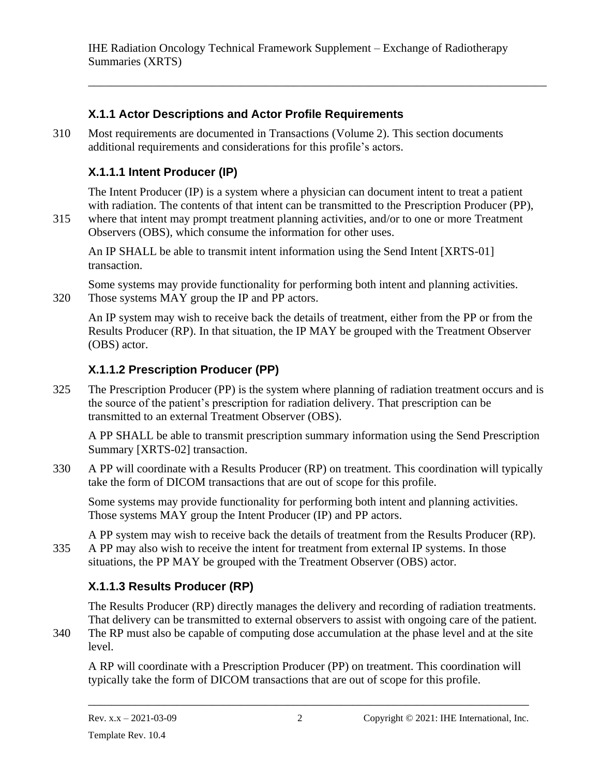\_\_\_\_\_\_\_\_\_\_\_\_\_\_\_\_\_\_\_\_\_\_\_\_\_\_\_\_\_\_\_\_\_\_\_\_\_\_\_\_\_\_\_\_\_\_\_\_\_\_\_\_\_\_\_\_\_\_\_\_\_\_\_\_\_\_\_\_\_\_\_\_\_\_\_\_\_\_

### <span id="page-13-0"></span>**X.1.1 Actor Descriptions and Actor Profile Requirements**

310 Most requirements are documented in Transactions (Volume 2). This section documents additional requirements and considerations for this profile's actors.

# <span id="page-13-1"></span>**X.1.1.1 Intent Producer (IP)**

The Intent Producer (IP) is a system where a physician can document intent to treat a patient with radiation. The contents of that intent can be transmitted to the Prescription Producer (PP),

315 where that intent may prompt treatment planning activities, and/or to one or more Treatment Observers (OBS), which consume the information for other uses.

An IP SHALL be able to transmit intent information using the Send Intent [XRTS-01] transaction.

Some systems may provide functionality for performing both intent and planning activities. 320 Those systems MAY group the IP and PP actors.

An IP system may wish to receive back the details of treatment, either from the PP or from the Results Producer (RP). In that situation, the IP MAY be grouped with the Treatment Observer (OBS) actor.

### <span id="page-13-2"></span>**X.1.1.2 Prescription Producer (PP)**

325 The Prescription Producer (PP) is the system where planning of radiation treatment occurs and is the source of the patient's prescription for radiation delivery. That prescription can be transmitted to an external Treatment Observer (OBS).

A PP SHALL be able to transmit prescription summary information using the Send Prescription Summary [XRTS-02] transaction.

330 A PP will coordinate with a Results Producer (RP) on treatment. This coordination will typically take the form of DICOM transactions that are out of scope for this profile.

Some systems may provide functionality for performing both intent and planning activities. Those systems MAY group the Intent Producer (IP) and PP actors.

A PP system may wish to receive back the details of treatment from the Results Producer (RP). 335 A PP may also wish to receive the intent for treatment from external IP systems. In those situations, the PP MAY be grouped with the Treatment Observer (OBS) actor.

# <span id="page-13-3"></span>**X.1.1.3 Results Producer (RP)**

The Results Producer (RP) directly manages the delivery and recording of radiation treatments. That delivery can be transmitted to external observers to assist with ongoing care of the patient.

340 The RP must also be capable of computing dose accumulation at the phase level and at the site level.

A RP will coordinate with a Prescription Producer (PP) on treatment. This coordination will typically take the form of DICOM transactions that are out of scope for this profile.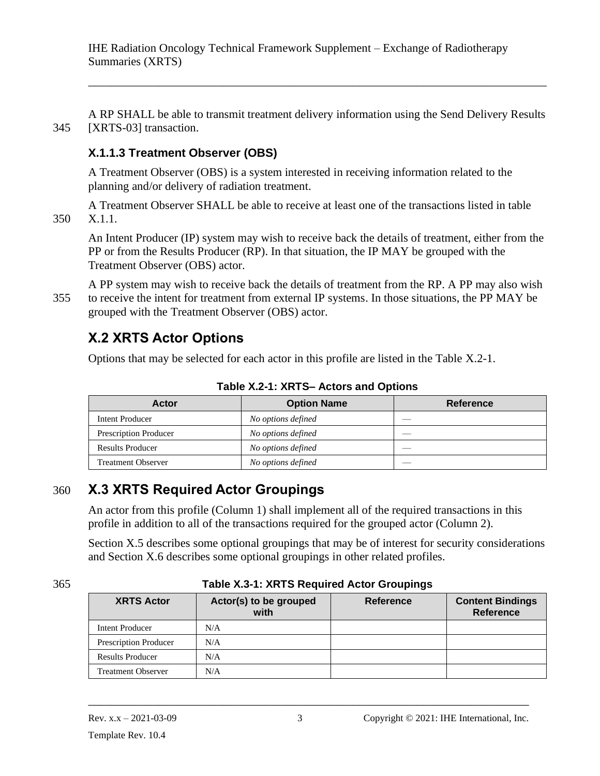\_\_\_\_\_\_\_\_\_\_\_\_\_\_\_\_\_\_\_\_\_\_\_\_\_\_\_\_\_\_\_\_\_\_\_\_\_\_\_\_\_\_\_\_\_\_\_\_\_\_\_\_\_\_\_\_\_\_\_\_\_\_\_\_\_\_\_\_\_\_\_\_\_\_\_\_\_\_

A RP SHALL be able to transmit treatment delivery information using the Send Delivery Results 345 [XRTS-03] transaction.

### <span id="page-14-0"></span>**X.1.1.3 Treatment Observer (OBS)**

A Treatment Observer (OBS) is a system interested in receiving information related to the planning and/or delivery of radiation treatment.

A Treatment Observer SHALL be able to receive at least one of the transactions listed in table 350 X.1.1.

An Intent Producer (IP) system may wish to receive back the details of treatment, either from the PP or from the Results Producer (RP). In that situation, the IP MAY be grouped with the Treatment Observer (OBS) actor.

A PP system may wish to receive back the details of treatment from the RP. A PP may also wish 355 to receive the intent for treatment from external IP systems. In those situations, the PP MAY be grouped with the Treatment Observer (OBS) actor.

# <span id="page-14-1"></span>**X.2 XRTS Actor Options**

Options that may be selected for each actor in this profile are listed in the Table X.2-1.

| <b>Actor</b>              | <b>Option Name</b> | <b>Reference</b> |
|---------------------------|--------------------|------------------|
| Intent Producer           | No options defined |                  |
| Prescription Producer     | No options defined |                  |
| <b>Results Producer</b>   | No options defined |                  |
| <b>Treatment Observer</b> | No options defined |                  |

**Table X.2-1: XRTS– Actors and Options**

# 360 **X.3 XRTS Required Actor Groupings**

<span id="page-14-2"></span>An actor from this profile (Column 1) shall implement all of the required transactions in this profile in addition to all of the transactions required for the grouped actor (Column 2).

Section X.5 describes some optional groupings that may be of interest for security considerations and Section X.6 describes some optional groupings in other related profiles.

#### 365 **Table X.3-1: XRTS Required Actor Groupings**

| <b>XRTS Actor</b>         | Actor(s) to be grouped<br>with | <b>Reference</b> | <b>Content Bindings</b><br><b>Reference</b> |
|---------------------------|--------------------------------|------------------|---------------------------------------------|
| Intent Producer           | N/A                            |                  |                                             |
| Prescription Producer     | N/A                            |                  |                                             |
| <b>Results Producer</b>   | N/A                            |                  |                                             |
| <b>Treatment Observer</b> | N/A                            |                  |                                             |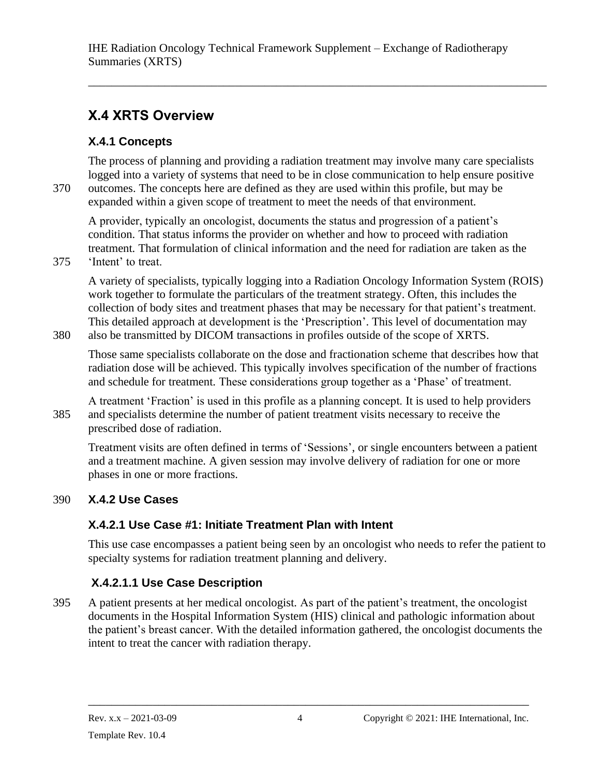\_\_\_\_\_\_\_\_\_\_\_\_\_\_\_\_\_\_\_\_\_\_\_\_\_\_\_\_\_\_\_\_\_\_\_\_\_\_\_\_\_\_\_\_\_\_\_\_\_\_\_\_\_\_\_\_\_\_\_\_\_\_\_\_\_\_\_\_\_\_\_\_\_\_\_\_\_\_

# <span id="page-15-0"></span>**X.4 XRTS Overview**

# <span id="page-15-1"></span>**X.4.1 Concepts**

The process of planning and providing a radiation treatment may involve many care specialists logged into a variety of systems that need to be in close communication to help ensure positive 370 outcomes. The concepts here are defined as they are used within this profile, but may be expanded within a given scope of treatment to meet the needs of that environment.

A provider, typically an oncologist, documents the status and progression of a patient's condition. That status informs the provider on whether and how to proceed with radiation treatment. That formulation of clinical information and the need for radiation are taken as the

375 'Intent' to treat.

A variety of specialists, typically logging into a Radiation Oncology Information System (ROIS) work together to formulate the particulars of the treatment strategy. Often, this includes the collection of body sites and treatment phases that may be necessary for that patient's treatment. This detailed approach at development is the 'Prescription'. This level of documentation may 380 also be transmitted by DICOM transactions in profiles outside of the scope of XRTS.

Those same specialists collaborate on the dose and fractionation scheme that describes how that radiation dose will be achieved. This typically involves specification of the number of fractions and schedule for treatment. These considerations group together as a 'Phase' of treatment.

A treatment 'Fraction' is used in this profile as a planning concept. It is used to help providers 385 and specialists determine the number of patient treatment visits necessary to receive the prescribed dose of radiation.

Treatment visits are often defined in terms of 'Sessions', or single encounters between a patient and a treatment machine. A given session may involve delivery of radiation for one or more phases in one or more fractions.

# <span id="page-15-2"></span>390 **X.4.2 Use Cases**

# <span id="page-15-3"></span>**X.4.2.1 Use Case #1: Initiate Treatment Plan with Intent**

This use case encompasses a patient being seen by an oncologist who needs to refer the patient to specialty systems for radiation treatment planning and delivery.

# <span id="page-15-4"></span>**X.4.2.1.1 Use Case Description**

395 A patient presents at her medical oncologist. As part of the patient's treatment, the oncologist documents in the Hospital Information System (HIS) clinical and pathologic information about the patient's breast cancer. With the detailed information gathered, the oncologist documents the intent to treat the cancer with radiation therapy.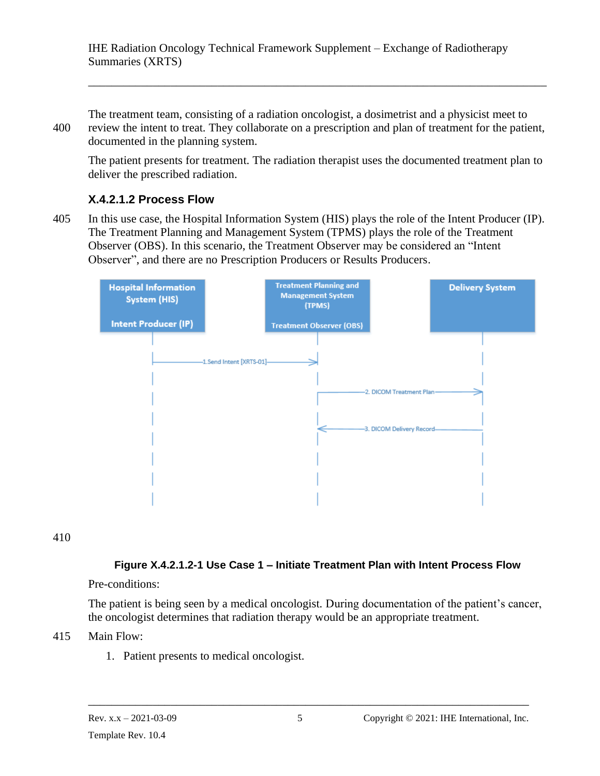The treatment team, consisting of a radiation oncologist, a dosimetrist and a physicist meet to 400 review the intent to treat. They collaborate on a prescription and plan of treatment for the patient, documented in the planning system.

The patient presents for treatment. The radiation therapist uses the documented treatment plan to deliver the prescribed radiation.

\_\_\_\_\_\_\_\_\_\_\_\_\_\_\_\_\_\_\_\_\_\_\_\_\_\_\_\_\_\_\_\_\_\_\_\_\_\_\_\_\_\_\_\_\_\_\_\_\_\_\_\_\_\_\_\_\_\_\_\_\_\_\_\_\_\_\_\_\_\_\_\_\_\_\_\_\_\_

#### <span id="page-16-0"></span>**X.4.2.1.2 Process Flow**

405 In this use case, the Hospital Information System (HIS) plays the role of the Intent Producer (IP). The Treatment Planning and Management System (TPMS) plays the role of the Treatment Observer (OBS). In this scenario, the Treatment Observer may be considered an "Intent Observer", and there are no Prescription Producers or Results Producers.



410

#### **Figure X.4.2.1.2-1 Use Case 1 – Initiate Treatment Plan with Intent Process Flow**

#### Pre-conditions:

The patient is being seen by a medical oncologist. During documentation of the patient's cancer, the oncologist determines that radiation therapy would be an appropriate treatment.

#### 415 Main Flow:

1. Patient presents to medical oncologist.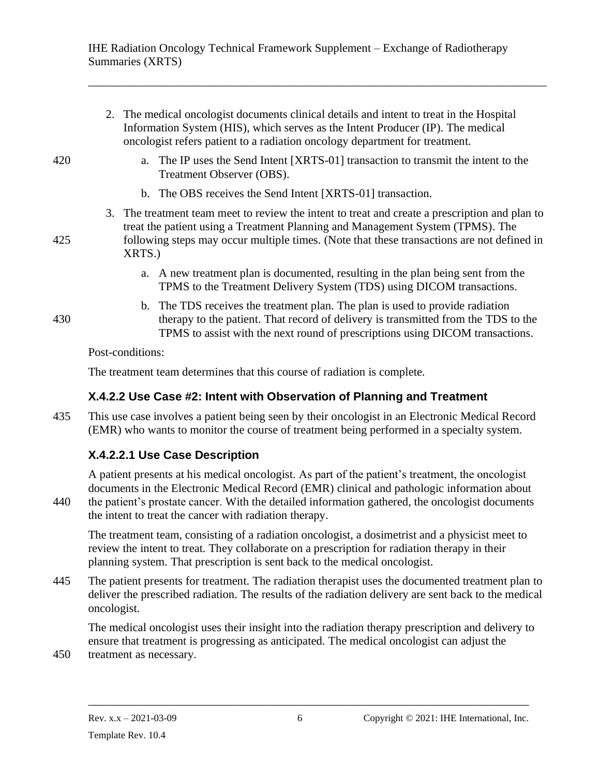\_\_\_\_\_\_\_\_\_\_\_\_\_\_\_\_\_\_\_\_\_\_\_\_\_\_\_\_\_\_\_\_\_\_\_\_\_\_\_\_\_\_\_\_\_\_\_\_\_\_\_\_\_\_\_\_\_\_\_\_\_\_\_\_\_\_\_\_\_\_\_\_\_\_\_\_\_\_

|     | 2. The medical oncologist documents clinical details and intent to treat in the Hospital<br>Information System (HIS), which serves as the Intent Producer (IP). The medical<br>oncologist refers patient to a radiation oncology department for treatment.                               |
|-----|------------------------------------------------------------------------------------------------------------------------------------------------------------------------------------------------------------------------------------------------------------------------------------------|
| 420 | a. The IP uses the Send Intent [XRTS-01] transaction to transmit the intent to the<br>Treatment Observer (OBS).                                                                                                                                                                          |
|     | b. The OBS receives the Send Intent [XRTS-01] transaction.                                                                                                                                                                                                                               |
| 425 | 3. The treatment team meet to review the intent to treat and create a prescription and plan to<br>treat the patient using a Treatment Planning and Management System (TPMS). The<br>following steps may occur multiple times. (Note that these transactions are not defined in<br>XRTS.) |
|     | a. A new treatment plan is documented, resulting in the plan being sent from the<br>TPMS to the Treatment Delivery System (TDS) using DICOM transactions.                                                                                                                                |
| 430 | b. The TDS receives the treatment plan. The plan is used to provide radiation<br>therapy to the patient. That record of delivery is transmitted from the TDS to the<br>TPMS to assist with the next round of prescriptions using DICOM transactions.                                     |
|     | Post-conditions:                                                                                                                                                                                                                                                                         |
|     | The treatment team determines that this course of radiation is complete.                                                                                                                                                                                                                 |

#### <span id="page-17-0"></span>**X.4.2.2 Use Case #2: Intent with Observation of Planning and Treatment**

435 This use case involves a patient being seen by their oncologist in an Electronic Medical Record (EMR) who wants to monitor the course of treatment being performed in a specialty system.

# <span id="page-17-1"></span>**X.4.2.2.1 Use Case Description**

A patient presents at his medical oncologist. As part of the patient's treatment, the oncologist documents in the Electronic Medical Record (EMR) clinical and pathologic information about 440 the patient's prostate cancer. With the detailed information gathered, the oncologist documents the intent to treat the cancer with radiation therapy.

The treatment team, consisting of a radiation oncologist, a dosimetrist and a physicist meet to review the intent to treat. They collaborate on a prescription for radiation therapy in their planning system. That prescription is sent back to the medical oncologist.

445 The patient presents for treatment. The radiation therapist uses the documented treatment plan to deliver the prescribed radiation. The results of the radiation delivery are sent back to the medical oncologist.

The medical oncologist uses their insight into the radiation therapy prescription and delivery to ensure that treatment is progressing as anticipated. The medical oncologist can adjust the

450 treatment as necessary.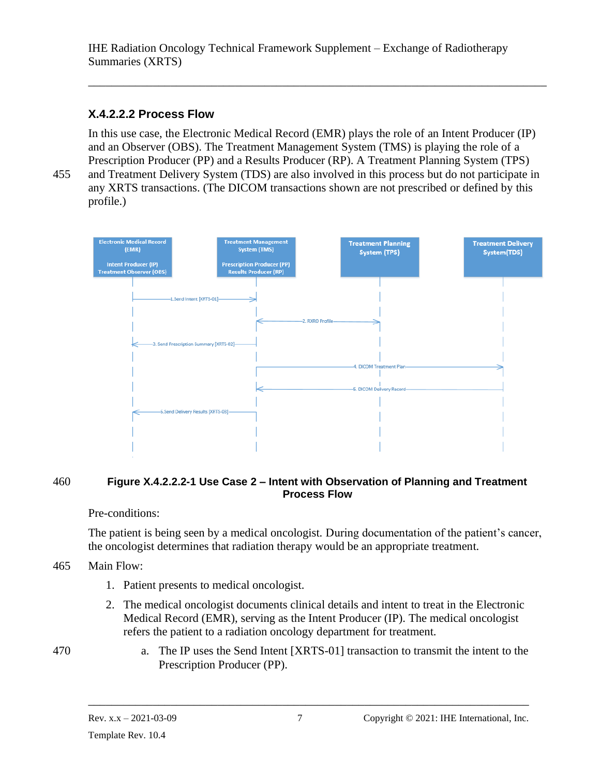#### <span id="page-18-0"></span>**X.4.2.2.2 Process Flow**

In this use case, the Electronic Medical Record (EMR) plays the role of an Intent Producer (IP) and an Observer (OBS). The Treatment Management System (TMS) is playing the role of a Prescription Producer (PP) and a Results Producer (RP). A Treatment Planning System (TPS) 455 and Treatment Delivery System (TDS) are also involved in this process but do not participate in any XRTS transactions. (The DICOM transactions shown are not prescribed or defined by this

\_\_\_\_\_\_\_\_\_\_\_\_\_\_\_\_\_\_\_\_\_\_\_\_\_\_\_\_\_\_\_\_\_\_\_\_\_\_\_\_\_\_\_\_\_\_\_\_\_\_\_\_\_\_\_\_\_\_\_\_\_\_\_\_\_\_\_\_\_\_\_\_\_\_\_\_\_\_

profile.)



#### 460 **Figure X.4.2.2.2-1 Use Case 2 – Intent with Observation of Planning and Treatment Process Flow**

#### Pre-conditions:

The patient is being seen by a medical oncologist. During documentation of the patient's cancer, the oncologist determines that radiation therapy would be an appropriate treatment.

- 465 Main Flow:
	- 1. Patient presents to medical oncologist.
	- 2. The medical oncologist documents clinical details and intent to treat in the Electronic Medical Record (EMR), serving as the Intent Producer (IP). The medical oncologist refers the patient to a radiation oncology department for treatment.
- 470 a. The IP uses the Send Intent [XRTS-01] transaction to transmit the intent to the Prescription Producer (PP).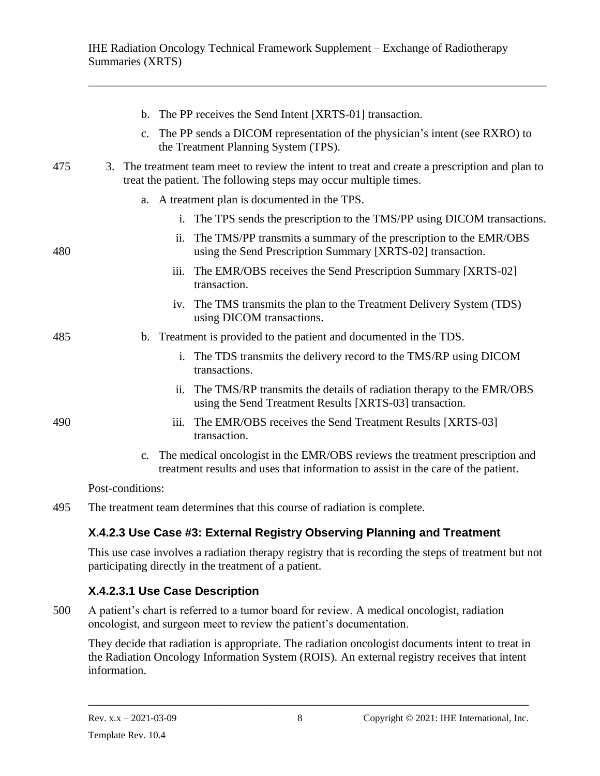\_\_\_\_\_\_\_\_\_\_\_\_\_\_\_\_\_\_\_\_\_\_\_\_\_\_\_\_\_\_\_\_\_\_\_\_\_\_\_\_\_\_\_\_\_\_\_\_\_\_\_\_\_\_\_\_\_\_\_\_\_\_\_\_\_\_\_\_\_\_\_\_\_\_\_\_\_\_

| b. The PP receives the Send Intent [XRTS-01] transaction.                                                                                                                 |  |
|---------------------------------------------------------------------------------------------------------------------------------------------------------------------------|--|
| The PP sends a DICOM representation of the physician's intent (see RXRO) to<br>c.<br>the Treatment Planning System (TPS).                                                 |  |
| 475<br>3. The treatment team meet to review the intent to treat and create a prescription and plan to<br>treat the patient. The following steps may occur multiple times. |  |
| a. A treatment plan is documented in the TPS.                                                                                                                             |  |
| i. The TPS sends the prescription to the TMS/PP using DICOM transactions.                                                                                                 |  |
| The TMS/PP transmits a summary of the prescription to the EMR/OBS<br>ii.<br>using the Send Prescription Summary [XRTS-02] transaction.<br>480                             |  |
| The EMR/OBS receives the Send Prescription Summary [XRTS-02]<br>iii.<br>transaction.                                                                                      |  |
| iv. The TMS transmits the plan to the Treatment Delivery System (TDS)<br>using DICOM transactions.                                                                        |  |
| b. Treatment is provided to the patient and documented in the TDS.<br>485                                                                                                 |  |
| The TDS transmits the delivery record to the TMS/RP using DICOM<br>$i$ .<br>transactions.                                                                                 |  |
| ii. The TMS/RP transmits the details of radiation therapy to the EMR/OBS<br>using the Send Treatment Results [XRTS-03] transaction.                                       |  |
| 490<br>The EMR/OBS receives the Send Treatment Results [XRTS-03]<br>iii.<br>transaction.                                                                                  |  |
| c. The medical oncologist in the EMR/OBS reviews the treatment prescription and<br>treatment results and uses that information to assist in the care of the patient.      |  |
| Post-conditions:                                                                                                                                                          |  |

495 The treatment team determines that this course of radiation is complete.

# <span id="page-19-0"></span>**X.4.2.3 Use Case #3: External Registry Observing Planning and Treatment**

This use case involves a radiation therapy registry that is recording the steps of treatment but not participating directly in the treatment of a patient.

# <span id="page-19-1"></span>**X.4.2.3.1 Use Case Description**

500 A patient's chart is referred to a tumor board for review. A medical oncologist, radiation oncologist, and surgeon meet to review the patient's documentation.

They decide that radiation is appropriate. The radiation oncologist documents intent to treat in the Radiation Oncology Information System (ROIS). An external registry receives that intent information.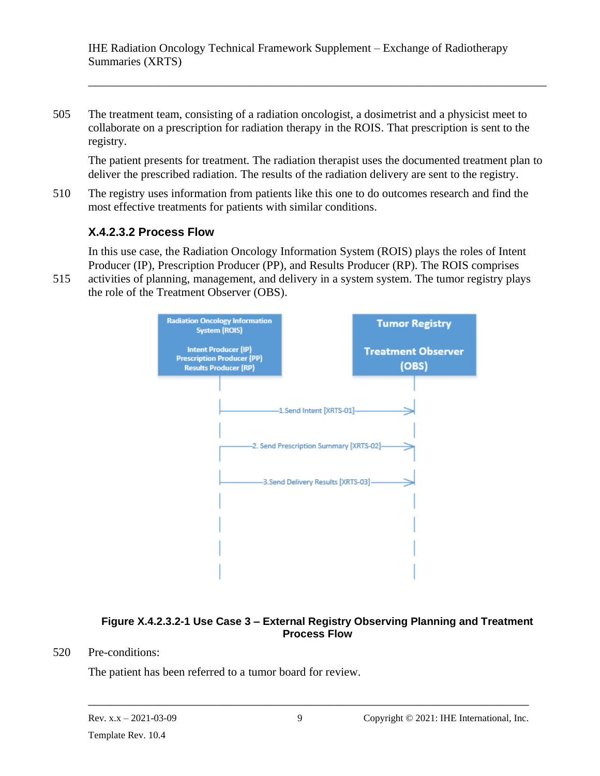505 The treatment team, consisting of a radiation oncologist, a dosimetrist and a physicist meet to collaborate on a prescription for radiation therapy in the ROIS. That prescription is sent to the registry.

The patient presents for treatment. The radiation therapist uses the documented treatment plan to deliver the prescribed radiation. The results of the radiation delivery are sent to the registry.

\_\_\_\_\_\_\_\_\_\_\_\_\_\_\_\_\_\_\_\_\_\_\_\_\_\_\_\_\_\_\_\_\_\_\_\_\_\_\_\_\_\_\_\_\_\_\_\_\_\_\_\_\_\_\_\_\_\_\_\_\_\_\_\_\_\_\_\_\_\_\_\_\_\_\_\_\_\_

510 The registry uses information from patients like this one to do outcomes research and find the most effective treatments for patients with similar conditions.

#### <span id="page-20-0"></span>**X.4.2.3.2 Process Flow**

In this use case, the Radiation Oncology Information System (ROIS) plays the roles of Intent Producer (IP), Prescription Producer (PP), and Results Producer (RP). The ROIS comprises

515 activities of planning, management, and delivery in a system system. The tumor registry plays the role of the Treatment Observer (OBS).



#### **Figure X.4.2.3.2-1 Use Case 3 – External Registry Observing Planning and Treatment Process Flow**

520 Pre-conditions:

The patient has been referred to a tumor board for review.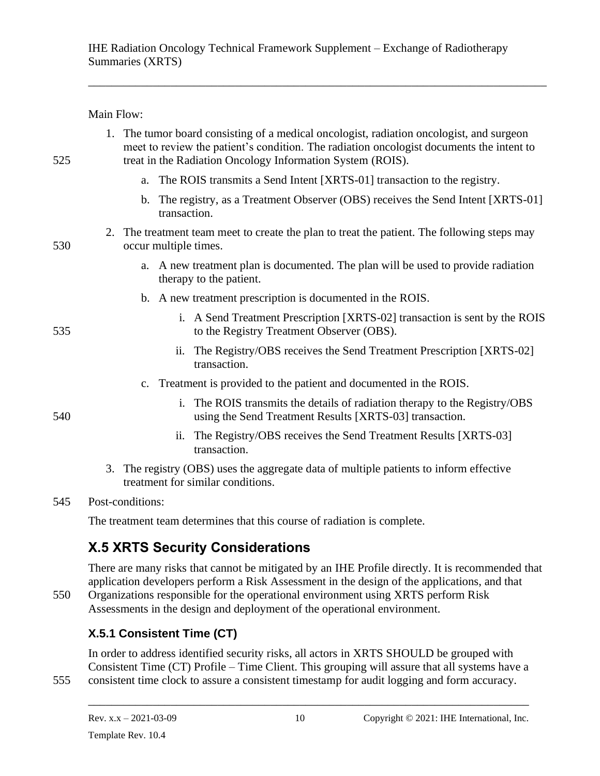\_\_\_\_\_\_\_\_\_\_\_\_\_\_\_\_\_\_\_\_\_\_\_\_\_\_\_\_\_\_\_\_\_\_\_\_\_\_\_\_\_\_\_\_\_\_\_\_\_\_\_\_\_\_\_\_\_\_\_\_\_\_\_\_\_\_\_\_\_\_\_\_\_\_\_\_\_\_

Main Flow:

| 525 |    | 1. The tumor board consisting of a medical oncologist, radiation oncologist, and surgeon<br>meet to review the patient's condition. The radiation oncologist documents the intent to<br>treat in the Radiation Oncology Information System (ROIS). |  |  |  |  |  |
|-----|----|----------------------------------------------------------------------------------------------------------------------------------------------------------------------------------------------------------------------------------------------------|--|--|--|--|--|
|     |    | a. The ROIS transmits a Send Intent [XRTS-01] transaction to the registry.                                                                                                                                                                         |  |  |  |  |  |
|     |    | b. The registry, as a Treatment Observer (OBS) receives the Send Intent [XRTS-01]<br>transaction.                                                                                                                                                  |  |  |  |  |  |
| 530 | 2. | The treatment team meet to create the plan to treat the patient. The following steps may<br>occur multiple times.                                                                                                                                  |  |  |  |  |  |
|     |    | a. A new treatment plan is documented. The plan will be used to provide radiation<br>therapy to the patient.                                                                                                                                       |  |  |  |  |  |
|     |    | b. A new treatment prescription is documented in the ROIS.                                                                                                                                                                                         |  |  |  |  |  |
| 535 |    | i. A Send Treatment Prescription [XRTS-02] transaction is sent by the ROIS<br>to the Registry Treatment Observer (OBS).                                                                                                                            |  |  |  |  |  |
|     |    | ii. The Registry/OBS receives the Send Treatment Prescription [XRTS-02]<br>transaction.                                                                                                                                                            |  |  |  |  |  |
|     |    | c. Treatment is provided to the patient and documented in the ROIS.                                                                                                                                                                                |  |  |  |  |  |
| 540 |    | i. The ROIS transmits the details of radiation therapy to the Registry/OBS<br>using the Send Treatment Results [XRTS-03] transaction.                                                                                                              |  |  |  |  |  |
|     |    | The Registry/OBS receives the Send Treatment Results [XRTS-03]<br>$\overline{\mathbf{11}}$ .<br>transaction.                                                                                                                                       |  |  |  |  |  |
|     | 3. | The registry (OBS) uses the aggregate data of multiple patients to inform effective<br>treatment for similar conditions.                                                                                                                           |  |  |  |  |  |

#### 545 Post-conditions:

The treatment team determines that this course of radiation is complete.

# <span id="page-21-0"></span>**X.5 XRTS Security Considerations**

There are many risks that cannot be mitigated by an IHE Profile directly. It is recommended that application developers perform a Risk Assessment in the design of the applications, and that 550 Organizations responsible for the operational environment using XRTS perform Risk Assessments in the design and deployment of the operational environment.

# <span id="page-21-1"></span>**X.5.1 Consistent Time (CT)**

In order to address identified security risks, all actors in XRTS SHOULD be grouped with Consistent Time (CT) Profile – Time Client. This grouping will assure that all systems have a 555 consistent time clock to assure a consistent timestamp for audit logging and form accuracy.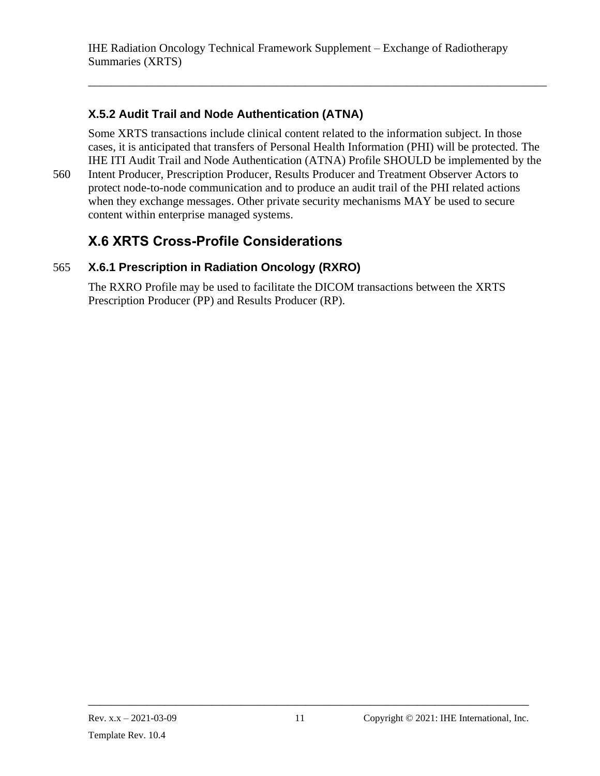### <span id="page-22-0"></span>**X.5.2 Audit Trail and Node Authentication (ATNA)**

Some XRTS transactions include clinical content related to the information subject. In those cases, it is anticipated that transfers of Personal Health Information (PHI) will be protected. The IHE ITI Audit Trail and Node Authentication (ATNA) Profile SHOULD be implemented by the

\_\_\_\_\_\_\_\_\_\_\_\_\_\_\_\_\_\_\_\_\_\_\_\_\_\_\_\_\_\_\_\_\_\_\_\_\_\_\_\_\_\_\_\_\_\_\_\_\_\_\_\_\_\_\_\_\_\_\_\_\_\_\_\_\_\_\_\_\_\_\_\_\_\_\_\_\_\_

560 Intent Producer, Prescription Producer, Results Producer and Treatment Observer Actors to protect node-to-node communication and to produce an audit trail of the PHI related actions when they exchange messages. Other private security mechanisms MAY be used to secure content within enterprise managed systems.

# <span id="page-22-2"></span><span id="page-22-1"></span>**X.6 XRTS Cross-Profile Considerations**

### 565 **X.6.1 Prescription in Radiation Oncology (RXRO)**

The RXRO Profile may be used to facilitate the DICOM transactions between the XRTS Prescription Producer (PP) and Results Producer (RP).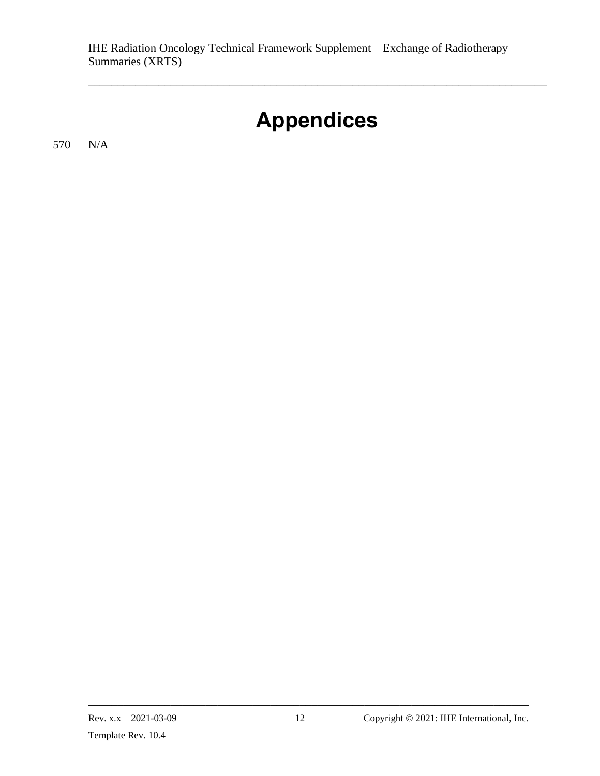# **Appendices**

<span id="page-23-0"></span>\_\_\_\_\_\_\_\_\_\_\_\_\_\_\_\_\_\_\_\_\_\_\_\_\_\_\_\_\_\_\_\_\_\_\_\_\_\_\_\_\_\_\_\_\_\_\_\_\_\_\_\_\_\_\_\_\_\_\_\_\_\_\_\_\_\_\_\_\_\_\_\_\_\_\_\_\_\_

570 N/A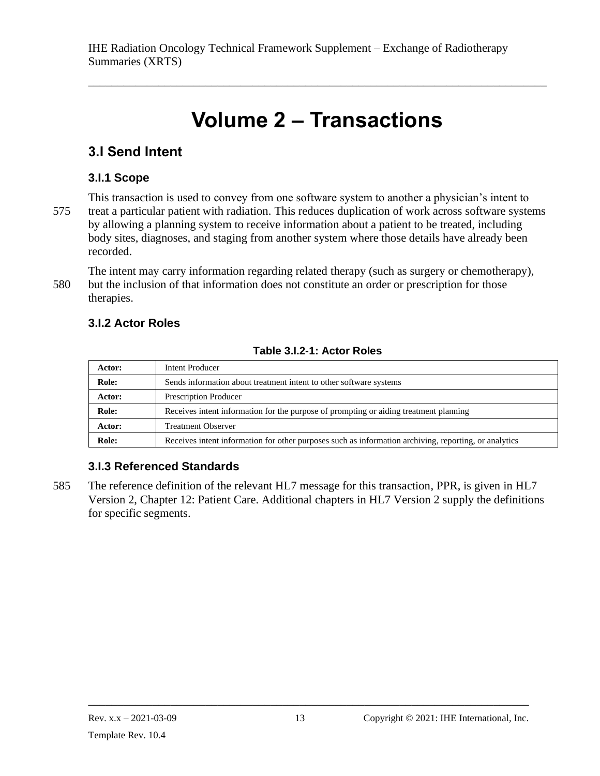# **Volume 2 – Transactions**

<span id="page-24-0"></span>\_\_\_\_\_\_\_\_\_\_\_\_\_\_\_\_\_\_\_\_\_\_\_\_\_\_\_\_\_\_\_\_\_\_\_\_\_\_\_\_\_\_\_\_\_\_\_\_\_\_\_\_\_\_\_\_\_\_\_\_\_\_\_\_\_\_\_\_\_\_\_\_\_\_\_\_\_\_

# <span id="page-24-1"></span>**3.I Send Intent**

# <span id="page-24-2"></span>**3.I.1 Scope**

This transaction is used to convey from one software system to another a physician's intent to 575 treat a particular patient with radiation. This reduces duplication of work across software systems by allowing a planning system to receive information about a patient to be treated, including body sites, diagnoses, and staging from another system where those details have already been recorded.

The intent may carry information regarding related therapy (such as surgery or chemotherapy), 580 but the inclusion of that information does not constitute an order or prescription for those therapies.

# <span id="page-24-3"></span>**3.I.2 Actor Roles**

| Actor: | Intent Producer                                                                                       |
|--------|-------------------------------------------------------------------------------------------------------|
| Role:  | Sends information about treatment intent to other software systems                                    |
| Actor: | Prescription Producer                                                                                 |
| Role:  | Receives intent information for the purpose of prompting or aiding treatment planning                 |
| Actor: | <b>Treatment Observer</b>                                                                             |
| Role:  | Receives intent information for other purposes such as information archiving, reporting, or analytics |

# <span id="page-24-4"></span>**3.I.3 Referenced Standards**

585 The reference definition of the relevant HL7 message for this transaction, PPR, is given in HL7 Version 2, Chapter 12: Patient Care. Additional chapters in HL7 Version 2 supply the definitions for specific segments.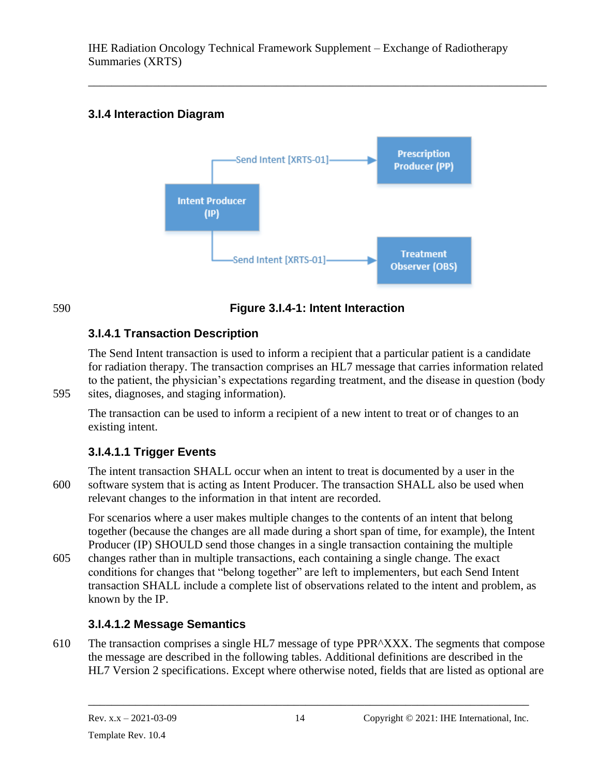\_\_\_\_\_\_\_\_\_\_\_\_\_\_\_\_\_\_\_\_\_\_\_\_\_\_\_\_\_\_\_\_\_\_\_\_\_\_\_\_\_\_\_\_\_\_\_\_\_\_\_\_\_\_\_\_\_\_\_\_\_\_\_\_\_\_\_\_\_\_\_\_\_\_\_\_\_\_

# <span id="page-25-0"></span>**3.I.4 Interaction Diagram**



### 590 **Figure 3.I.4-1: Intent Interaction**

# <span id="page-25-1"></span>**3.I.4.1 Transaction Description**

The Send Intent transaction is used to inform a recipient that a particular patient is a candidate for radiation therapy. The transaction comprises an HL7 message that carries information related to the patient, the physician's expectations regarding treatment, and the disease in question (body 595 sites, diagnoses, and staging information).

The transaction can be used to inform a recipient of a new intent to treat or of changes to an existing intent.

# <span id="page-25-2"></span>**3.I.4.1.1 Trigger Events**

The intent transaction SHALL occur when an intent to treat is documented by a user in the 600 software system that is acting as Intent Producer. The transaction SHALL also be used when relevant changes to the information in that intent are recorded.

For scenarios where a user makes multiple changes to the contents of an intent that belong together (because the changes are all made during a short span of time, for example), the Intent Producer (IP) SHOULD send those changes in a single transaction containing the multiple

605 changes rather than in multiple transactions, each containing a single change. The exact conditions for changes that "belong together" are left to implementers, but each Send Intent transaction SHALL include a complete list of observations related to the intent and problem, as known by the IP.

# <span id="page-25-3"></span>**3.I.4.1.2 Message Semantics**

610 The transaction comprises a single HL7 message of type PPR^XXX. The segments that compose the message are described in the following tables. Additional definitions are described in the HL7 Version 2 specifications. Except where otherwise noted, fields that are listed as optional are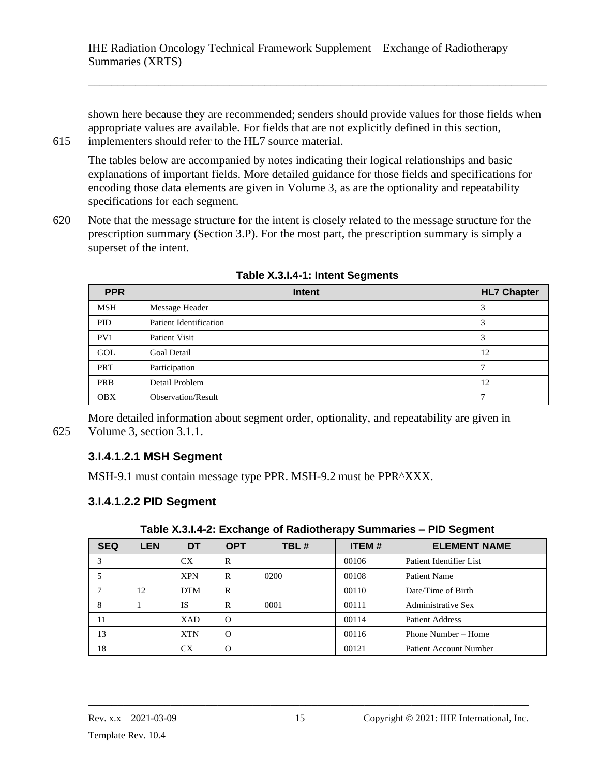shown here because they are recommended; senders should provide values for those fields when appropriate values are available. For fields that are not explicitly defined in this section, 615 implementers should refer to the HL7 source material.

\_\_\_\_\_\_\_\_\_\_\_\_\_\_\_\_\_\_\_\_\_\_\_\_\_\_\_\_\_\_\_\_\_\_\_\_\_\_\_\_\_\_\_\_\_\_\_\_\_\_\_\_\_\_\_\_\_\_\_\_\_\_\_\_\_\_\_\_\_\_\_\_\_\_\_\_\_\_

The tables below are accompanied by notes indicating their logical relationships and basic explanations of important fields. More detailed guidance for those fields and specifications for encoding those data elements are given in Volume 3, as are the optionality and repeatability specifications for each segment.

620 Note that the message structure for the intent is closely related to the message structure for the prescription summary (Section 3.P). For the most part, the prescription summary is simply a superset of the intent.

| <b>PPR</b> | Intent                    | <b>HL7 Chapter</b> |
|------------|---------------------------|--------------------|
| <b>MSH</b> | Message Header            | 3                  |
| <b>PID</b> | Patient Identification    | 3                  |
| PV1        | <b>Patient Visit</b>      | 3                  |
| <b>GOL</b> | <b>Goal Detail</b>        | 12                 |
| PRT        | Participation             | Ξ                  |
| <b>PRB</b> | Detail Problem            | 12                 |
| <b>OBX</b> | <b>Observation/Result</b> | ┑                  |

**Table X.3.I.4-1: Intent Segments**

<span id="page-26-0"></span>More detailed information about segment order, optionality, and repeatability are given in 625 Volume 3, section 3.1.1.

#### **3.I.4.1.2.1 MSH Segment**

MSH-9.1 must contain message type PPR. MSH-9.2 must be PPR^XXX.

# <span id="page-26-1"></span>**3.I.4.1.2.2 PID Segment**

| <b>SEQ</b> | <b>LEN</b> | DT         | <b>OPT</b> | TBL# | <b>ITEM#</b> | <b>ELEMENT NAME</b>           |  |
|------------|------------|------------|------------|------|--------------|-------------------------------|--|
|            |            | CX         | R          |      | 00106        | Patient Identifier List       |  |
|            |            | <b>XPN</b> | R          | 0200 | 00108        | <b>Patient Name</b>           |  |
|            | 12         | <b>DTM</b> | R          |      | 00110        | Date/Time of Birth            |  |
| 8          |            | <b>IS</b>  | R          | 0001 | 00111        | <b>Administrative Sex</b>     |  |
| 11         |            | <b>XAD</b> | $\Omega$   |      | 00114        | <b>Patient Address</b>        |  |
| 13         |            | <b>XTN</b> | $\Omega$   |      | 00116        | Phone Number – Home           |  |
| 18         |            | CX         | $\Omega$   |      | 00121        | <b>Patient Account Number</b> |  |

**Table X.3.I.4-2: Exchange of Radiotherapy Summaries – PID Segment**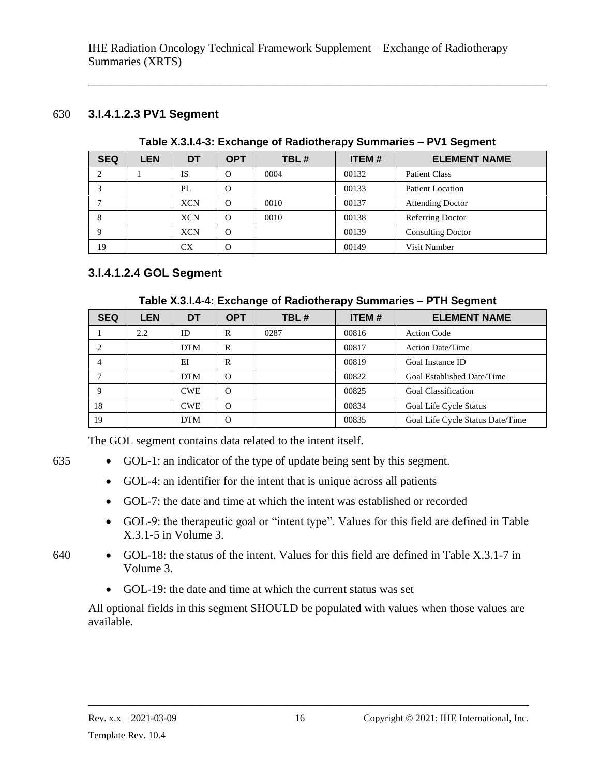#### 630 **3.I.4.1.2.3 PV1 Segment**

| <b>SEQ</b> | <b>LEN</b> | DT         | <b>OPT</b> | TBL# | <b>ITEM#</b> | <b>ELEMENT NAME</b>      |
|------------|------------|------------|------------|------|--------------|--------------------------|
|            |            | <b>IS</b>  | $\Omega$   | 0004 | 00132        | <b>Patient Class</b>     |
|            |            | PL         | $\Omega$   |      | 00133        | Patient Location         |
|            |            | <b>XCN</b> | $\Omega$   | 0010 | 00137        | <b>Attending Doctor</b>  |
| 8          |            | <b>XCN</b> | O          | 0010 | 00138        | Referring Doctor         |
| 9          |            | <b>XCN</b> | $\Omega$   |      | 00139        | <b>Consulting Doctor</b> |
| 19         |            | CX         | $\Omega$   |      | 00149        | Visit Number             |

#### **Table X.3.I.4-3: Exchange of Radiotherapy Summaries – PV1 Segment**

<span id="page-27-0"></span>\_\_\_\_\_\_\_\_\_\_\_\_\_\_\_\_\_\_\_\_\_\_\_\_\_\_\_\_\_\_\_\_\_\_\_\_\_\_\_\_\_\_\_\_\_\_\_\_\_\_\_\_\_\_\_\_\_\_\_\_\_\_\_\_\_\_\_\_\_\_\_\_\_\_\_\_\_\_

#### <span id="page-27-1"></span>**3.I.4.1.2.4 GOL Segment**

| <b>SEQ</b>                    | <b>LEN</b> | DT         | <b>OPT</b> | TBL# | <b>ITEM#</b> | <b>ELEMENT NAME</b>              |
|-------------------------------|------------|------------|------------|------|--------------|----------------------------------|
|                               | 2.2        | ID         | R          | 0287 | 00816        | <b>Action Code</b>               |
| $\mathfrak{D}_{\mathfrak{p}}$ |            | <b>DTM</b> | R          |      | 00817        | <b>Action Date/Time</b>          |
|                               |            | EI         | R          |      | 00819        | Goal Instance ID                 |
|                               |            | <b>DTM</b> | $\Omega$   |      | 00822        | Goal Established Date/Time       |
| 9                             |            | <b>CWE</b> | $\Omega$   |      | 00825        | <b>Goal Classification</b>       |
| 18                            |            | <b>CWE</b> | $\Omega$   |      | 00834        | Goal Life Cycle Status           |
| 19                            |            | <b>DTM</b> | $\Omega$   |      | 00835        | Goal Life Cycle Status Date/Time |

The GOL segment contains data related to the intent itself.

- 635 GOL-1: an indicator of the type of update being sent by this segment.
	- GOL-4: an identifier for the intent that is unique across all patients
	- GOL-7: the date and time at which the intent was established or recorded
	- GOL-9: the therapeutic goal or "intent type". Values for this field are defined in Table X.3.1-5 in Volume 3.
- 
- 640 GOL-18: the status of the intent. Values for this field are defined in Table X.3.1-7 in Volume 3.
	- GOL-19: the date and time at which the current status was set

All optional fields in this segment SHOULD be populated with values when those values are available.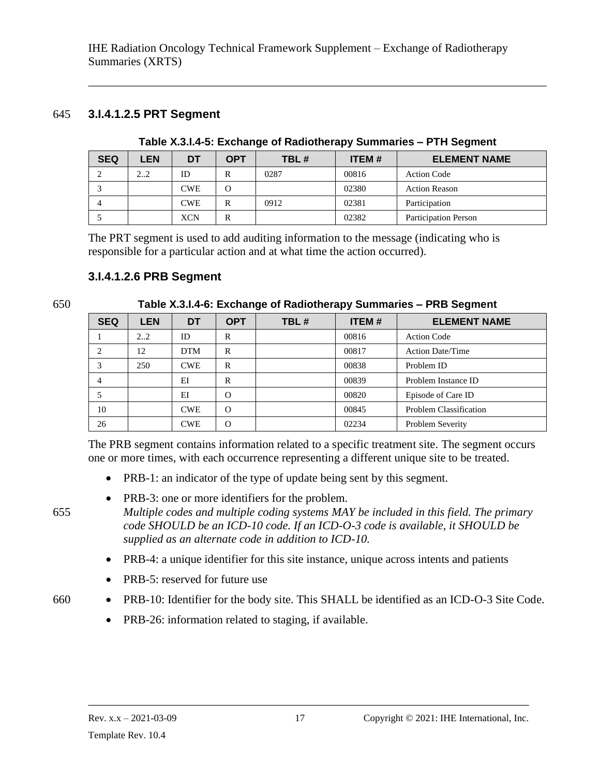#### 645 **3.I.4.1.2.5 PRT Segment**

| <b>SEQ</b> | <b>LEN</b> | <b>DT</b>  | <b>OPT</b> | TBL# | <b>ITEM#</b> | <b>ELEMENT NAME</b>         |
|------------|------------|------------|------------|------|--------------|-----------------------------|
|            | 22         | ID         | R          | 0287 | 00816        | <b>Action Code</b>          |
|            |            | <b>CWE</b> | $\Omega$   |      | 02380        | <b>Action Reason</b>        |
|            |            | <b>CWE</b> | R          | 0912 | 02381        | Participation               |
|            |            | <b>XCN</b> | R          |      | 02382        | <b>Participation Person</b> |

**Table X.3.I.4-5: Exchange of Radiotherapy Summaries – PTH Segment**

<span id="page-28-0"></span>\_\_\_\_\_\_\_\_\_\_\_\_\_\_\_\_\_\_\_\_\_\_\_\_\_\_\_\_\_\_\_\_\_\_\_\_\_\_\_\_\_\_\_\_\_\_\_\_\_\_\_\_\_\_\_\_\_\_\_\_\_\_\_\_\_\_\_\_\_\_\_\_\_\_\_\_\_\_

The PRT segment is used to add auditing information to the message (indicating who is responsible for a particular action and at what time the action occurred).

#### <span id="page-28-1"></span>**3.I.4.1.2.6 PRB Segment**

650 **Table X.3.I.4-6: Exchange of Radiotherapy Summaries – PRB Segment**

| <b>SEQ</b>     | <b>LEN</b> | DT         | <b>OPT</b> | TBL# | <b>ITEM#</b> | <b>ELEMENT NAME</b>           |
|----------------|------------|------------|------------|------|--------------|-------------------------------|
|                | 22         | ID         | R          |      | 00816        | <b>Action Code</b>            |
| 2              | 12         | <b>DTM</b> | R          |      | 00817        | <b>Action Date/Time</b>       |
| 3              | 250        | <b>CWE</b> | R          |      | 00838        | Problem ID                    |
| $\overline{4}$ |            | EI         | R          |      | 00839        | Problem Instance ID           |
|                |            | EI         | $\Omega$   |      | 00820        | Episode of Care ID            |
| 10             |            | <b>CWE</b> | $\Omega$   |      | 00845        | <b>Problem Classification</b> |
| 26             |            | <b>CWE</b> | $\Omega$   |      | 02234        | Problem Severity              |

The PRB segment contains information related to a specific treatment site. The segment occurs one or more times, with each occurrence representing a different unique site to be treated.

- PRB-1: an indicator of the type of update being sent by this segment.
- PRB-3: one or more identifiers for the problem.

655 *Multiple codes and multiple coding systems MAY be included in this field. The primary code SHOULD be an ICD-10 code. If an ICD-O-3 code is available, it SHOULD be supplied as an alternate code in addition to ICD-10.*

- PRB-4: a unique identifier for this site instance, unique across intents and patients
- PRB-5: reserved for future use
- 660 PRB-10: Identifier for the body site. This SHALL be identified as an ICD-O-3 Site Code.
	- PRB-26: information related to staging, if available.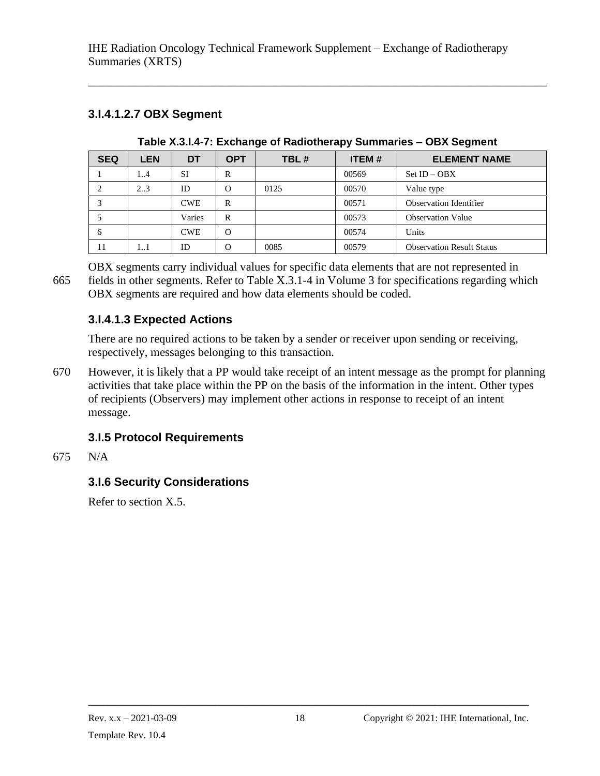# <span id="page-29-0"></span>**3.I.4.1.2.7 OBX Segment**

| <b>SEQ</b> | <b>LEN</b> | DT         | <b>OPT</b> | TBL# | <b>ITEM#</b> | <b>ELEMENT NAME</b>              |
|------------|------------|------------|------------|------|--------------|----------------------------------|
|            | 14         | <b>SI</b>  | R          |      | 00569        | $Set$ ID $-$ OBX                 |
|            | 23         | ID         | $\Omega$   | 0125 | 00570        | Value type                       |
|            |            | <b>CWE</b> | R          |      | 00571        | <b>Observation Identifier</b>    |
|            |            | Varies     | R          |      | 00573        | <b>Observation Value</b>         |
| 6          |            | <b>CWE</b> | $\Omega$   |      | 00574        | Units                            |
| 11         | 11         | ID         | $\Omega$   | 0085 | 00579        | <b>Observation Result Status</b> |

**Table X.3.I.4-7: Exchange of Radiotherapy Summaries – OBX Segment**

\_\_\_\_\_\_\_\_\_\_\_\_\_\_\_\_\_\_\_\_\_\_\_\_\_\_\_\_\_\_\_\_\_\_\_\_\_\_\_\_\_\_\_\_\_\_\_\_\_\_\_\_\_\_\_\_\_\_\_\_\_\_\_\_\_\_\_\_\_\_\_\_\_\_\_\_\_\_

OBX segments carry individual values for specific data elements that are not represented in 665 fields in other segments. Refer to Table X.3.1-4 in Volume 3 for specifications regarding which OBX segments are required and how data elements should be coded.

# <span id="page-29-1"></span>**3.I.4.1.3 Expected Actions**

There are no required actions to be taken by a sender or receiver upon sending or receiving, respectively, messages belonging to this transaction.

670 However, it is likely that a PP would take receipt of an intent message as the prompt for planning activities that take place within the PP on the basis of the information in the intent. Other types of recipients (Observers) may implement other actions in response to receipt of an intent message.

# <span id="page-29-2"></span>**3.I.5 Protocol Requirements**

#### 675 N/A

# <span id="page-29-3"></span>**3.I.6 Security Considerations**

Refer to section X.5.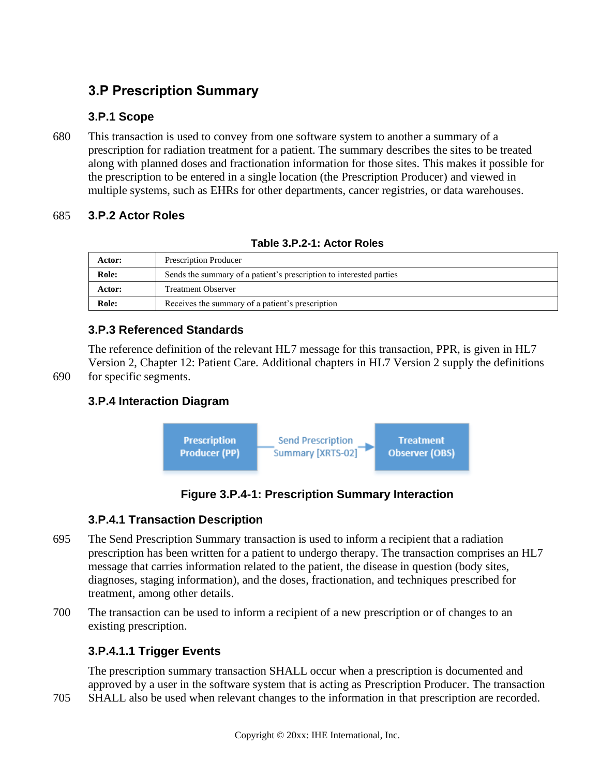# <span id="page-30-0"></span>**3.P Prescription Summary**

### <span id="page-30-1"></span>**3.P.1 Scope**

680 This transaction is used to convey from one software system to another a summary of a prescription for radiation treatment for a patient. The summary describes the sites to be treated along with planned doses and fractionation information for those sites. This makes it possible for the prescription to be entered in a single location (the Prescription Producer) and viewed in multiple systems, such as EHRs for other departments, cancer registries, or data warehouses.

#### <span id="page-30-2"></span>685 **3.P.2 Actor Roles**

| <b>Actor:</b> | <b>Prescription Producer</b>                                        |
|---------------|---------------------------------------------------------------------|
| Role:         | Sends the summary of a patient's prescription to interested parties |
| <b>Actor:</b> | <b>Treatment Observer</b>                                           |
| Role:         | Receives the summary of a patient's prescription                    |

|  | Table 3.P.2-1: Actor Roles |  |
|--|----------------------------|--|
|  |                            |  |

#### <span id="page-30-3"></span>**3.P.3 Referenced Standards**

The reference definition of the relevant HL7 message for this transaction, PPR, is given in HL7 Version 2, Chapter 12: Patient Care. Additional chapters in HL7 Version 2 supply the definitions 690 for specific segments.

# <span id="page-30-4"></span>**3.P.4 Interaction Diagram**



#### **Figure 3.P.4-1: Prescription Summary Interaction**

#### <span id="page-30-5"></span>**3.P.4.1 Transaction Description**

- 695 The Send Prescription Summary transaction is used to inform a recipient that a radiation prescription has been written for a patient to undergo therapy. The transaction comprises an HL7 message that carries information related to the patient, the disease in question (body sites, diagnoses, staging information), and the doses, fractionation, and techniques prescribed for treatment, among other details.
- 700 The transaction can be used to inform a recipient of a new prescription or of changes to an existing prescription.

# <span id="page-30-6"></span>**3.P.4.1.1 Trigger Events**

The prescription summary transaction SHALL occur when a prescription is documented and approved by a user in the software system that is acting as Prescription Producer. The transaction

705 SHALL also be used when relevant changes to the information in that prescription are recorded.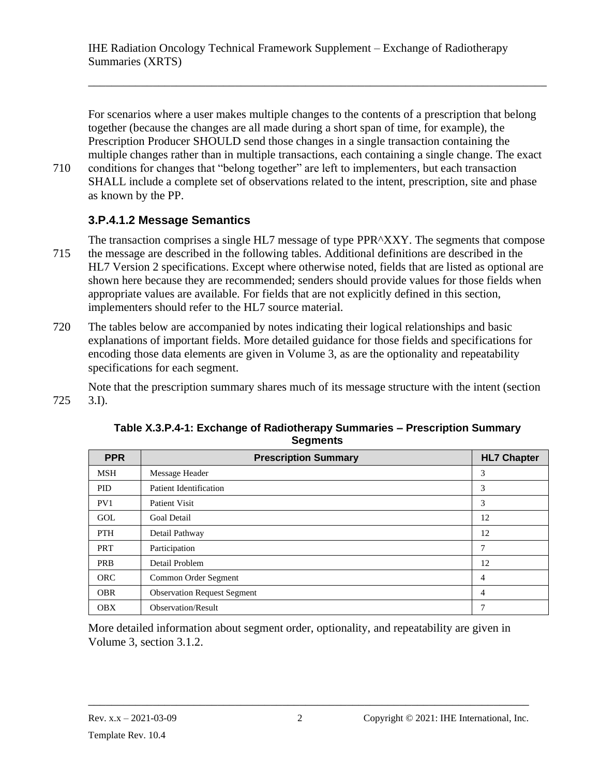For scenarios where a user makes multiple changes to the contents of a prescription that belong together (because the changes are all made during a short span of time, for example), the Prescription Producer SHOULD send those changes in a single transaction containing the multiple changes rather than in multiple transactions, each containing a single change. The exact 710 conditions for changes that "belong together" are left to implementers, but each transaction SHALL include a complete set of observations related to the intent, prescription, site and phase

\_\_\_\_\_\_\_\_\_\_\_\_\_\_\_\_\_\_\_\_\_\_\_\_\_\_\_\_\_\_\_\_\_\_\_\_\_\_\_\_\_\_\_\_\_\_\_\_\_\_\_\_\_\_\_\_\_\_\_\_\_\_\_\_\_\_\_\_\_\_\_\_\_\_\_\_\_\_

#### <span id="page-31-0"></span>**3.P.4.1.2 Message Semantics**

as known by the PP.

- The transaction comprises a single HL7 message of type PPR^XXY. The segments that compose 715 the message are described in the following tables. Additional definitions are described in the HL7 Version 2 specifications. Except where otherwise noted, fields that are listed as optional are shown here because they are recommended; senders should provide values for those fields when appropriate values are available. For fields that are not explicitly defined in this section, implementers should refer to the HL7 source material.
- 720 The tables below are accompanied by notes indicating their logical relationships and basic explanations of important fields. More detailed guidance for those fields and specifications for encoding those data elements are given in Volume 3, as are the optionality and repeatability specifications for each segment.

Note that the prescription summary shares much of its message structure with the intent (section 725 3.I).

| <b>PPR</b> | <b>Prescription Summary</b>        | <b>HL7 Chapter</b> |
|------------|------------------------------------|--------------------|
| <b>MSH</b> | Message Header                     | 3                  |
| <b>PID</b> | <b>Patient Identification</b>      | 3                  |
| PV1        | Patient Visit                      | 3                  |
| GOL        | <b>Goal Detail</b>                 | 12                 |
| <b>PTH</b> | Detail Pathway                     | 12                 |
| <b>PRT</b> | Participation                      | 7                  |
| <b>PRB</b> | Detail Problem                     | 12                 |
| <b>ORC</b> | Common Order Segment               | 4                  |
| <b>OBR</b> | <b>Observation Request Segment</b> | 4                  |
| <b>OBX</b> | <b>Observation/Result</b>          | 7                  |

**Table X.3.P.4-1: Exchange of Radiotherapy Summaries – Prescription Summary Segments**

<span id="page-31-1"></span>More detailed information about segment order, optionality, and repeatability are given in Volume 3, section 3.1.2.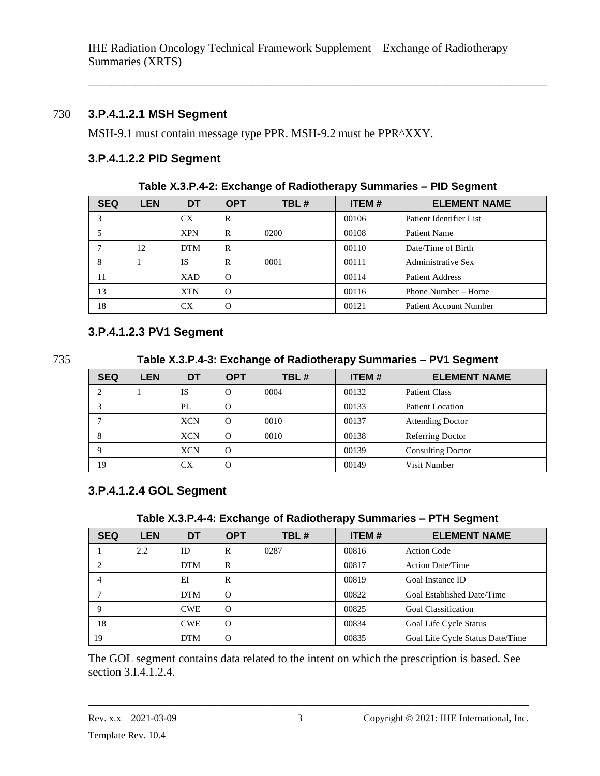#### 730 **3.P.4.1.2.1 MSH Segment**

MSH-9.1 must contain message type PPR. MSH-9.2 must be PPR^XXY.

#### <span id="page-32-0"></span>**3.P.4.1.2.2 PID Segment**

| <b>SEQ</b> | <b>LEN</b> | DT         | <b>OPT</b> | TBL# | <b>ITEM#</b> | <b>ELEMENT NAME</b>           |  |  |  |  |
|------------|------------|------------|------------|------|--------------|-------------------------------|--|--|--|--|
|            |            | CX         | R          |      | 00106        | Patient Identifier List       |  |  |  |  |
|            |            | <b>XPN</b> | R          | 0200 | 00108        | <b>Patient Name</b>           |  |  |  |  |
|            | 12         | <b>DTM</b> | R          |      | 00110        | Date/Time of Birth            |  |  |  |  |
| 8          |            | <b>IS</b>  | R          | 0001 | 00111        | <b>Administrative Sex</b>     |  |  |  |  |
| 11         |            | <b>XAD</b> | $\Omega$   |      | 00114        | <b>Patient Address</b>        |  |  |  |  |
| 13         |            | <b>XTN</b> | $\Omega$   |      | 00116        | Phone Number – Home           |  |  |  |  |
| 18         |            | CX         | $\Omega$   |      | 00121        | <b>Patient Account Number</b> |  |  |  |  |

**Table X.3.P.4-2: Exchange of Radiotherapy Summaries – PID Segment**

\_\_\_\_\_\_\_\_\_\_\_\_\_\_\_\_\_\_\_\_\_\_\_\_\_\_\_\_\_\_\_\_\_\_\_\_\_\_\_\_\_\_\_\_\_\_\_\_\_\_\_\_\_\_\_\_\_\_\_\_\_\_\_\_\_\_\_\_\_\_\_\_\_\_\_\_\_\_

#### <span id="page-32-1"></span>**3.P.4.1.2.3 PV1 Segment**

735 **Table X.3.P.4-3: Exchange of Radiotherapy Summaries – PV1 Segment**

| <b>SEQ</b> | LEN | DT         | <b>OPT</b> | TBL# | <b>ITEM#</b> | <b>ELEMENT NAME</b>      |
|------------|-----|------------|------------|------|--------------|--------------------------|
|            |     | IS         | $\Omega$   | 0004 | 00132        | <b>Patient Class</b>     |
|            |     | PL         | $\Omega$   |      | 00133        | Patient Location         |
|            |     | <b>XCN</b> | $\Omega$   | 0010 | 00137        | <b>Attending Doctor</b>  |
| 8          |     | <b>XCN</b> | $\Omega$   | 0010 | 00138        | Referring Doctor         |
|            |     | <b>XCN</b> | $\Omega$   |      | 00139        | <b>Consulting Doctor</b> |
| 19         |     | СX         |            |      | 00149        | Visit Number             |

#### <span id="page-32-2"></span>**3.P.4.1.2.4 GOL Segment**

| Table X.3.P.4-4: Exchange of Radiotherapy Summaries - PTH Segment |  |  |
|-------------------------------------------------------------------|--|--|

| <b>SEQ</b>                  | <b>LEN</b> | DT         | <b>OPT</b> | TBL# | <b>ITEM#</b> | <b>ELEMENT NAME</b>              |
|-----------------------------|------------|------------|------------|------|--------------|----------------------------------|
|                             | 2.2        | ID         | R          | 0287 | 00816        | <b>Action Code</b>               |
| $\mathcal{D}_{\mathcal{L}}$ |            | <b>DTM</b> | R          |      | 00817        | <b>Action Date/Time</b>          |
| 4                           |            | EI         | R          |      | 00819        | Goal Instance ID                 |
|                             |            | <b>DTM</b> | $\Omega$   |      | 00822        | Goal Established Date/Time       |
| 9                           |            | <b>CWE</b> | $\Omega$   |      | 00825        | <b>Goal Classification</b>       |
| 18                          |            | <b>CWE</b> | $\Omega$   |      | 00834        | Goal Life Cycle Status           |
| 19                          |            | <b>DTM</b> | $\Omega$   |      | 00835        | Goal Life Cycle Status Date/Time |

The GOL segment contains data related to the intent on which the prescription is based. See section 3.I.4.1.2.4.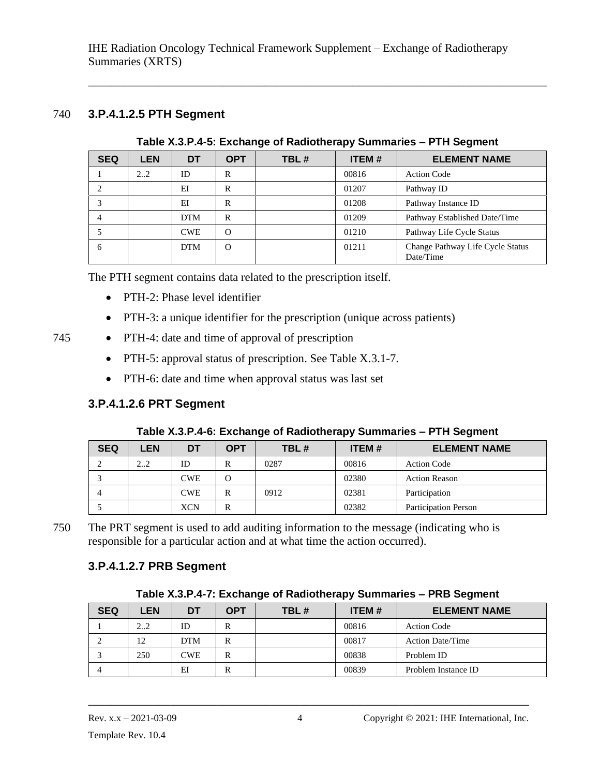#### 740 **3.P.4.1.2.5 PTH Segment**

**Table X.3.P.4-5: Exchange of Radiotherapy Summaries – PTH Segment**

<span id="page-33-0"></span>\_\_\_\_\_\_\_\_\_\_\_\_\_\_\_\_\_\_\_\_\_\_\_\_\_\_\_\_\_\_\_\_\_\_\_\_\_\_\_\_\_\_\_\_\_\_\_\_\_\_\_\_\_\_\_\_\_\_\_\_\_\_\_\_\_\_\_\_\_\_\_\_\_\_\_\_\_\_

| <b>SEQ</b> | <b>LEN</b> | DT         | <b>OPT</b> | TBL# | <b>ITEM#</b> | <b>ELEMENT NAME</b>                           |
|------------|------------|------------|------------|------|--------------|-----------------------------------------------|
|            | 22         | ID         | R          |      | 00816        | <b>Action Code</b>                            |
|            |            | EI         | R          |      | 01207        | Pathway ID                                    |
|            |            | EI         | R          |      | 01208        | Pathway Instance ID                           |
| 4          |            | <b>DTM</b> | R          |      | 01209        | Pathway Established Date/Time                 |
|            |            | <b>CWE</b> | $\Omega$   |      | 01210        | Pathway Life Cycle Status                     |
| 6          |            | <b>DTM</b> | $\Omega$   |      | 01211        | Change Pathway Life Cycle Status<br>Date/Time |

The PTH segment contains data related to the prescription itself.

- PTH-2: Phase level identifier
- PTH-3: a unique identifier for the prescription (unique across patients)
- 745 PTH-4: date and time of approval of prescription
	- PTH-5: approval status of prescription. See Table X.3.1-7.
	- PTH-6: date and time when approval status was last set

#### <span id="page-33-1"></span>**3.P.4.1.2.6 PRT Segment**

#### **Table X.3.P.4-6: Exchange of Radiotherapy Summaries – PTH Segment**

| <b>SEQ</b> | <b>LEN</b> | DT  | <b>OPT</b> | TBL# | <b>ITEM#</b> | <b>ELEMENT NAME</b>         |
|------------|------------|-----|------------|------|--------------|-----------------------------|
|            | 22         | ID  | R          | 0287 | 00816        | <b>Action Code</b>          |
|            |            | CWE |            |      | 02380        | <b>Action Reason</b>        |
| 4          |            | CWE | R          | 0912 | 02381        | Participation               |
|            |            | XCN | R          |      | 02382        | <b>Participation Person</b> |

750 The PRT segment is used to add auditing information to the message (indicating who is responsible for a particular action and at what time the action occurred).

#### <span id="page-33-2"></span>**3.P.4.1.2.7 PRB Segment**

| <b>SEQ</b> | <b>LEN</b> | DT         | <b>OPT</b> | TBL# | <b>ITEM#</b> | <b>ELEMENT NAME</b>     |
|------------|------------|------------|------------|------|--------------|-------------------------|
|            | 22         | ID         | R          |      | 00816        | <b>Action Code</b>      |
|            | 12         | <b>DTM</b> | R          |      | 00817        | <b>Action Date/Time</b> |
|            | 250        | CWE.       | R          |      | 00838        | Problem ID              |
|            |            | EI         | R          |      | 00839        | Problem Instance ID     |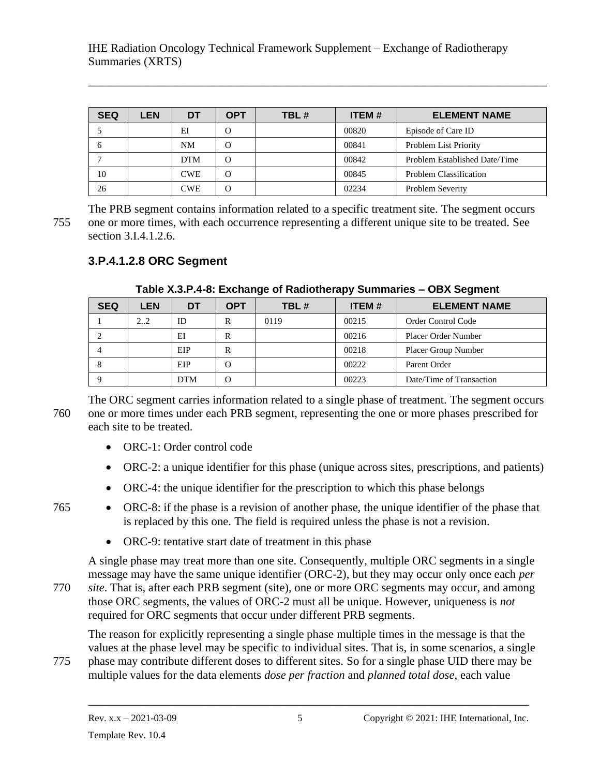| <b>SEQ</b> | LEN | DT         | <b>OPT</b> | TBL# | <b>ITEM#</b> | <b>ELEMENT NAME</b>           |
|------------|-----|------------|------------|------|--------------|-------------------------------|
|            |     | EI         | $\Omega$   |      | 00820        | Episode of Care ID            |
| n          |     | <b>NM</b>  | $\Omega$   |      | 00841        | Problem List Priority         |
|            |     | <b>DTM</b> | $\Omega$   |      | 00842        | Problem Established Date/Time |
| 10         |     | <b>CWE</b> | $\Omega$   |      | 00845        | <b>Problem Classification</b> |
| 26         |     | CWE        | $\Omega$   |      | 02234        | <b>Problem Severity</b>       |

\_\_\_\_\_\_\_\_\_\_\_\_\_\_\_\_\_\_\_\_\_\_\_\_\_\_\_\_\_\_\_\_\_\_\_\_\_\_\_\_\_\_\_\_\_\_\_\_\_\_\_\_\_\_\_\_\_\_\_\_\_\_\_\_\_\_\_\_\_\_\_\_\_\_\_\_\_\_

The PRB segment contains information related to a specific treatment site. The segment occurs 755 one or more times, with each occurrence representing a different unique site to be treated. See section 3.I.4.1.2.6.

#### <span id="page-34-0"></span>**3.P.4.1.2.8 ORC Segment**

| <b>SEQ</b> | <b>LEN</b> | DT         | <b>OPT</b> | TBL# | <b>ITEM#</b> | <b>ELEMENT NAME</b>        |  |  |  |
|------------|------------|------------|------------|------|--------------|----------------------------|--|--|--|
|            | 2.2        | ID         | R          | 0119 | 00215        | <b>Order Control Code</b>  |  |  |  |
|            |            | EI         | R          |      | 00216        | <b>Placer Order Number</b> |  |  |  |
|            |            | EIP        | R          |      | 00218        | Placer Group Number        |  |  |  |
| 8          |            | EIP        | O          |      | 00222        | Parent Order               |  |  |  |
|            |            | <b>DTM</b> | О          |      | 00223        | Date/Time of Transaction   |  |  |  |

**Table X.3.P.4-8: Exchange of Radiotherapy Summaries – OBX Segment**

The ORC segment carries information related to a single phase of treatment. The segment occurs 760 one or more times under each PRB segment, representing the one or more phases prescribed for each site to be treated.

- ORC-1: Order control code
- ORC-2: a unique identifier for this phase (unique across sites, prescriptions, and patients)
- ORC-4: the unique identifier for the prescription to which this phase belongs
- 765 ORC-8: if the phase is a revision of another phase, the unique identifier of the phase that is replaced by this one. The field is required unless the phase is not a revision.
	- ORC-9: tentative start date of treatment in this phase

A single phase may treat more than one site. Consequently, multiple ORC segments in a single message may have the same unique identifier (ORC-2), but they may occur only once each *per*  770 *site*. That is, after each PRB segment (site), one or more ORC segments may occur, and among those ORC segments, the values of ORC-2 must all be unique. However, uniqueness is *not* required for ORC segments that occur under different PRB segments.

The reason for explicitly representing a single phase multiple times in the message is that the values at the phase level may be specific to individual sites. That is, in some scenarios, a single 775 phase may contribute different doses to different sites. So for a single phase UID there may be

\_\_\_\_\_\_\_\_\_\_\_\_\_\_\_\_\_\_\_\_\_\_\_\_\_\_\_\_\_\_\_\_\_\_\_\_\_\_\_\_\_\_\_\_\_\_\_\_\_\_\_\_\_\_\_\_\_\_\_\_\_\_\_\_\_\_\_\_\_\_\_\_\_\_\_

multiple values for the data elements *dose per fraction* and *planned total dose*, each value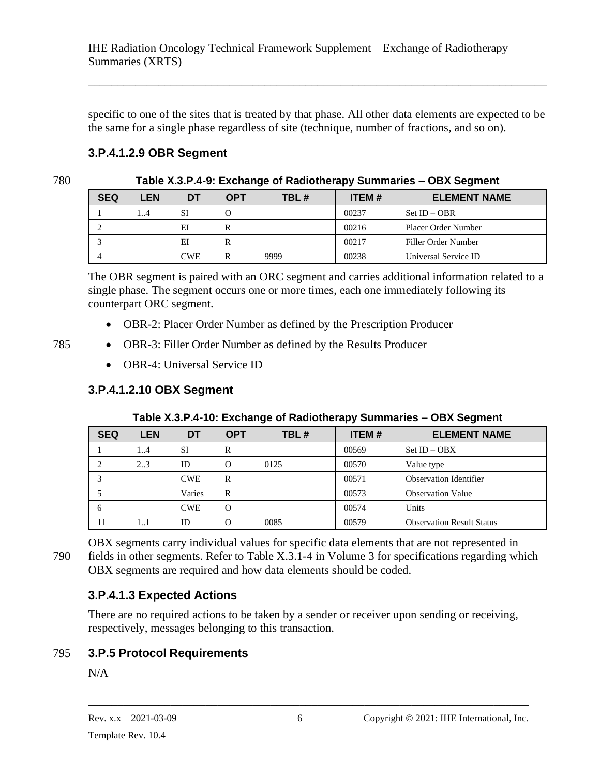specific to one of the sites that is treated by that phase. All other data elements are expected to be the same for a single phase regardless of site (technique, number of fractions, and so on).

\_\_\_\_\_\_\_\_\_\_\_\_\_\_\_\_\_\_\_\_\_\_\_\_\_\_\_\_\_\_\_\_\_\_\_\_\_\_\_\_\_\_\_\_\_\_\_\_\_\_\_\_\_\_\_\_\_\_\_\_\_\_\_\_\_\_\_\_\_\_\_\_\_\_\_\_\_\_

#### <span id="page-35-0"></span>**3.P.4.1.2.9 OBR Segment**

780 **Table X.3.P.4-9: Exchange of Radiotherapy Summaries – OBX Segment**

| <b>SEQ</b> | LEN | <b>DT</b> | <b>OPT</b> | TBL# | <b>ITEM#</b> | <b>ELEMENT NAME</b>  |
|------------|-----|-----------|------------|------|--------------|----------------------|
|            | . 4 | <b>SI</b> | O          |      | 00237        | $Set ID - OBR$       |
|            |     | EI        | R          |      | 00216        | Placer Order Number  |
|            |     | EI        | R          |      | 00217        | Filler Order Number  |
|            |     | CWE       | R          | 9999 | 00238        | Universal Service ID |

The OBR segment is paired with an ORC segment and carries additional information related to a single phase. The segment occurs one or more times, each one immediately following its counterpart ORC segment.

- OBR-2: Placer Order Number as defined by the Prescription Producer
- 785 OBR-3: Filler Order Number as defined by the Results Producer
	- OBR-4: Universal Service ID

# <span id="page-35-1"></span>**3.P.4.1.2.10 OBX Segment**

| <b>SEQ</b> | <b>LEN</b> | DT         | <b>OPT</b> | TBL# | <b>ITEM#</b> | <b>ELEMENT NAME</b>              |
|------------|------------|------------|------------|------|--------------|----------------------------------|
|            | 14         | SI         | R          |      | 00569        | $Set$ ID $-$ OBX                 |
|            | 23         | ID         | $\Omega$   | 0125 | 00570        | Value type                       |
|            |            | <b>CWE</b> | R          |      | 00571        | <b>Observation Identifier</b>    |
|            |            | Varies     | R          |      | 00573        | <b>Observation Value</b>         |
| 6          |            | <b>CWE</b> | $\Omega$   |      | 00574        | Units                            |
| 11         | 11         | ID         | $\Omega$   | 0085 | 00579        | <b>Observation Result Status</b> |

OBX segments carry individual values for specific data elements that are not represented in 790 fields in other segments. Refer to Table X.3.1-4 in Volume 3 for specifications regarding which OBX segments are required and how data elements should be coded.

# <span id="page-35-2"></span>**3.P.4.1.3 Expected Actions**

<span id="page-35-3"></span>There are no required actions to be taken by a sender or receiver upon sending or receiving, respectively, messages belonging to this transaction.

# 795 **3.P.5 Protocol Requirements**

 $N/A$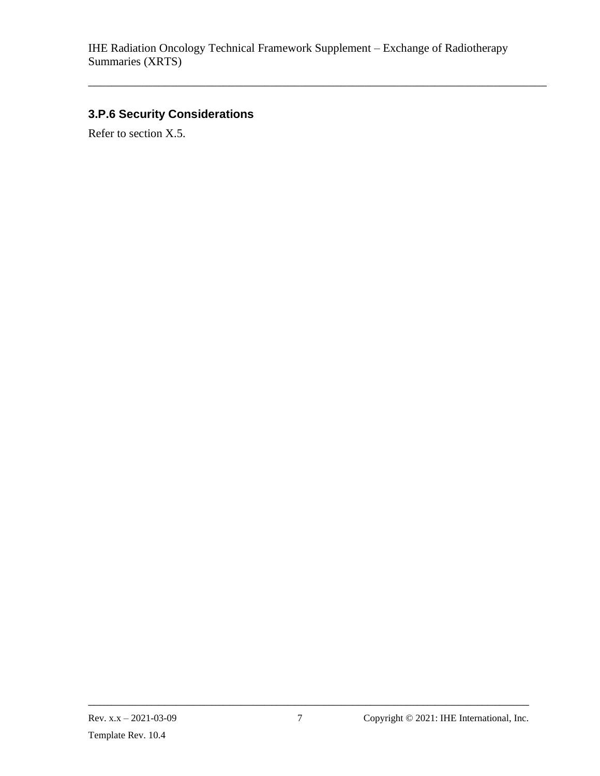\_\_\_\_\_\_\_\_\_\_\_\_\_\_\_\_\_\_\_\_\_\_\_\_\_\_\_\_\_\_\_\_\_\_\_\_\_\_\_\_\_\_\_\_\_\_\_\_\_\_\_\_\_\_\_\_\_\_\_\_\_\_\_\_\_\_\_\_\_\_\_\_\_\_\_\_\_\_

# <span id="page-36-0"></span>**3.P.6 Security Considerations**

Refer to section X.5.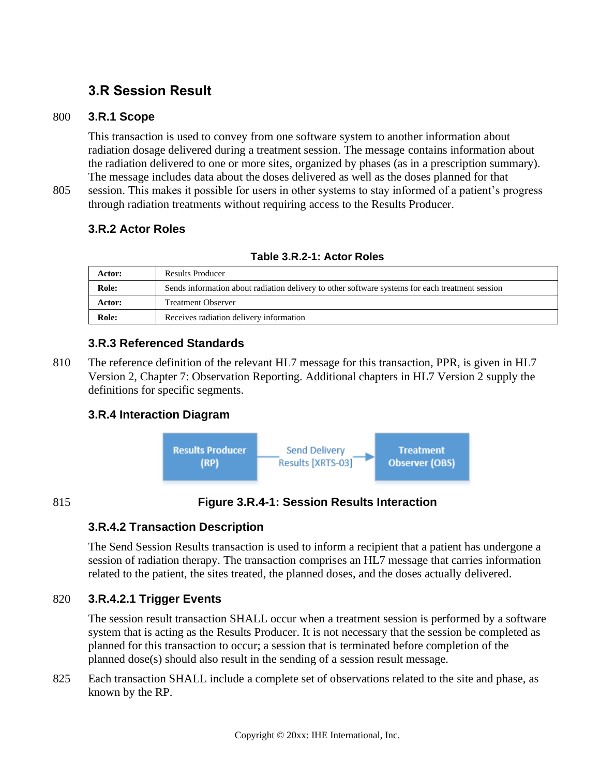# <span id="page-37-1"></span><span id="page-37-0"></span>**3.R Session Result**

#### 800 **3.R.1 Scope**

This transaction is used to convey from one software system to another information about radiation dosage delivered during a treatment session. The message contains information about the radiation delivered to one or more sites, organized by phases (as in a prescription summary). The message includes data about the doses delivered as well as the doses planned for that

805 session. This makes it possible for users in other systems to stay informed of a patient's progress through radiation treatments without requiring access to the Results Producer.

#### <span id="page-37-2"></span>**3.R.2 Actor Roles**

| Actor: | Results Producer                                                                                |
|--------|-------------------------------------------------------------------------------------------------|
| Role:  | Sends information about radiation delivery to other software systems for each treatment session |
| Actor: | <b>Treatment Observer</b>                                                                       |
| Role:  | Receives radiation delivery information                                                         |

#### <span id="page-37-3"></span>**3.R.3 Referenced Standards**

810 The reference definition of the relevant HL7 message for this transaction, PPR, is given in HL7 Version 2, Chapter 7: Observation Reporting. Additional chapters in HL7 Version 2 supply the definitions for specific segments.

#### <span id="page-37-4"></span>**3.R.4 Interaction Diagram**



#### 815 **Figure 3.R.4-1: Session Results Interaction**

#### <span id="page-37-5"></span>**3.R.4.2 Transaction Description**

The Send Session Results transaction is used to inform a recipient that a patient has undergone a session of radiation therapy. The transaction comprises an HL7 message that carries information related to the patient, the sites treated, the planned doses, and the doses actually delivered.

#### 820 **3.R.4.2.1 Trigger Events**

<span id="page-37-6"></span>The session result transaction SHALL occur when a treatment session is performed by a software system that is acting as the Results Producer. It is not necessary that the session be completed as planned for this transaction to occur; a session that is terminated before completion of the planned dose(s) should also result in the sending of a session result message.

825 Each transaction SHALL include a complete set of observations related to the site and phase, as known by the RP.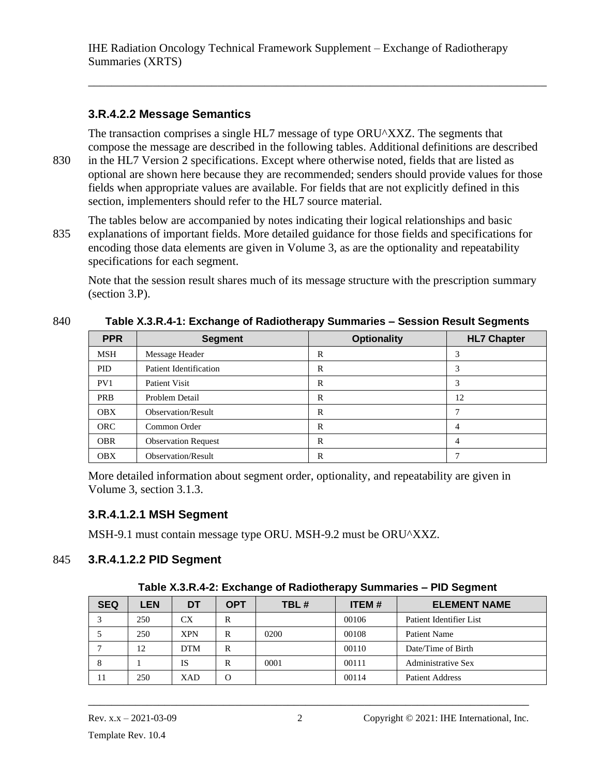#### <span id="page-38-0"></span>**3.R.4.2.2 Message Semantics**

The transaction comprises a single HL7 message of type ORU^XXZ. The segments that compose the message are described in the following tables. Additional definitions are described

\_\_\_\_\_\_\_\_\_\_\_\_\_\_\_\_\_\_\_\_\_\_\_\_\_\_\_\_\_\_\_\_\_\_\_\_\_\_\_\_\_\_\_\_\_\_\_\_\_\_\_\_\_\_\_\_\_\_\_\_\_\_\_\_\_\_\_\_\_\_\_\_\_\_\_\_\_\_

830 in the HL7 Version 2 specifications. Except where otherwise noted, fields that are listed as optional are shown here because they are recommended; senders should provide values for those fields when appropriate values are available. For fields that are not explicitly defined in this section, implementers should refer to the HL7 source material.

The tables below are accompanied by notes indicating their logical relationships and basic 835 explanations of important fields. More detailed guidance for those fields and specifications for encoding those data elements are given in Volume 3, as are the optionality and repeatability specifications for each segment.

Note that the session result shares much of its message structure with the prescription summary (section 3.P).

| <b>PPR</b> | <b>Segment</b>                | <b>Optionality</b> | <b>HL7 Chapter</b> |  |  |  |  |  |  |  |
|------------|-------------------------------|--------------------|--------------------|--|--|--|--|--|--|--|
| MSH        | Message Header                | R                  | 3                  |  |  |  |  |  |  |  |
| <b>PID</b> | <b>Patient Identification</b> | R                  | 3                  |  |  |  |  |  |  |  |
| PV1        | <b>Patient Visit</b>          | R                  | 3                  |  |  |  |  |  |  |  |
| <b>PRB</b> | Problem Detail                | R                  | 12                 |  |  |  |  |  |  |  |
| <b>OBX</b> | Observation/Result            | R                  |                    |  |  |  |  |  |  |  |
| <b>ORC</b> | Common Order                  | R                  | 4                  |  |  |  |  |  |  |  |
| <b>OBR</b> | <b>Observation Request</b>    | R                  | 4                  |  |  |  |  |  |  |  |
| <b>OBX</b> | Observation/Result            | R                  |                    |  |  |  |  |  |  |  |

#### 840 **Table X.3.R.4-1: Exchange of Radiotherapy Summaries – Session Result Segments**

<span id="page-38-1"></span>More detailed information about segment order, optionality, and repeatability are given in Volume 3, section 3.1.3.

#### **3.R.4.1.2.1 MSH Segment**

<span id="page-38-2"></span>MSH-9.1 must contain message type ORU. MSH-9.2 must be ORU^XXZ.

#### 845 **3.R.4.1.2.2 PID Segment**

#### **Table X.3.R.4-2: Exchange of Radiotherapy Summaries – PID Segment**

| <b>SEQ</b> | <b>LEN</b> | DT         | <b>OPT</b> | TBL# | <b>ITEM#</b> | <b>ELEMENT NAME</b>       |
|------------|------------|------------|------------|------|--------------|---------------------------|
|            | 250        | CX         | R          |      | 00106        | Patient Identifier List   |
|            | 250        | <b>XPN</b> | R          | 0200 | 00108        | Patient Name              |
|            | 12         | <b>DTM</b> | R          |      | 00110        | Date/Time of Birth        |
| 8          |            | IS         | R          | 0001 | 00111        | <b>Administrative Sex</b> |
| 11         | 250        | XAD        |            |      | 00114        | <b>Patient Address</b>    |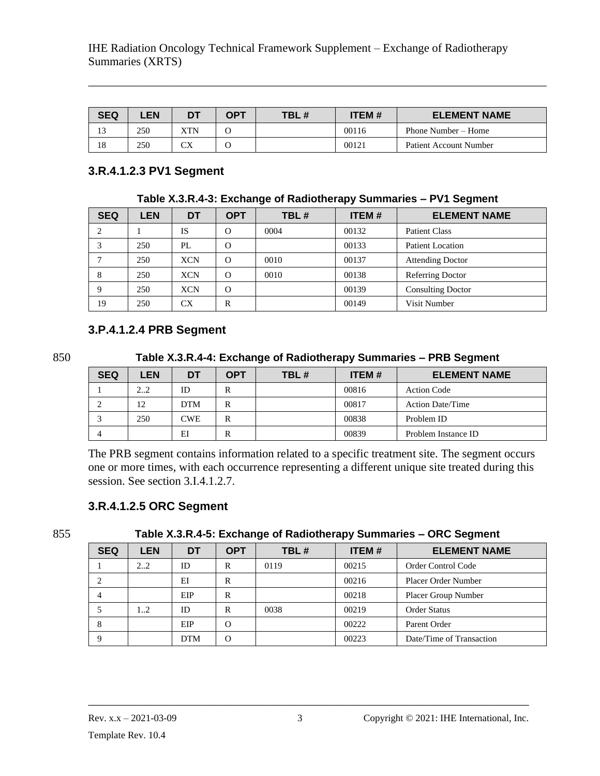| <b>SEQ</b>                     | ∠EN | <b>DT</b> | OPT | TBL# | <b>ITEM#</b> | <b>ELEMENT NAME</b>    |
|--------------------------------|-----|-----------|-----|------|--------------|------------------------|
| $\overline{\phantom{a}}$<br>13 | 250 | XTN       |     |      | 00116        | Phone Number – Home    |
| 18                             | 250 | СX        |     |      | 00121        | Patient Account Number |

\_\_\_\_\_\_\_\_\_\_\_\_\_\_\_\_\_\_\_\_\_\_\_\_\_\_\_\_\_\_\_\_\_\_\_\_\_\_\_\_\_\_\_\_\_\_\_\_\_\_\_\_\_\_\_\_\_\_\_\_\_\_\_\_\_\_\_\_\_\_\_\_\_\_\_\_\_\_

#### <span id="page-39-0"></span>**3.R.4.1.2.3 PV1 Segment**

**Table X.3.R.4-3: Exchange of Radiotherapy Summaries – PV1 Segment**

| <b>SEQ</b> | LEN | DT         | <b>OPT</b> | TBL# | <b>ITEM#</b> | <b>ELEMENT NAME</b>      |
|------------|-----|------------|------------|------|--------------|--------------------------|
|            |     | IS         | $\Omega$   | 0004 | 00132        | <b>Patient Class</b>     |
|            | 250 | PL         | $\Omega$   |      | 00133        | <b>Patient Location</b>  |
|            | 250 | <b>XCN</b> | $\Omega$   | 0010 | 00137        | <b>Attending Doctor</b>  |
| 8          | 250 | <b>XCN</b> | $\Omega$   | 0010 | 00138        | Referring Doctor         |
| Q          | 250 | <b>XCN</b> | $\Omega$   |      | 00139        | <b>Consulting Doctor</b> |
| 19         | 250 | СX         | R          |      | 00149        | Visit Number             |

#### <span id="page-39-1"></span>**3.P.4.1.2.4 PRB Segment**

850 **Table X.3.R.4-4: Exchange of Radiotherapy Summaries – PRB Segment**

| <b>SEQ</b> | LEN | DT         | OPT | TBL# | <b>ITEM#</b> | <b>ELEMENT NAME</b>     |
|------------|-----|------------|-----|------|--------------|-------------------------|
|            | 22  | ID         | R   |      | 00816        | <b>Action Code</b>      |
|            | 12  | <b>DTM</b> | R   |      | 00817        | <b>Action Date/Time</b> |
|            | 250 | CWE        | R   |      | 00838        | Problem ID              |
|            |     | EI         | R   |      | 00839        | Problem Instance ID     |

The PRB segment contains information related to a specific treatment site. The segment occurs one or more times, with each occurrence representing a different unique site treated during this session. See section 3.I.4.1.2.7.

#### <span id="page-39-2"></span>**3.R.4.1.2.5 ORC Segment**

855 **Table X.3.R.4-5: Exchange of Radiotherapy Summaries – ORC Segment**

| <b>SEQ</b> | <b>LEN</b> | DT         | <b>OPT</b> | TBL# | <b>ITEM#</b> | <b>ELEMENT NAME</b>        |  |
|------------|------------|------------|------------|------|--------------|----------------------------|--|
|            | 22         | ID         | R          | 0119 | 00215        | <b>Order Control Code</b>  |  |
|            |            | EI         | R          |      | 00216        | <b>Placer Order Number</b> |  |
|            |            | EIP        | R          |      | 00218        | <b>Placer Group Number</b> |  |
|            | 12         | ID         | R          | 0038 | 00219        | <b>Order Status</b>        |  |
| 8          |            | EIP        | $\Omega$   |      | 00222        | Parent Order               |  |
| 9          |            | <b>DTM</b> | $\Omega$   |      | 00223        | Date/Time of Transaction   |  |
|            |            |            |            |      |              |                            |  |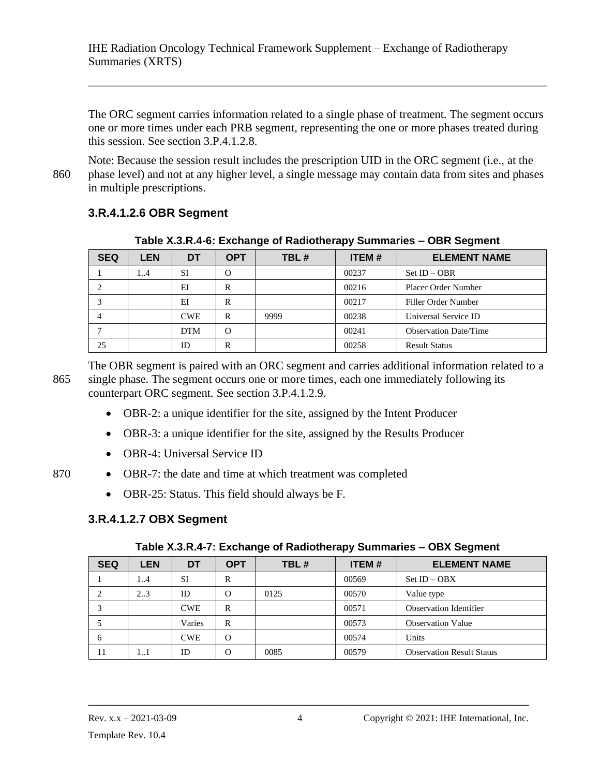The ORC segment carries information related to a single phase of treatment. The segment occurs one or more times under each PRB segment, representing the one or more phases treated during this session. See section 3.P.4.1.2.8.

\_\_\_\_\_\_\_\_\_\_\_\_\_\_\_\_\_\_\_\_\_\_\_\_\_\_\_\_\_\_\_\_\_\_\_\_\_\_\_\_\_\_\_\_\_\_\_\_\_\_\_\_\_\_\_\_\_\_\_\_\_\_\_\_\_\_\_\_\_\_\_\_\_\_\_\_\_\_

Note: Because the session result includes the prescription UID in the ORC segment (i.e., at the 860 phase level) and not at any higher level, a single message may contain data from sites and phases in multiple prescriptions.

### <span id="page-40-0"></span>**3.R.4.1.2.6 OBR Segment**

| <b>SEQ</b> | <b>LEN</b> | DT         | <b>OPT</b> | TBL# | <b>ITEM#</b> | <b>ELEMENT NAME</b>          |  |  |
|------------|------------|------------|------------|------|--------------|------------------------------|--|--|
|            | 14         | -SI        | $\Omega$   |      | 00237        | $Set ID - OBR$               |  |  |
|            |            | EI         | R          |      | 00216        | Placer Order Number          |  |  |
|            |            | EI         | R          |      | 00217        | Filler Order Number          |  |  |
|            |            | <b>CWE</b> | R          | 9999 | 00238        | Universal Service ID         |  |  |
|            |            | <b>DTM</b> | $\Omega$   |      | 00241        | <b>Observation Date/Time</b> |  |  |
| 25         |            | ID         | R          |      | 00258        | <b>Result Status</b>         |  |  |

**Table X.3.R.4-6: Exchange of Radiotherapy Summaries – OBR Segment**

The OBR segment is paired with an ORC segment and carries additional information related to a 865 single phase. The segment occurs one or more times, each one immediately following its counterpart ORC segment. See section 3.P.4.1.2.9.

- OBR-2: a unique identifier for the site, assigned by the Intent Producer
- OBR-3: a unique identifier for the site, assigned by the Results Producer
- OBR-4: Universal Service ID
- 870 OBR-7: the date and time at which treatment was completed
	- OBR-25: Status. This field should always be F.

# <span id="page-40-1"></span>**3.R.4.1.2.7 OBX Segment**

#### **Table X.3.R.4-7: Exchange of Radiotherapy Summaries – OBX Segment**

| <b>SEQ</b> | <b>LEN</b> | DT         | <b>OPT</b> | TBL# | <b>ITEM#</b> | <b>ELEMENT NAME</b>              |
|------------|------------|------------|------------|------|--------------|----------------------------------|
|            | 14         | <b>SI</b>  | R          |      | 00569        | $Set$ ID $-$ OBX                 |
| 2          | 23         | ID         | O          | 0125 | 00570        | Value type                       |
|            |            | <b>CWE</b> | R          |      | 00571        | <b>Observation Identifier</b>    |
|            |            | Varies     | R          |      | 00573        | <b>Observation Value</b>         |
| 6          |            | <b>CWE</b> | $\Omega$   |      | 00574        | Units                            |
| 11         | 11         | ID         | $\Omega$   | 0085 | 00579        | <b>Observation Result Status</b> |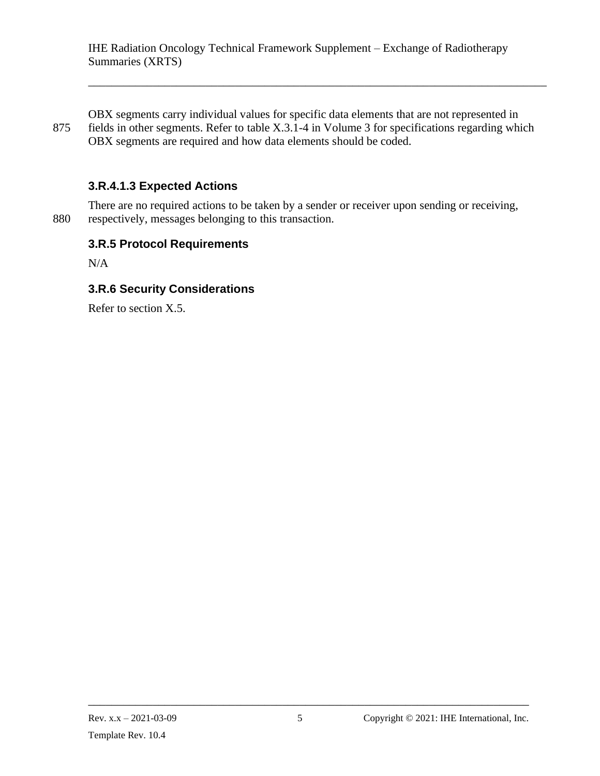\_\_\_\_\_\_\_\_\_\_\_\_\_\_\_\_\_\_\_\_\_\_\_\_\_\_\_\_\_\_\_\_\_\_\_\_\_\_\_\_\_\_\_\_\_\_\_\_\_\_\_\_\_\_\_\_\_\_\_\_\_\_\_\_\_\_\_\_\_\_\_\_\_\_\_\_\_\_

OBX segments carry individual values for specific data elements that are not represented in 875 fields in other segments. Refer to table X.3.1-4 in Volume 3 for specifications regarding which OBX segments are required and how data elements should be coded.

### <span id="page-41-0"></span>**3.R.4.1.3 Expected Actions**

There are no required actions to be taken by a sender or receiver upon sending or receiving, 880 respectively, messages belonging to this transaction.

#### <span id="page-41-1"></span>**3.R.5 Protocol Requirements**

 $N/A$ 

#### <span id="page-41-2"></span>**3.R.6 Security Considerations**

Refer to section X.5.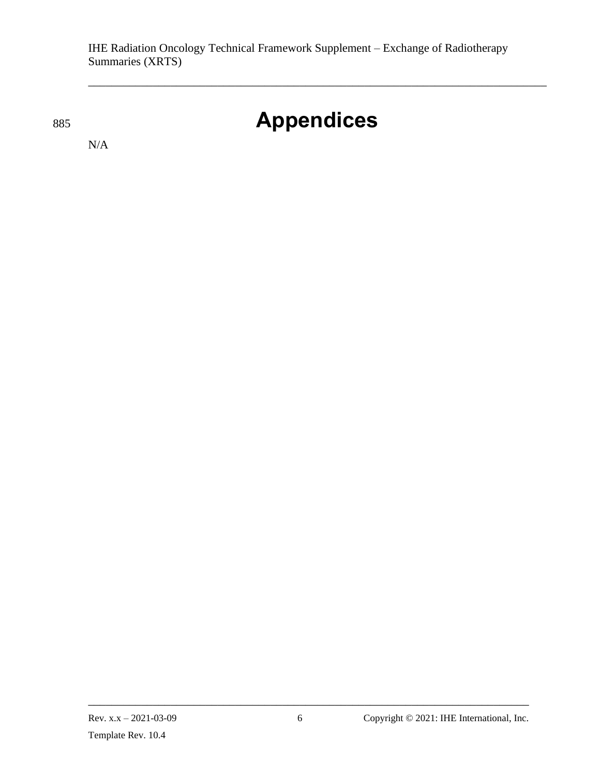# <sup>885</sup> **Appendices**

\_\_\_\_\_\_\_\_\_\_\_\_\_\_\_\_\_\_\_\_\_\_\_\_\_\_\_\_\_\_\_\_\_\_\_\_\_\_\_\_\_\_\_\_\_\_\_\_\_\_\_\_\_\_\_\_\_\_\_\_\_\_\_\_\_\_\_\_\_\_\_\_\_\_\_\_\_\_

<span id="page-42-0"></span>N/A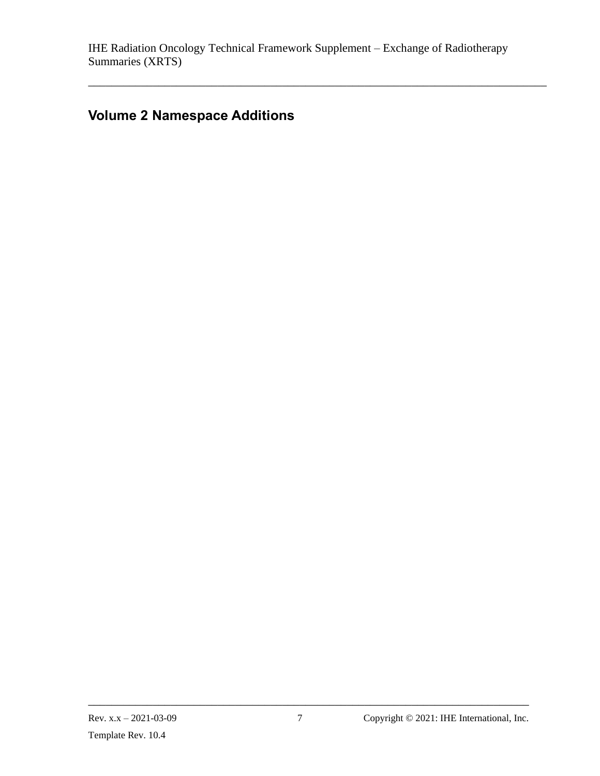\_\_\_\_\_\_\_\_\_\_\_\_\_\_\_\_\_\_\_\_\_\_\_\_\_\_\_\_\_\_\_\_\_\_\_\_\_\_\_\_\_\_\_\_\_\_\_\_\_\_\_\_\_\_\_\_\_\_\_\_\_\_\_\_\_\_\_\_\_\_\_\_\_\_\_\_\_\_

# <span id="page-43-0"></span>**Volume 2 Namespace Additions**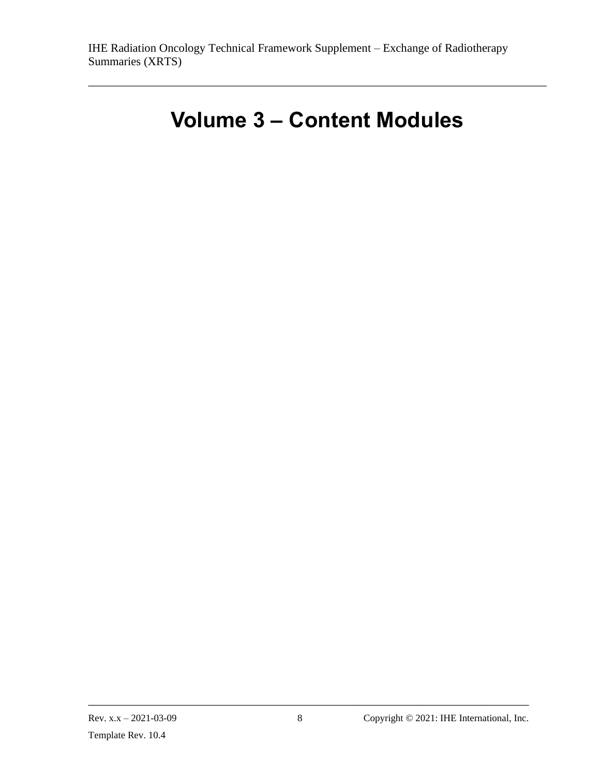# **Volume 3 – Content Modules**

<span id="page-44-0"></span>\_\_\_\_\_\_\_\_\_\_\_\_\_\_\_\_\_\_\_\_\_\_\_\_\_\_\_\_\_\_\_\_\_\_\_\_\_\_\_\_\_\_\_\_\_\_\_\_\_\_\_\_\_\_\_\_\_\_\_\_\_\_\_\_\_\_\_\_\_\_\_\_\_\_\_\_\_\_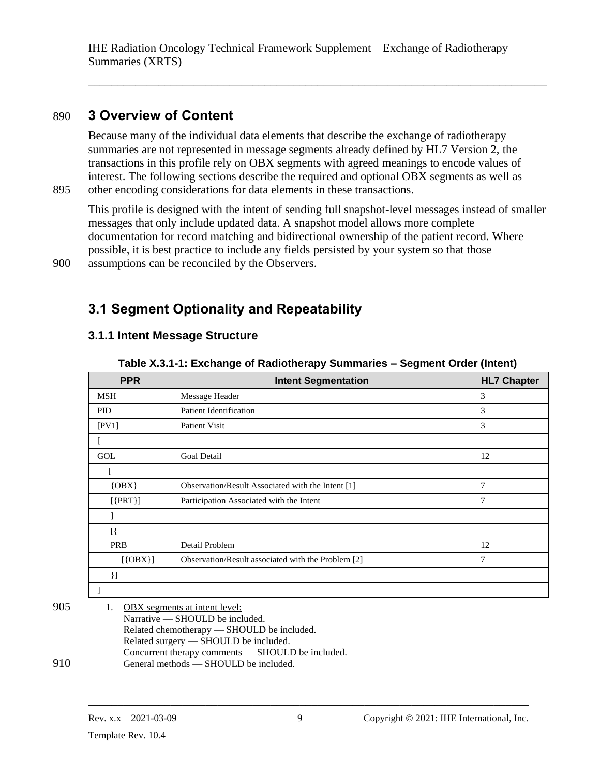<span id="page-45-0"></span>\_\_\_\_\_\_\_\_\_\_\_\_\_\_\_\_\_\_\_\_\_\_\_\_\_\_\_\_\_\_\_\_\_\_\_\_\_\_\_\_\_\_\_\_\_\_\_\_\_\_\_\_\_\_\_\_\_\_\_\_\_\_\_\_\_\_\_\_\_\_\_\_\_\_\_\_\_\_

# 890 **3 Overview of Content**

Because many of the individual data elements that describe the exchange of radiotherapy summaries are not represented in message segments already defined by HL7 Version 2, the transactions in this profile rely on OBX segments with agreed meanings to encode values of interest. The following sections describe the required and optional OBX segments as well as 895 other encoding considerations for data elements in these transactions.

This profile is designed with the intent of sending full snapshot-level messages instead of smaller messages that only include updated data. A snapshot model allows more complete documentation for record matching and bidirectional ownership of the patient record. Where possible, it is best practice to include any fields persisted by your system so that those 900 assumptions can be reconciled by the Observers.

<span id="page-45-1"></span>**3.1 Segment Optionality and Repeatability**

#### <span id="page-45-2"></span>**3.1.1 Intent Message Structure**

| <b>PPR</b> | <b>Intent Segmentation</b>                         | <b>HL7 Chapter</b> |
|------------|----------------------------------------------------|--------------------|
| <b>MSH</b> | Message Header                                     | 3                  |
| <b>PID</b> | <b>Patient Identification</b>                      | 3                  |
| [PV1]      | <b>Patient Visit</b>                               | 3                  |
|            |                                                    |                    |
| GOL        | <b>Goal Detail</b>                                 | 12                 |
|            |                                                    |                    |
| $\{OBX\}$  | Observation/Result Associated with the Intent [1]  | 7                  |
| $[$ {PRT}] | Participation Associated with the Intent           | 7                  |
|            |                                                    |                    |
| [{         |                                                    |                    |
| PRB        | Detail Problem                                     | 12                 |
| $[$ {OBX}] | Observation/Result associated with the Problem [2] | 7                  |
| }]         |                                                    |                    |
|            |                                                    |                    |

**Table X.3.1-1: Exchange of Radiotherapy Summaries – Segment Order (Intent)**

| 905 | 1. | <b>OBX</b> segments at intent level:              |
|-----|----|---------------------------------------------------|
|     |    | Narrative $-$ SHOULD be included.                 |
|     |    | Related chemotherapy — SHOULD be included.        |
|     |    | Related surgery — SHOULD be included.             |
|     |    | Concurrent therapy comments — SHOULD be included. |
| 910 |    | General methods — SHOULD be included.             |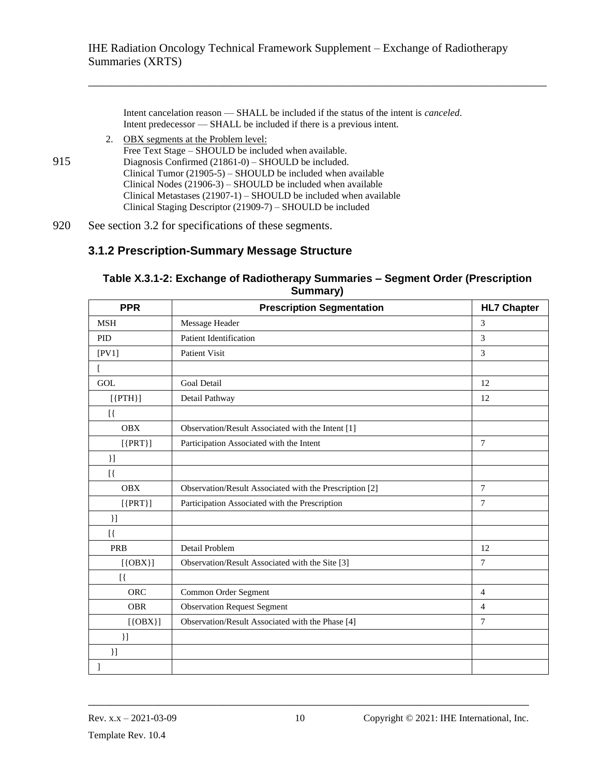\_\_\_\_\_\_\_\_\_\_\_\_\_\_\_\_\_\_\_\_\_\_\_\_\_\_\_\_\_\_\_\_\_\_\_\_\_\_\_\_\_\_\_\_\_\_\_\_\_\_\_\_\_\_\_\_\_\_\_\_\_\_\_\_\_\_\_\_\_\_\_\_\_\_\_\_\_\_

Intent cancelation reason — SHALL be included if the status of the intent is *canceled*. Intent predecessor — SHALL be included if there is a previous intent.

2. OBX segments at the Problem level: Free Text Stage – SHOULD be included when available. 915 Diagnosis Confirmed (21861-0) – SHOULD be included. Clinical Tumor (21905-5) – SHOULD be included when available Clinical Nodes (21906-3) – SHOULD be included when available Clinical Metastases (21907-1) – SHOULD be included when available Clinical Staging Descriptor (21909-7) – SHOULD be included

920 See section 3.2 for specifications of these segments.

#### <span id="page-46-0"></span>**3.1.2 Prescription-Summary Message Structure**

| Julillial y <i>j</i> |                                                         |                    |  |  |  |  |  |
|----------------------|---------------------------------------------------------|--------------------|--|--|--|--|--|
| <b>PPR</b>           | <b>Prescription Segmentation</b>                        | <b>HL7 Chapter</b> |  |  |  |  |  |
| <b>MSH</b>           | Message Header                                          | 3                  |  |  |  |  |  |
| <b>PID</b>           | <b>Patient Identification</b>                           | 3                  |  |  |  |  |  |
| [PV1]                | Patient Visit                                           | 3                  |  |  |  |  |  |
|                      |                                                         |                    |  |  |  |  |  |
| <b>GOL</b>           | <b>Goal Detail</b>                                      | 12                 |  |  |  |  |  |
| $[{PTH}]$            | Detail Pathway                                          | 12                 |  |  |  |  |  |
| [                    |                                                         |                    |  |  |  |  |  |
| <b>OBX</b>           | Observation/Result Associated with the Intent [1]       |                    |  |  |  |  |  |
| $[$ {PRT}]           | Participation Associated with the Intent                | 7                  |  |  |  |  |  |
| $\mathcal{L}$        |                                                         |                    |  |  |  |  |  |
| [                    |                                                         |                    |  |  |  |  |  |
| <b>OBX</b>           | Observation/Result Associated with the Prescription [2] | $\overline{7}$     |  |  |  |  |  |
| $[$ {PRT}]           | Participation Associated with the Prescription          | 7                  |  |  |  |  |  |
| $\mathcal{L}$        |                                                         |                    |  |  |  |  |  |
| [                    |                                                         |                    |  |  |  |  |  |
| PRB                  | Detail Problem                                          | 12                 |  |  |  |  |  |
| $[$ {OBX}]           | Observation/Result Associated with the Site [3]         | $\tau$             |  |  |  |  |  |
| [                    |                                                         |                    |  |  |  |  |  |
| <b>ORC</b>           | Common Order Segment                                    | $\overline{4}$     |  |  |  |  |  |
| <b>OBR</b>           | <b>Observation Request Segment</b>                      | $\overline{4}$     |  |  |  |  |  |
| $[$ {OBX}]           | Observation/Result Associated with the Phase [4]        | 7                  |  |  |  |  |  |
| $\mathcal{L}$        |                                                         |                    |  |  |  |  |  |
| $\mathcal{L}$        |                                                         |                    |  |  |  |  |  |
|                      |                                                         |                    |  |  |  |  |  |

#### **Table X.3.1-2: Exchange of Radiotherapy Summaries – Segment Order (Prescription Summary)**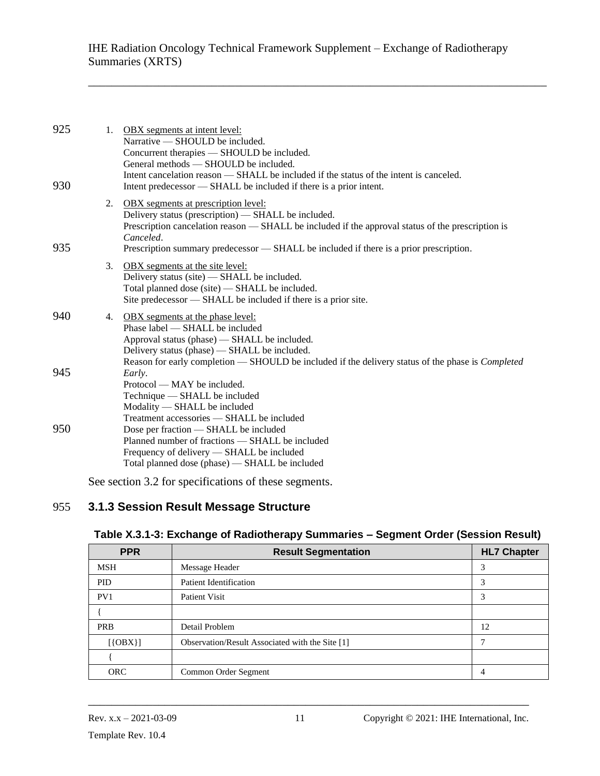\_\_\_\_\_\_\_\_\_\_\_\_\_\_\_\_\_\_\_\_\_\_\_\_\_\_\_\_\_\_\_\_\_\_\_\_\_\_\_\_\_\_\_\_\_\_\_\_\_\_\_\_\_\_\_\_\_\_\_\_\_\_\_\_\_\_\_\_\_\_\_\_\_\_\_\_\_\_

| 925<br>930 |    | 1. OBX segments at intent level:<br>Narrative $-$ SHOULD be included.<br>Concurrent therapies — SHOULD be included.<br>General methods — SHOULD be included.<br>Intent cancelation reason — SHALL be included if the status of the intent is canceled.<br>Intent predecessor — SHALL be included if there is a prior intent. |
|------------|----|------------------------------------------------------------------------------------------------------------------------------------------------------------------------------------------------------------------------------------------------------------------------------------------------------------------------------|
| 935        |    | 2. OBX segments at prescription level:<br>Delivery status (prescription) — SHALL be included.<br>Prescription cancelation reason — SHALL be included if the approval status of the prescription is<br>Canceled.<br>Prescription summary predecessor — SHALL be included if there is a prior prescription.                    |
|            | 3. | OBX segments at the site level:<br>Delivery status (site) — SHALL be included.<br>Total planned dose (site) — SHALL be included.<br>Site predecessor — SHALL be included if there is a prior site.                                                                                                                           |
| 940        |    | 4. OBX segments at the phase level:<br>Phase label — SHALL be included<br>Approval status (phase) — SHALL be included.<br>Delivery status (phase) — SHALL be included.<br>Reason for early completion - SHOULD be included if the delivery status of the phase is <i>Completed</i>                                           |
| 945        |    | Early.<br>Protocol — MAY be included.<br>Technique - SHALL be included<br>Modality — SHALL be included<br>Treatment accessories - SHALL be included                                                                                                                                                                          |
| 950        |    | Dose per fraction — SHALL be included<br>Planned number of fractions - SHALL be included<br>Frequency of delivery - SHALL be included<br>Total planned dose (phase) — SHALL be included                                                                                                                                      |

<span id="page-47-0"></span>See section 3.2 for specifications of these segments.

#### 955 **3.1.3 Session Result Message Structure**

| <b>PPR</b> | <b>Result Segmentation</b>                      | <b>HL7 Chapter</b> |
|------------|-------------------------------------------------|--------------------|
| <b>MSH</b> | Message Header                                  | 3                  |
| <b>PID</b> | Patient Identification                          | 3                  |
| PV1        | Patient Visit                                   | 3                  |
|            |                                                 |                    |
| <b>PRB</b> | Detail Problem                                  | 12                 |
| $[$ {OBX}] | Observation/Result Associated with the Site [1] | Ξ                  |
|            |                                                 |                    |
| <b>ORC</b> | Common Order Segment                            | 4                  |

#### **Table X.3.1-3: Exchange of Radiotherapy Summaries – Segment Order (Session Result)**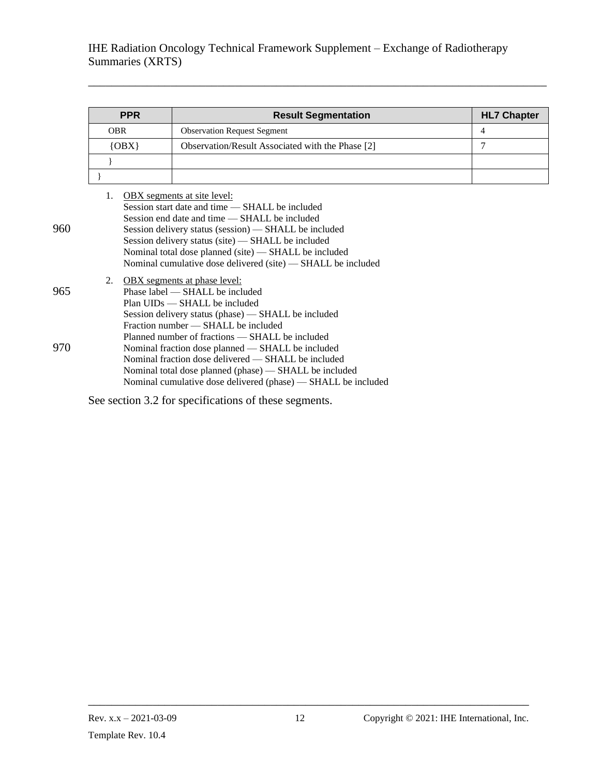\_\_\_\_\_\_\_\_\_\_\_\_\_\_\_\_\_\_\_\_\_\_\_\_\_\_\_\_\_\_\_\_\_\_\_\_\_\_\_\_\_\_\_\_\_\_\_\_\_\_\_\_\_\_\_\_\_\_\_\_\_\_\_\_\_\_\_\_\_\_\_\_\_\_\_\_\_\_

|     | <b>PPR</b>                                                                                                                                                                                                  | <b>Result Segmentation</b>                                                                                                                                                                                                                                                                                                                                                     | <b>HL7 Chapter</b> |  |  |  |  |
|-----|-------------------------------------------------------------------------------------------------------------------------------------------------------------------------------------------------------------|--------------------------------------------------------------------------------------------------------------------------------------------------------------------------------------------------------------------------------------------------------------------------------------------------------------------------------------------------------------------------------|--------------------|--|--|--|--|
|     | <b>OBR</b>                                                                                                                                                                                                  | <b>Observation Request Segment</b>                                                                                                                                                                                                                                                                                                                                             | 4                  |  |  |  |  |
|     | $\{OBX\}$                                                                                                                                                                                                   | Observation/Result Associated with the Phase [2]                                                                                                                                                                                                                                                                                                                               | 7                  |  |  |  |  |
|     |                                                                                                                                                                                                             |                                                                                                                                                                                                                                                                                                                                                                                |                    |  |  |  |  |
|     |                                                                                                                                                                                                             |                                                                                                                                                                                                                                                                                                                                                                                |                    |  |  |  |  |
| 960 | 1.                                                                                                                                                                                                          | <b>OBX</b> segments at site level:<br>Session start date and time — SHALL be included<br>Session end date and time — SHALL be included<br>Session delivery status (session) — SHALL be included<br>Session delivery status (site) — SHALL be included<br>Nominal total dose planned (site) — SHALL be included<br>Nominal cumulative dose delivered (site) — SHALL be included |                    |  |  |  |  |
| 965 | <b>OBX</b> segments at phase level:<br>2.<br>Phase label — SHALL be included<br>Plan UIDs — SHALL be included<br>Session delivery status (phase) — SHALL be included<br>Fraction number — SHALL be included |                                                                                                                                                                                                                                                                                                                                                                                |                    |  |  |  |  |
| 970 |                                                                                                                                                                                                             | Planned number of fractions — SHALL be included<br>Nominal fraction dose planned — SHALL be included<br>Nominal fraction dose delivered — SHALL be included<br>Nominal total dose planned (phase) - SHALL be included<br>Nominal cumulative dose delivered (phase) — SHALL be included                                                                                         |                    |  |  |  |  |

See section 3.2 for specifications of these segments.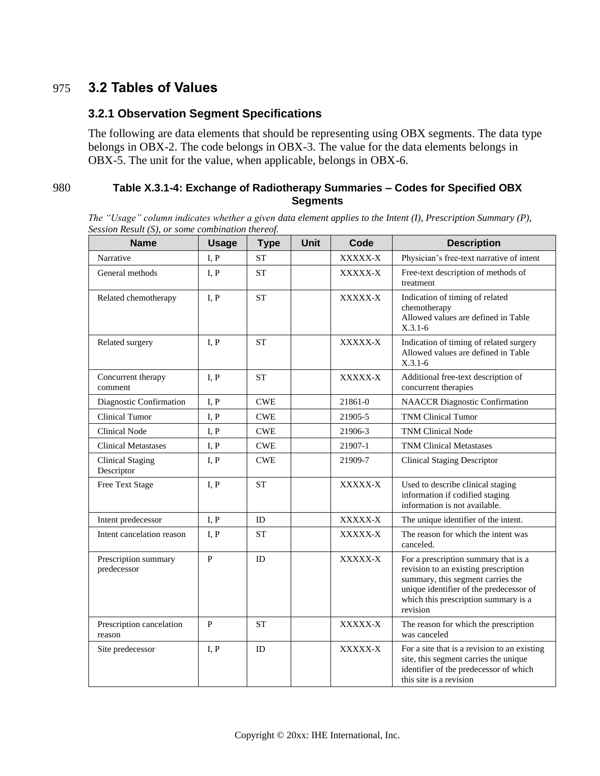### <span id="page-49-0"></span>975 **3.2 Tables of Values**

#### <span id="page-49-1"></span>**3.2.1 Observation Segment Specifications**

The following are data elements that should be representing using OBX segments. The data type belongs in OBX-2. The code belongs in OBX-3. The value for the data elements belongs in OBX-5. The unit for the value, when applicable, belongs in OBX-6.

#### 980 **Table X.3.1-4: Exchange of Radiotherapy Summaries – Codes for Specified OBX Segments**

*The "Usage" column indicates whether a given data element applies to the Intent (I), Prescription Summary (P), Session Result (S), or some combination thereof.*

| <b>Name</b>                           | <b>Usage</b> | <b>Type</b>                 | Unit | Code    | <b>Description</b>                                                                                                                                                                                               |
|---------------------------------------|--------------|-----------------------------|------|---------|------------------------------------------------------------------------------------------------------------------------------------------------------------------------------------------------------------------|
| Narrative                             | I, P         | <b>ST</b>                   |      | XXXXX-X | Physician's free-text narrative of intent                                                                                                                                                                        |
| General methods                       | I, P         | <b>ST</b>                   |      | XXXXX-X | Free-text description of methods of<br>treatment                                                                                                                                                                 |
| Related chemotherapy                  | I, P         | <b>ST</b>                   |      | XXXXX-X | Indication of timing of related<br>chemotherapy<br>Allowed values are defined in Table<br>$X.3.1-6$                                                                                                              |
| Related surgery                       | I, P         | <b>ST</b>                   |      | XXXXX-X | Indication of timing of related surgery<br>Allowed values are defined in Table<br>$X.3.1-6$                                                                                                                      |
| Concurrent therapy<br>comment         | I, P         | <b>ST</b>                   |      | XXXXX-X | Additional free-text description of<br>concurrent therapies                                                                                                                                                      |
| Diagnostic Confirmation               | I, P         | $\ensuremath{\mathsf{CWE}}$ |      | 21861-0 | <b>NAACCR</b> Diagnostic Confirmation                                                                                                                                                                            |
| <b>Clinical Tumor</b>                 | I, P         | <b>CWE</b>                  |      | 21905-5 | <b>TNM Clinical Tumor</b>                                                                                                                                                                                        |
| <b>Clinical Node</b>                  | I, P         | <b>CWE</b>                  |      | 21906-3 | <b>TNM Clinical Node</b>                                                                                                                                                                                         |
| <b>Clinical Metastases</b>            | I, P         | <b>CWE</b>                  |      | 21907-1 | <b>TNM Clinical Metastases</b>                                                                                                                                                                                   |
| <b>Clinical Staging</b><br>Descriptor | I, P         | <b>CWE</b>                  |      | 21909-7 | <b>Clinical Staging Descriptor</b>                                                                                                                                                                               |
| Free Text Stage                       | I, P         | <b>ST</b>                   |      | XXXXX-X | Used to describe clinical staging<br>information if codified staging<br>information is not available.                                                                                                            |
| Intent predecessor                    | I, P         | ID                          |      | XXXXX-X | The unique identifier of the intent.                                                                                                                                                                             |
| Intent cancelation reason             | I, P         | <b>ST</b>                   |      | XXXXX-X | The reason for which the intent was<br>canceled.                                                                                                                                                                 |
| Prescription summary<br>predecessor   | P            | ID                          |      | XXXXX-X | For a prescription summary that is a<br>revision to an existing prescription<br>summary, this segment carries the<br>unique identifier of the predecessor of<br>which this prescription summary is a<br>revision |
| Prescription cancelation<br>reason    | P            | <b>ST</b>                   |      | XXXXX-X | The reason for which the prescription<br>was canceled                                                                                                                                                            |
| Site predecessor                      | I, P         | ID                          |      | XXXXX-X | For a site that is a revision to an existing<br>site, this segment carries the unique<br>identifier of the predecessor of which<br>this site is a revision                                                       |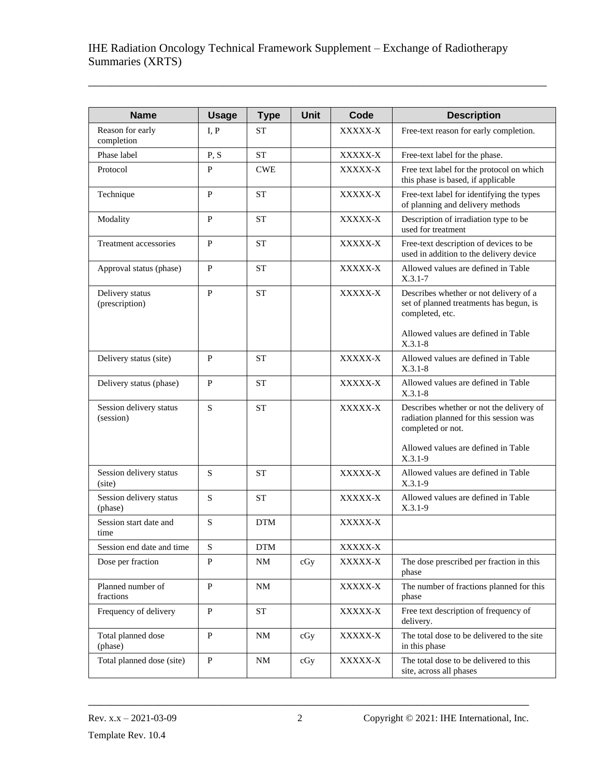\_\_\_\_\_\_\_\_\_\_\_\_\_\_\_\_\_\_\_\_\_\_\_\_\_\_\_\_\_\_\_\_\_\_\_\_\_\_\_\_\_\_\_\_\_\_\_\_\_\_\_\_\_\_\_\_\_\_\_\_\_\_\_\_\_\_\_\_\_\_\_\_\_\_\_\_\_\_

| <b>Name</b>                          | <b>Usage</b> | <b>Type</b> | <b>Unit</b> | Code    | <b>Description</b>                                                                                      |
|--------------------------------------|--------------|-------------|-------------|---------|---------------------------------------------------------------------------------------------------------|
| Reason for early<br>completion       | I, P         | <b>ST</b>   |             | XXXXX-X | Free-text reason for early completion.                                                                  |
| Phase label                          | P, S         | <b>ST</b>   |             | XXXXX-X | Free-text label for the phase.                                                                          |
| Protocol                             | P            | <b>CWE</b>  |             | XXXXX-X | Free text label for the protocol on which<br>this phase is based, if applicable                         |
| Technique                            | $\mathbf{P}$ | <b>ST</b>   |             | XXXXX-X | Free-text label for identifying the types<br>of planning and delivery methods                           |
| Modality                             | P            | <b>ST</b>   |             | XXXXX-X | Description of irradiation type to be<br>used for treatment                                             |
| Treatment accessories                | $\mathbf{P}$ | <b>ST</b>   |             | XXXXX-X | Free-text description of devices to be<br>used in addition to the delivery device                       |
| Approval status (phase)              | $\mathbf{P}$ | <b>ST</b>   |             | XXXXX-X | Allowed values are defined in Table<br>$X.3.1 - 7$                                                      |
| Delivery status<br>(prescription)    | $\mathbf{P}$ | <b>ST</b>   |             | XXXXX-X | Describes whether or not delivery of a<br>set of planned treatments has begun, is<br>completed, etc.    |
|                                      |              |             |             |         | Allowed values are defined in Table<br>$X.3.1 - 8$                                                      |
| Delivery status (site)               | $\mathbf{P}$ | <b>ST</b>   |             | XXXXX-X | Allowed values are defined in Table<br>$X.3.1 - 8$                                                      |
| Delivery status (phase)              | ${\bf P}$    | <b>ST</b>   |             | XXXXX-X | Allowed values are defined in Table<br>$X.3.1 - 8$                                                      |
| Session delivery status<br>(session) | S            | <b>ST</b>   |             | XXXXX-X | Describes whether or not the delivery of<br>radiation planned for this session was<br>completed or not. |
|                                      |              |             |             |         | Allowed values are defined in Table<br>$X.3.1-9$                                                        |
| Session delivery status<br>(site)    | S            | <b>ST</b>   |             | XXXXX-X | Allowed values are defined in Table<br>$X.3.1-9$                                                        |
| Session delivery status<br>(phase)   | S            | <b>ST</b>   |             | XXXXX-X | Allowed values are defined in Table<br>$X.3.1-9$                                                        |
| Session start date and<br>time       | S            | <b>DTM</b>  |             | XXXXX-X |                                                                                                         |
| Session end date and time            | $\mathbf S$  | <b>DTM</b>  |             | XXXXX-X |                                                                                                         |
| Dose per fraction                    | $\mathbf{P}$ | <b>NM</b>   | cGy         | XXXXX-X | The dose prescribed per fraction in this<br>phase                                                       |
| Planned number of<br>fractions       | $\mathbf{P}$ | <b>NM</b>   |             | XXXXX-X | The number of fractions planned for this<br>phase                                                       |
| Frequency of delivery                | $\mathbf{P}$ | <b>ST</b>   |             | XXXXX-X | Free text description of frequency of<br>delivery.                                                      |
| Total planned dose<br>(phase)        | $\mathbf{P}$ | NΜ          | cGy         | XXXXX-X | The total dose to be delivered to the site<br>in this phase                                             |
| Total planned dose (site)            | $\mathbf{P}$ | NM          | cGy         | XXXXX-X | The total dose to be delivered to this<br>site, across all phases                                       |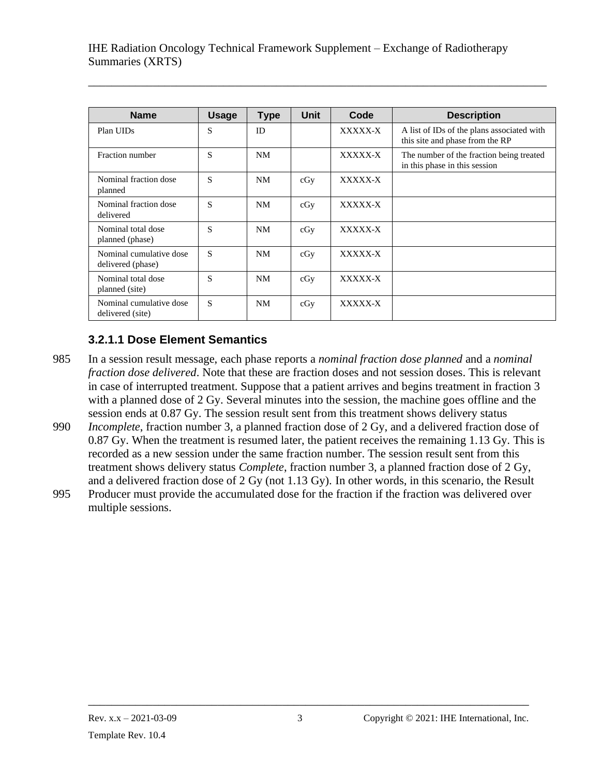\_\_\_\_\_\_\_\_\_\_\_\_\_\_\_\_\_\_\_\_\_\_\_\_\_\_\_\_\_\_\_\_\_\_\_\_\_\_\_\_\_\_\_\_\_\_\_\_\_\_\_\_\_\_\_\_\_\_\_\_\_\_\_\_\_\_\_\_\_\_\_\_\_\_\_\_\_\_

| <b>Name</b>                                  | <b>Usage</b> | <b>Type</b> | <b>Unit</b> | Code    | <b>Description</b>                                                            |
|----------------------------------------------|--------------|-------------|-------------|---------|-------------------------------------------------------------------------------|
| Plan UIDs                                    | S            | ID          |             | XXXXX-X | A list of IDs of the plans associated with<br>this site and phase from the RP |
| Fraction number                              | S            | <b>NM</b>   |             | XXXXX-X | The number of the fraction being treated<br>in this phase in this session     |
| Nominal fraction dose<br>planned             | S            | NM          | cGy         | XXXXX-X |                                                                               |
| Nominal fraction dose<br>delivered           | S            | NM          | cGy         | XXXXX-X |                                                                               |
| Nominal total dose<br>planned (phase)        | S            | NM          | cGy         | XXXXX-X |                                                                               |
| Nominal cumulative dose<br>delivered (phase) | S            | <b>NM</b>   | cGy         | XXXXX-X |                                                                               |
| Nominal total dose<br>planned (site)         | S            | NM          | cGy         | XXXXX-X |                                                                               |
| Nominal cumulative dose<br>delivered (site)  | S            | <b>NM</b>   | cGy         | XXXXX-X |                                                                               |

### <span id="page-51-0"></span>**3.2.1.1 Dose Element Semantics**

985 In a session result message, each phase reports a *nominal fraction dose planned* and a *nominal fraction dose delivered*. Note that these are fraction doses and not session doses. This is relevant in case of interrupted treatment. Suppose that a patient arrives and begins treatment in fraction 3 with a planned dose of 2 Gy. Several minutes into the session, the machine goes offline and the session ends at 0.87 Gy. The session result sent from this treatment shows delivery status

- 990 *Incomplete*, fraction number 3, a planned fraction dose of 2 Gy, and a delivered fraction dose of 0.87 Gy. When the treatment is resumed later, the patient receives the remaining 1.13 Gy. This is recorded as a new session under the same fraction number. The session result sent from this treatment shows delivery status *Complete*, fraction number 3, a planned fraction dose of 2 Gy, and a delivered fraction dose of 2 Gy (not 1.13 Gy). In other words, in this scenario, the Result
- 995 Producer must provide the accumulated dose for the fraction if the fraction was delivered over multiple sessions.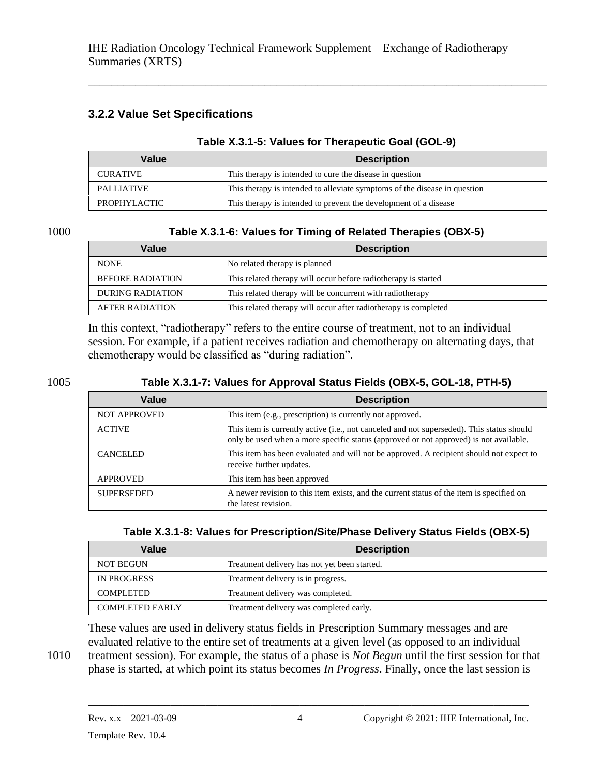#### **3.2.2 Value Set Specifications**

#### **Table X.3.1-5: Values for Therapeutic Goal (GOL-9)**

\_\_\_\_\_\_\_\_\_\_\_\_\_\_\_\_\_\_\_\_\_\_\_\_\_\_\_\_\_\_\_\_\_\_\_\_\_\_\_\_\_\_\_\_\_\_\_\_\_\_\_\_\_\_\_\_\_\_\_\_\_\_\_\_\_\_\_\_\_\_\_\_\_\_\_\_\_\_

| Value               | <b>Description</b>                                                        |
|---------------------|---------------------------------------------------------------------------|
| <b>CURATIVE</b>     | This therapy is intended to cure the disease in question                  |
| <b>PALLIATIVE</b>   | This therapy is intended to alleviate symptoms of the disease in question |
| <b>PROPHYLACTIC</b> | This therapy is intended to prevent the development of a disease          |

#### 1000 **Table X.3.1-6: Values for Timing of Related Therapies (OBX-5)**

| Value                   | <b>Description</b>                                              |
|-------------------------|-----------------------------------------------------------------|
| <b>NONE</b>             | No related therapy is planned                                   |
| <b>BEFORE RADIATION</b> | This related therapy will occur before radiotherapy is started  |
| <b>DURING RADIATION</b> | This related therapy will be concurrent with radiotherapy       |
| <b>AFTER RADIATION</b>  | This related therapy will occur after radiotherapy is completed |

In this context, "radiotherapy" refers to the entire course of treatment, not to an individual session. For example, if a patient receives radiation and chemotherapy on alternating days, that chemotherapy would be classified as "during radiation".

#### 1005 **Table X.3.1-7: Values for Approval Status Fields (OBX-5, GOL-18, PTH-5)**

| Value               | <b>Description</b>                                                                                                                                                                 |
|---------------------|------------------------------------------------------------------------------------------------------------------------------------------------------------------------------------|
| <b>NOT APPROVED</b> | This item (e.g., prescription) is currently not approved.                                                                                                                          |
| <b>ACTIVE</b>       | This item is currently active (i.e., not canceled and not superseded). This status should<br>only be used when a more specific status (approved or not approved) is not available. |
| <b>CANCELED</b>     | This item has been evaluated and will not be approved. A recipient should not expect to<br>receive further updates.                                                                |
| <b>APPROVED</b>     | This item has been approved                                                                                                                                                        |
| <b>SUPERSEDED</b>   | A newer revision to this item exists, and the current status of the item is specified on<br>the latest revision.                                                                   |

#### **Table X.3.1-8: Values for Prescription/Site/Phase Delivery Status Fields (OBX-5)**

| Value                  | <b>Description</b>                           |
|------------------------|----------------------------------------------|
| <b>NOT BEGUN</b>       | Treatment delivery has not yet been started. |
| <b>IN PROGRESS</b>     | Treatment delivery is in progress.           |
| <b>COMPLETED</b>       | Treatment delivery was completed.            |
| <b>COMPLETED EARLY</b> | Treatment delivery was completed early.      |

These values are used in delivery status fields in Prescription Summary messages and are evaluated relative to the entire set of treatments at a given level (as opposed to an individual

1010 treatment session). For example, the status of a phase is *Not Begun* until the first session for that phase is started, at which point its status becomes *In Progress*. Finally, once the last session is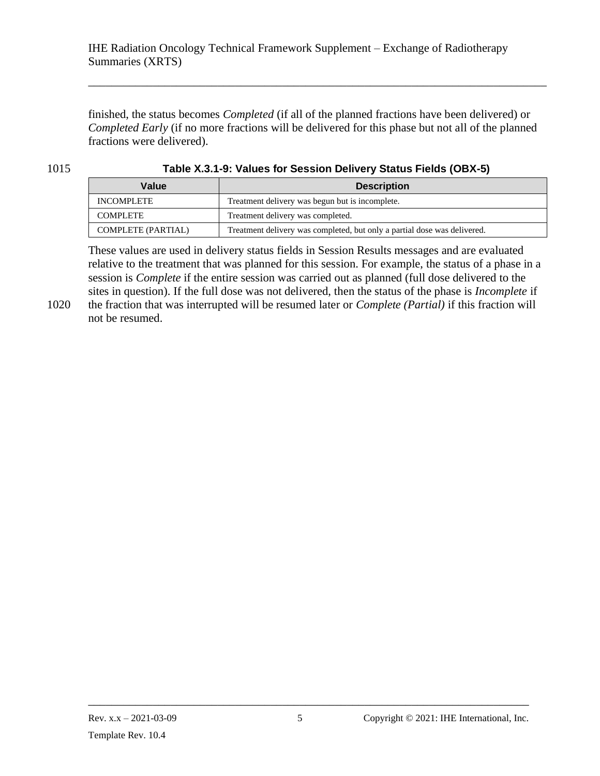finished, the status becomes *Completed* (if all of the planned fractions have been delivered) or *Completed Early* (if no more fractions will be delivered for this phase but not all of the planned fractions were delivered).

\_\_\_\_\_\_\_\_\_\_\_\_\_\_\_\_\_\_\_\_\_\_\_\_\_\_\_\_\_\_\_\_\_\_\_\_\_\_\_\_\_\_\_\_\_\_\_\_\_\_\_\_\_\_\_\_\_\_\_\_\_\_\_\_\_\_\_\_\_\_\_\_\_\_\_\_\_\_

1015 **Table X.3.1-9: Values for Session Delivery Status Fields (OBX-5)**

| Value                     | <b>Description</b>                                                       |
|---------------------------|--------------------------------------------------------------------------|
| INCOMPLETE                | Treatment delivery was begun but is incomplete.                          |
| <b>COMPLETE</b>           | Treatment delivery was completed.                                        |
| <b>COMPLETE (PARTIAL)</b> | Treatment delivery was completed, but only a partial dose was delivered. |

These values are used in delivery status fields in Session Results messages and are evaluated relative to the treatment that was planned for this session. For example, the status of a phase in a session is *Complete* if the entire session was carried out as planned (full dose delivered to the sites in question). If the full dose was not delivered, then the status of the phase is *Incomplete* if

1020 the fraction that was interrupted will be resumed later or *Complete (Partial)* if this fraction will not be resumed.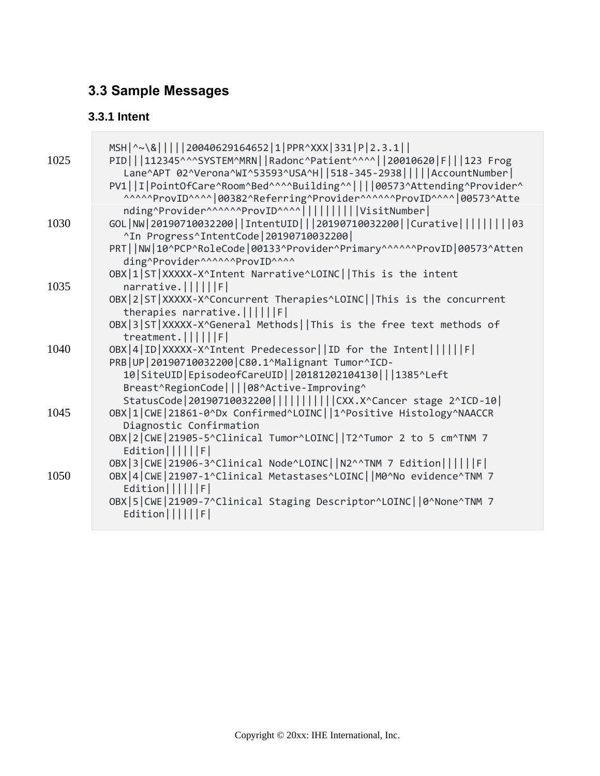# <span id="page-54-0"></span>**3.3 Sample Messages**

### <span id="page-54-1"></span>**3.3.1 Intent**

 $\overline{\phantom{a}}$ 

| 1025 | MSH   ^~\&           20040629164652   1   PPR^XXX   331   P   2.3.1    <br>PID   112345^^^SYSTEM^MRN  Radonc^Patient^^^^  20010620 F   123 Frog<br>Lane^APT 02^Verona^WI^53593^USA^H  518-345-2938     AccountNumber <br>PV1  I PointOfCare^Room^Bed^^^^Building^^    00573^Attending^Provider^<br>^^^^^ProvID^^^^ 00382^Referring^Provider^^^^^^ProvID^^^^ 00573^Atte<br>nding^Provider^^^^^^ProvID^^^^         VisitNumber |
|------|------------------------------------------------------------------------------------------------------------------------------------------------------------------------------------------------------------------------------------------------------------------------------------------------------------------------------------------------------------------------------------------------------------------------------|
| 1030 | GOL NW 20190710032200  IntentUID   20190710032200  Curative         03<br>^In Progress^IntentCode   20190710032200  <br>PRT  NW 10^PCP^RoleCode 00133^Provider^Primary^^^^^^ProvID 00573^Atten                                                                                                                                                                                                                               |
| 1035 | ding^Provider^^^^^^^ProvID^^^^<br>OBX 1 ST XXXXX-X^Intent Narrative^LOINC  This is the intent<br>narrative.                                                                                                                                                                                                                                                                                                                  |
|      | OBX 2 ST XXXXX-X^Concurrent Therapies^LOINC  This is the concurrent<br>therapies narrative. $      F  $                                                                                                                                                                                                                                                                                                                      |
|      | OBX 3 ST XXXXX-X^General Methods  This is the free text methods of<br>$treatment.$      $F$                                                                                                                                                                                                                                                                                                                                  |
| 1040 | OBX 4 ID XXXXX-X^Intent Predecessor  ID for the Intent      F <br>PRB   UP   20190710032200   C80.1^Malignant Tumor^ICD-                                                                                                                                                                                                                                                                                                     |
|      | 10   SiteUID   EpisodeofCareUID     20181202104130       1385^Left<br>Breast^RegionCode    08^Active-Improving^<br>StatusCode   20190710032200                       CXX.X^Cancer stage 2^ICD-10                                                                                                                                                                                                                             |
| 1045 | OBX 1 CWE 21861-0^Dx Confirmed^LOINC  1^Positive Histology^NAACCR<br>Diagnostic Confirmation                                                                                                                                                                                                                                                                                                                                 |
|      | OBX   2   CWE   21905-5^Clinical Tumor^LOINC     T2^Tumor 2 to 5 cm^TNM 7<br>$Edition$       $F$                                                                                                                                                                                                                                                                                                                             |
| 1050 | OBX 3 CWE 21906-3^Clinical Node^LOINC  N2^^TNM 7 Edition      F <br>OBX   4   CWE   21907-1^Clinical Metastases^LOINC     M0^No evidence^TNM 7<br>Editor       F <br>OBX   5   CWE   21909-7^Clinical Staging Descriptor^LOINC     0^None^TNM 7                                                                                                                                                                              |
|      | Editor       F                                                                                                                                                                                                                                                                                                                                                                                                               |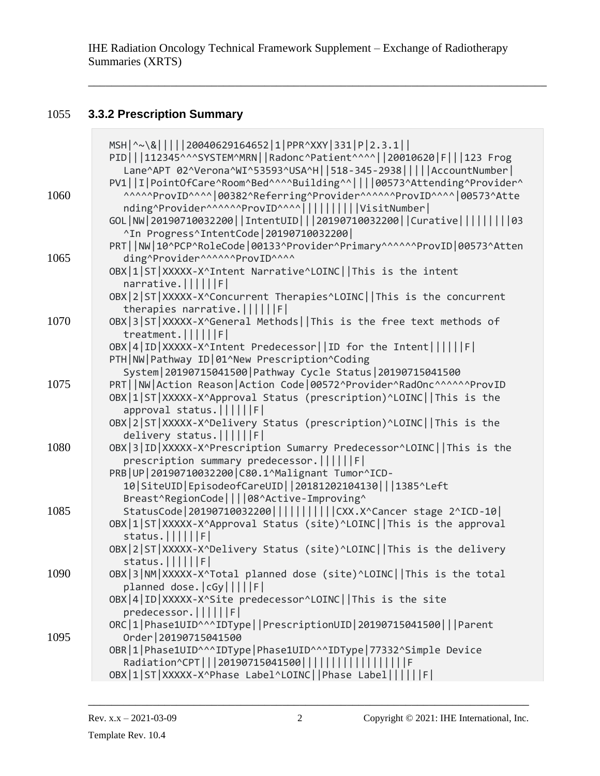\_\_\_\_\_\_\_\_\_\_\_\_\_\_\_\_\_\_\_\_\_\_\_\_\_\_\_\_\_\_\_\_\_\_\_\_\_\_\_\_\_\_\_\_\_\_\_\_\_\_\_\_\_\_\_\_\_\_\_\_\_\_\_\_\_\_\_\_\_\_\_\_\_\_\_\_\_\_

# 1055 **3.3.2 Prescription Summary**

<span id="page-55-0"></span> $\overline{\phantom{a}}$ 

| MSH ^~\&     20040629164652 1 PPR^XXY 331 P 2.3.1  <br>PID   112345^^^SYSTEM^MRN  Radonc^Patient^^^^  20010620 F   123 Frog<br>Lane^APT 02^Verona^WI^53593^USA^H  518-345-2938     AccountNumber <br>PV1  I PointOfCare^Room^Bed^^^^Building^^    00573^Attending^Provider^      |  |
|----------------------------------------------------------------------------------------------------------------------------------------------------------------------------------------------------------------------------------------------------------------------------------|--|
| ^^^^^ProvID^^^^ 00382^Referring^Provider^^^^^^ProvID^^^^ 00573^Atte<br>1060<br>nding^Provider^^^^^^ProvID^^^^         VisitNumber <br>GOL   NW   20190710032200     IntentUID       20190710032200     Curative                   03<br>^In Progress^IntentCode   20190710032200 |  |
| PRT  NW 10^PCP^RoleCode 00133^Provider^Primary^^^^^^ProvID 00573^Atten                                                                                                                                                                                                           |  |
| 1065<br>ding^Provider^^^^^^^ProvID^^^^<br>OBX 1 ST XXXXX-X^Intent Narrative^LOINC  This is the intent                                                                                                                                                                            |  |
| narrative.                                                                                                                                                                                                                                                                       |  |
| OBX 2 ST XXXXX-X^Concurrent Therapies^LOINC  This is the concurrent<br>therapies narrative. $      F  $                                                                                                                                                                          |  |
| 1070<br>OBX 3 ST XXXXX-X^General Methods  This is the free text methods of<br>$treatment.$      F                                                                                                                                                                                |  |
| OBX 4 ID XXXXX-X^Intent Predecessor  ID for the Intent      F                                                                                                                                                                                                                    |  |
| PTH   NW   Pathway ID   01^New Prescription^Coding                                                                                                                                                                                                                               |  |
| System   20190715041500   Pathway Cycle Status   20190715041500                                                                                                                                                                                                                  |  |
| PRT  NW Action Reason Action Code 00572^Provider^RadOnc^^^^^^ProvID<br>1075                                                                                                                                                                                                      |  |
| OBX 1 ST XXXXX-X^Approval Status (prescription)^LOINC  This is the<br>approval status.             F                                                                                                                                                                             |  |
| OBX 2 ST XXXXX-X^Delivery Status (prescription)^LOINC  This is the                                                                                                                                                                                                               |  |
| delivery status.             F                                                                                                                                                                                                                                                   |  |
| OBX 3 ID XXXXX-X^Prescription Sumarry Predecessor^LOINC  This is the<br>1080                                                                                                                                                                                                     |  |
| prescription summary predecessor.             F                                                                                                                                                                                                                                  |  |
| PRB   UP   20190710032200   C80.1^Malignant Tumor^ICD-                                                                                                                                                                                                                           |  |
| 10   SiteUID   EpisodeofCareUID     20181202104130       1385^Left<br>Breast^RegionCode    08^Active-Improving^                                                                                                                                                                  |  |
| StatusCode   20190710032200                       CXX.X^Cancer stage 2^ICD-10  <br>1085                                                                                                                                                                                          |  |
| OBX 1 ST XXXXX-X^Approval Status (site)^LOINC  This is the approval                                                                                                                                                                                                              |  |
| status.             F                                                                                                                                                                                                                                                            |  |
| OBX 2 ST XXXXX-X^Delivery Status (site)^LOINC  This is the delivery                                                                                                                                                                                                              |  |
| status. $      F  $                                                                                                                                                                                                                                                              |  |
| OBX 3 NM XXXXX-X^Total planned dose (site)^LOINC  This is the total<br>1090<br>planned dose.   cGy           F                                                                                                                                                                   |  |
| OBX 4 ID XXXXX-X^Site predecessor^LOINC  This is the site                                                                                                                                                                                                                        |  |
| predecessor.           F                                                                                                                                                                                                                                                         |  |
| ORC 1 Phase1UID^^^IDType  PrescriptionUID 20190715041500   Parent                                                                                                                                                                                                                |  |
| Order   20190715041500<br>1095                                                                                                                                                                                                                                                   |  |
| OBR 1 Phase1UID^^^IDType Phase1UID^^^IDType 77332^Simple Device<br>Radiation^CPT   20190715041500                                                                                                                                                                                |  |
|                                                                                                                                                                                                                                                                                  |  |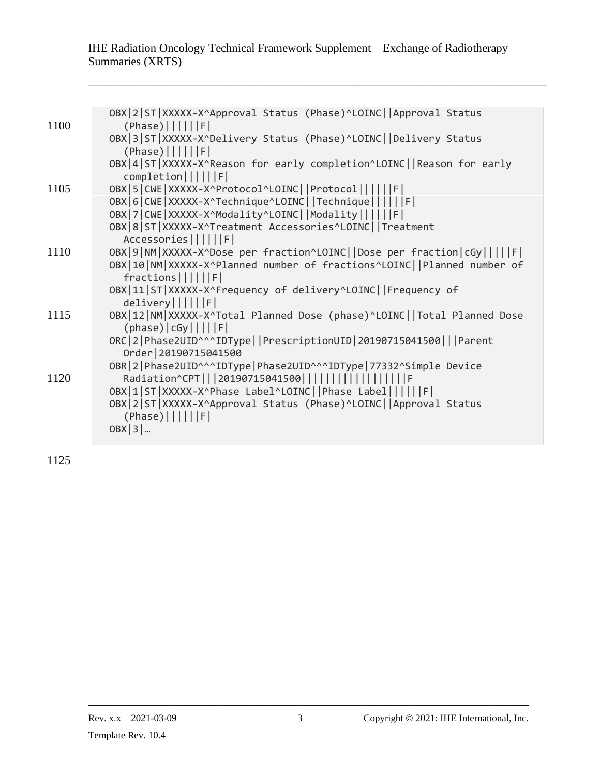\_\_\_\_\_\_\_\_\_\_\_\_\_\_\_\_\_\_\_\_\_\_\_\_\_\_\_\_\_\_\_\_\_\_\_\_\_\_\_\_\_\_\_\_\_\_\_\_\_\_\_\_\_\_\_\_\_\_\_\_\_\_\_\_\_\_\_\_\_\_\_\_\_\_\_\_\_\_

| 1100 | OBX 2 ST XXXXX-X^Approval Status (Phase)^LOINC  Approval Status<br>$(Phase)$      F                                                |
|------|------------------------------------------------------------------------------------------------------------------------------------|
|      | OBX 3 ST XXXXX-X^Delivery Status (Phase)^LOINC  Delivery Status<br>$(Phase)$      F                                                |
|      | OBX 4 ST XXXXX-X^Reason for early completion^LOINC  Reason for early<br>$complection$      F                                       |
| 1105 | OBX   5   CWE   XXXXX - X^Protocol^LOINC     Protocol               F  <br>OBX   6   CWE   XXXXX - X^Technique^LOINC     Technique |
|      | OBX 7 CWE XXXXX-X^Modality^LOINC  Modality      F                                                                                  |
|      | OBX   8   ST   XXXXX - X^Treatment Accessories^LOINC     Treatment<br>Accessories      F                                           |
| 1110 | OBX 9 NM XXXXX-X^Dose per fraction^LOINC  Dose per fraction cGy     F                                                              |
|      | OBX 10 NM XXXXX-X^Planned number of fractions^LOINC  Planned number of<br>$fractions$      F                                       |
|      | OBX 11 ST XXXXX-X^Frequency of delivery^LOINC  Frequency of                                                                        |
| 1115 | delivery      F <br>OBX   12   NM   XXXXX - X^Total Planned Dose (phase) ^LOINC     Total Planned Dose                             |
|      | $(phase)  cGy   $    F                                                                                                             |
|      | ORC 2 Phase2UID^^^IDType  PrescriptionUID 20190715041500   Parent<br>Order   20190715041500                                        |
|      | OBR   2   Phase2UID^^^IDType   Phase2UID^^^IDType   77332^Simple Device                                                            |
| 1120 | Radiation^CPT   20190715041500                  <br>OBX 1 ST XXXXX-X^Phase Label^LOINC  Phase Label      F                         |
|      | OBX 2 ST XXXXX-X^Approval Status (Phase)^LOINC  Approval Status                                                                    |
|      | $(Phase)$      F                                                                                                                   |
|      | $OBX$  3                                                                                                                           |

1125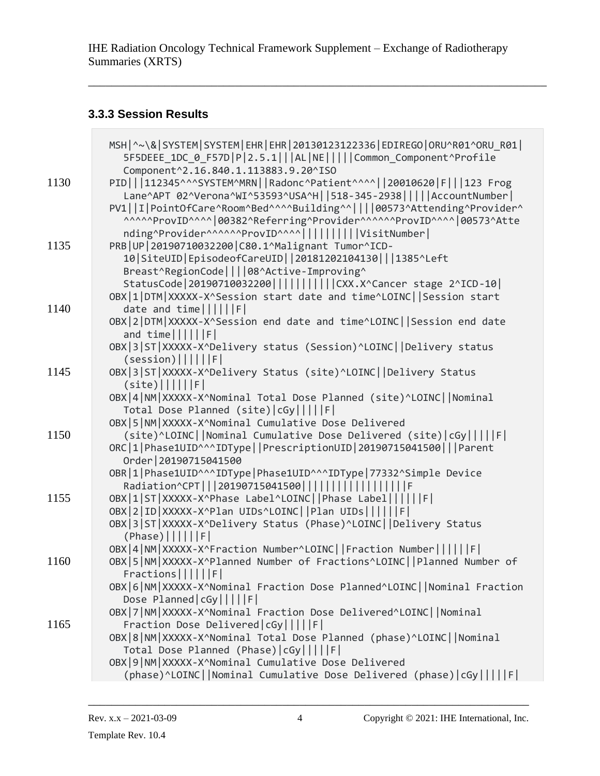\_\_\_\_\_\_\_\_\_\_\_\_\_\_\_\_\_\_\_\_\_\_\_\_\_\_\_\_\_\_\_\_\_\_\_\_\_\_\_\_\_\_\_\_\_\_\_\_\_\_\_\_\_\_\_\_\_\_\_\_\_\_\_\_\_\_\_\_\_\_\_\_\_\_\_\_\_\_

#### <span id="page-57-0"></span>**3.3.3 Session Results**

**Contract Contract Contract Contract** 

|      | MSH   ^~\&   SYSTEM   SYSTEM   EHR   EHR   20130123122336   EDIREGO   ORU^R01^ORU_R01  <br>5F5DEEE 1DC 0 F57D P 2.5.1   AL NE     Common Component^Profile |
|------|------------------------------------------------------------------------------------------------------------------------------------------------------------|
|      | Component^2.16.840.1.113883.9.20^ISO                                                                                                                       |
| 1130 | PID   112345^^^SYSTEM^MRN  Radonc^Patient^^^^  20010620 F   123 Frog<br>Lane^APT 02^Verona^WI^53593^USA^H  518-345-2938     AccountNumber                  |
|      | PV1  I PointOfCare^Room^Bed^^^^Building^^    00573^Attending^Provider^<br>^^^^^ProvID^^^^ 00382^Referring^Provider^^^^^^ProvID^^^^ 00573^Atte              |
|      | nding^Provider^^^^^^ProvID^^^^         VisitNumber                                                                                                         |
| 1135 | PRB   UP   20190710032200   C80.1^Malignant Tumor^ICD-                                                                                                     |
|      | 10   SiteUID   EpisodeofCareUID     20181202104130       1385^Left                                                                                         |
|      | Breast^RegionCode    08^Active-Improving^                                                                                                                  |
|      | StatusCode   20190710032200                       CXX.X^Cancer stage 2^ICD-10                                                                              |
|      | OBX 1 DTM XXXXX-X^Session start date and time^LOINC  Session start                                                                                         |
| 1140 | date and $time      F  $                                                                                                                                   |
|      | OBX 2 DTM XXXXX-X^Session end date and time^LOINC  Session end date<br>and $time      F  $                                                                 |
|      | OBX 3 ST XXXXX-X^Delivery status (Session)^LOINC  Delivery status                                                                                          |
|      | (session)       F                                                                                                                                          |
| 1145 | OBX 3 ST XXXXX-X^Delivery Status (site)^LOINC  Delivery Status                                                                                             |
|      | $(site)$      F                                                                                                                                            |
|      | OBX 4 NM XXXXX-X^Nominal Total Dose Planned (site)^LOINC  Nominal                                                                                          |
|      | Total Dose Planned (site)   cGy           F                                                                                                                |
|      | OBX   5   NM   XXXXX - X^Nominal Cumulative Dose Delivered                                                                                                 |
| 1150 | (site)^LOINC  Nominal Cumulative Dose Delivered (site) cGy     F                                                                                           |
|      | ORC 1 Phase1UID^^^IDType  PrescriptionUID 20190715041500   Parent                                                                                          |
|      | Order   20190715041500                                                                                                                                     |
|      | OBR 1 Phase1UID^^^IDType Phase1UID^^^IDType 77332^Simple Device                                                                                            |
|      | Radiation^CPT   20190715041500                                                                                                                             |
| 1155 | OBX 1 ST XXXXX-X^Phase Label^LOINC  Phase Label      F                                                                                                     |
|      | OBX 2 ID XXXXX-X^Plan UIDs^LOINC  Plan UIDs      F                                                                                                         |
|      | OBX 3 ST XXXXX-X^Delivery Status (Phase)^LOINC  Delivery Status                                                                                            |
|      | $(Phase)$      F                                                                                                                                           |
|      | OBX 4 NM XXXXX-X^Fraction Number^LOINC  Fraction Number      F                                                                                             |
| 1160 | OBX   5   NM   XXXXX-X^Planned Number of Fractions^LOINC     Planned Number of                                                                             |
|      | $Fractions$       F                                                                                                                                        |
|      | OBX 6 NM XXXXX-X^Nominal Fraction Dose Planned^LOINC  Nominal Fraction                                                                                     |
|      | Dose Planned   cGy           F                                                                                                                             |
|      | OBX 7 NM XXXXX-X^Nominal Fraction Dose Delivered^LOINC  Nominal                                                                                            |
| 1165 | Fraction Dose Delivered   cGy           F                                                                                                                  |
|      | OBX   8   NM   XXXXX-X^Nominal Total Dose Planned (phase)^LOINC     Nominal                                                                                |
|      | Total Dose Planned (Phase)   cGy           F                                                                                                               |
|      | OBX 9 NM XXXXX-X^Nominal Cumulative Dose Delivered                                                                                                         |
|      | (phase)^LOINC  Nominal Cumulative Dose Delivered (phase) cGy     F                                                                                         |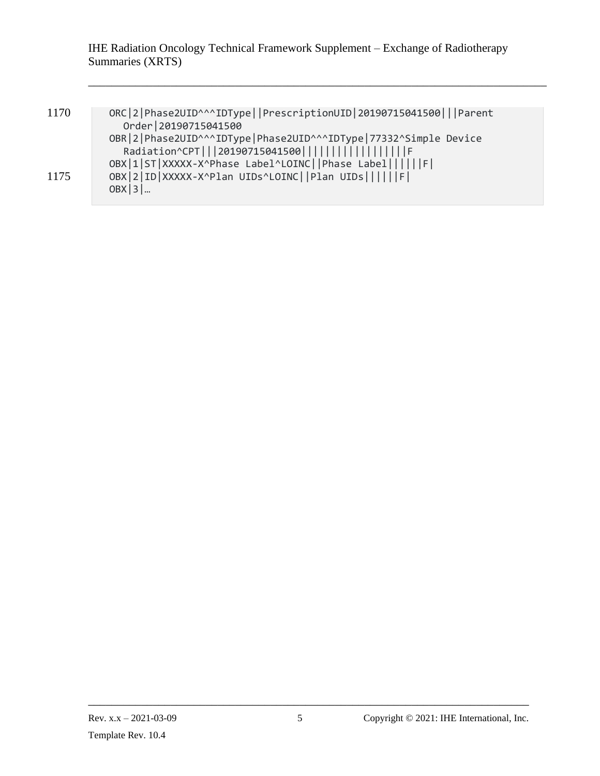\_\_\_\_\_\_\_\_\_\_\_\_\_\_\_\_\_\_\_\_\_\_\_\_\_\_\_\_\_\_\_\_\_\_\_\_\_\_\_\_\_\_\_\_\_\_\_\_\_\_\_\_\_\_\_\_\_\_\_\_\_\_\_\_\_\_\_\_\_\_\_\_\_\_\_\_\_\_

| 1170 | ORC 2 Phase2UID^^^IDType  PrescriptionUID 20190715041500   Parent |
|------|-------------------------------------------------------------------|
|      | Order   20190715041500                                            |
|      | OBR 2 Phase2UID^^^IDType Phase2UID^^^IDType 77332^Simple Device   |
|      | Radiation^CPT   20190715041500                                    |
|      | OBX 1 ST XXXXX-X^Phase Label^LOINC  Phase Label      F            |
| 1175 | OBX 2 ID XXXXX-X^Plan UIDs^LOINC  Plan UIDs      F                |
|      | $OBX$  3                                                          |
|      |                                                                   |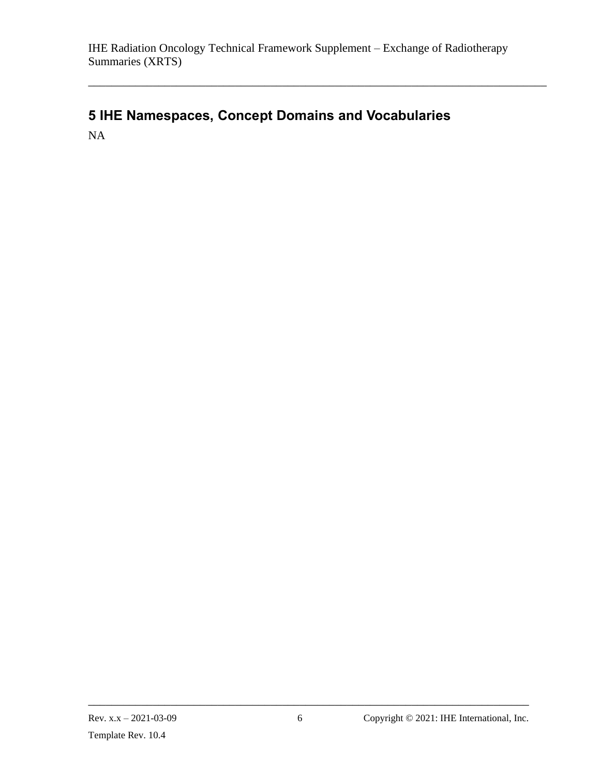\_\_\_\_\_\_\_\_\_\_\_\_\_\_\_\_\_\_\_\_\_\_\_\_\_\_\_\_\_\_\_\_\_\_\_\_\_\_\_\_\_\_\_\_\_\_\_\_\_\_\_\_\_\_\_\_\_\_\_\_\_\_\_\_\_\_\_\_\_\_\_\_\_\_\_\_\_\_

# <span id="page-59-0"></span>**5 IHE Namespaces, Concept Domains and Vocabularies** NA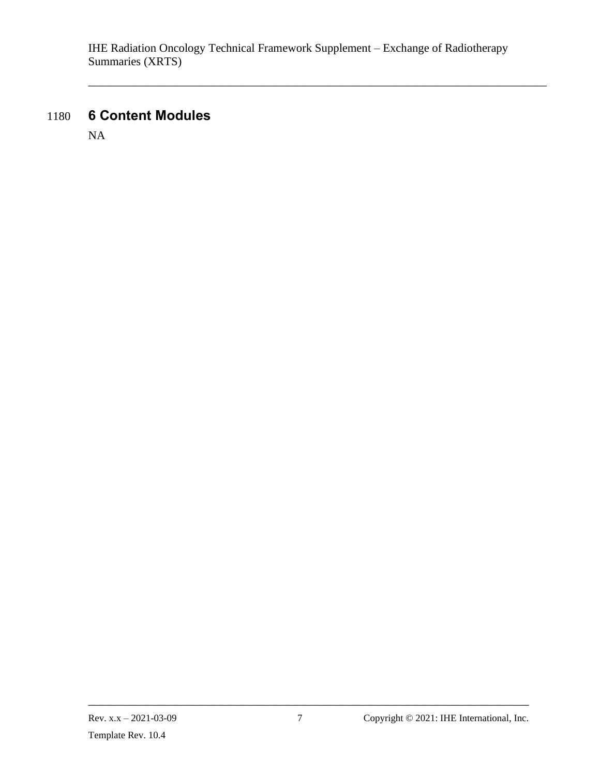\_\_\_\_\_\_\_\_\_\_\_\_\_\_\_\_\_\_\_\_\_\_\_\_\_\_\_\_\_\_\_\_\_\_\_\_\_\_\_\_\_\_\_\_\_\_\_\_\_\_\_\_\_\_\_\_\_\_\_\_\_\_\_\_\_\_\_\_\_\_\_\_\_\_\_\_\_\_

# 1180 **6 Content Modules**

<span id="page-60-0"></span>NA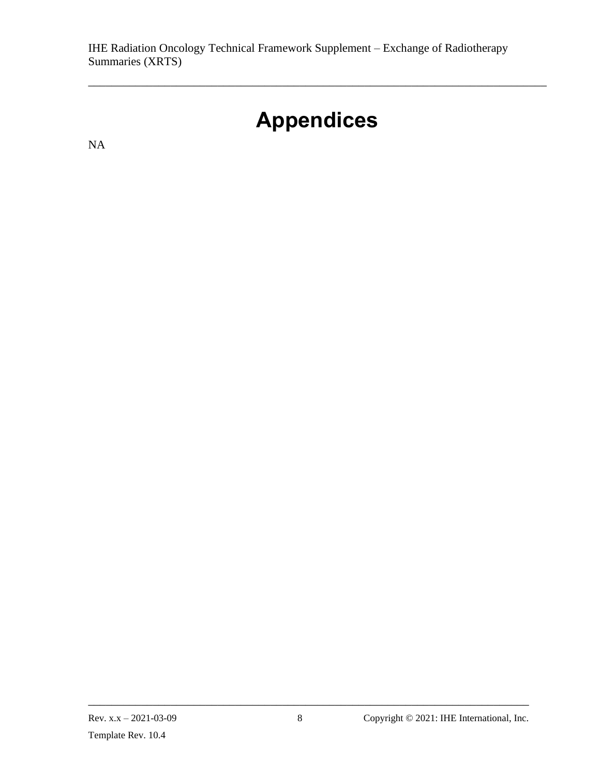# **Appendices**

\_\_\_\_\_\_\_\_\_\_\_\_\_\_\_\_\_\_\_\_\_\_\_\_\_\_\_\_\_\_\_\_\_\_\_\_\_\_\_\_\_\_\_\_\_\_\_\_\_\_\_\_\_\_\_\_\_\_\_\_\_\_\_\_\_\_\_\_\_\_\_\_\_\_\_\_\_\_

<span id="page-61-0"></span>NA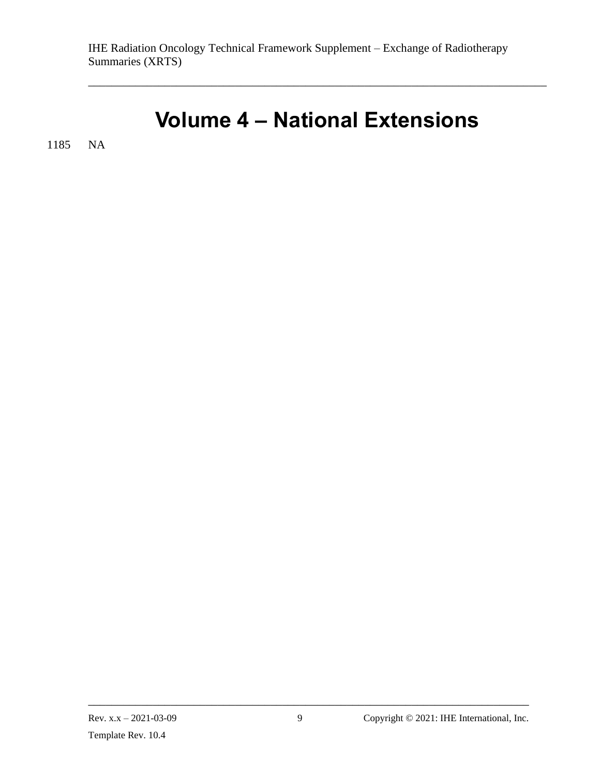# **Volume 4 – National Extensions**

<span id="page-62-0"></span>\_\_\_\_\_\_\_\_\_\_\_\_\_\_\_\_\_\_\_\_\_\_\_\_\_\_\_\_\_\_\_\_\_\_\_\_\_\_\_\_\_\_\_\_\_\_\_\_\_\_\_\_\_\_\_\_\_\_\_\_\_\_\_\_\_\_\_\_\_\_\_\_\_\_\_\_\_\_

1185 NA